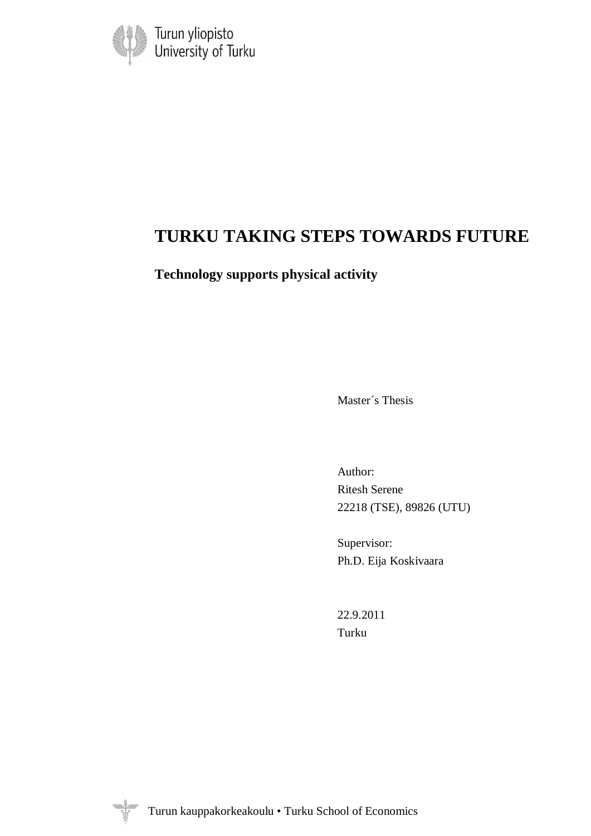

# **TURKU TAKING STEPS TOWARDS FUTURE**

**Technology supports physical activity** 

Master´s Thesis

Author: Ritesh Serene 22218 (TSE), 89826 (UTU)

Supervisor: Ph.D. Eija Koskivaara

22.9.2011 Turku

V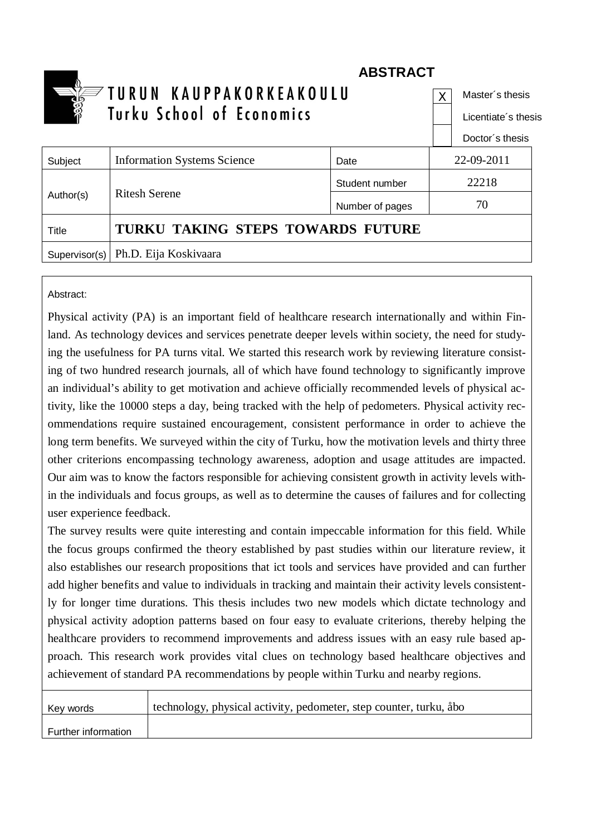|               | <b>ABSTRACT</b>                    |                 |    |                     |
|---------------|------------------------------------|-----------------|----|---------------------|
| 25<br>3       | TURUN KAUPPAKORKEAKOULU            |                 |    | Master's thesis     |
|               | Turku School of Economics          |                 |    | Licentiate's thesis |
|               |                                    |                 |    | Doctor's thesis     |
| Subject       | <b>Information Systems Science</b> | Date            |    | 22-09-2011          |
| Author(s)     |                                    | Student number  |    | 22218               |
|               | <b>Ritesh Serene</b>               | Number of pages | 70 |                     |
| Title         | TURKU TAKING STEPS TOWARDS FUTURE  |                 |    |                     |
| Supervisor(s) | Ph.D. Eija Koskivaara              |                 |    |                     |

# Abstract:

Physical activity (PA) is an important field of healthcare research internationally and within Finland. As technology devices and services penetrate deeper levels within society, the need for studying the usefulness for PA turns vital. We started this research work by reviewing literature consisting of two hundred research journals, all of which have found technology to significantly improve an individual's ability to get motivation and achieve officially recommended levels of physical activity, like the 10000 steps a day, being tracked with the help of pedometers. Physical activity recommendations require sustained encouragement, consistent performance in order to achieve the long term benefits. We surveyed within the city of Turku, how the motivation levels and thirty three other criterions encompassing technology awareness, adoption and usage attitudes are impacted. Our aim was to know the factors responsible for achieving consistent growth in activity levels within the individuals and focus groups, as well as to determine the causes of failures and for collecting user experience feedback.

The survey results were quite interesting and contain impeccable information for this field. While the focus groups confirmed the theory established by past studies within our literature review, it also establishes our research propositions that ict tools and services have provided and can further add higher benefits and value to individuals in tracking and maintain their activity levels consistently for longer time durations. This thesis includes two new models which dictate technology and physical activity adoption patterns based on four easy to evaluate criterions, thereby helping the healthcare providers to recommend improvements and address issues with an easy rule based approach. This research work provides vital clues on technology based healthcare objectives and achievement of standard PA recommendations by people within Turku and nearby regions.

| Key words           | technology, physical activity, pedometer, step counter, turku, åbo |
|---------------------|--------------------------------------------------------------------|
| Further information |                                                                    |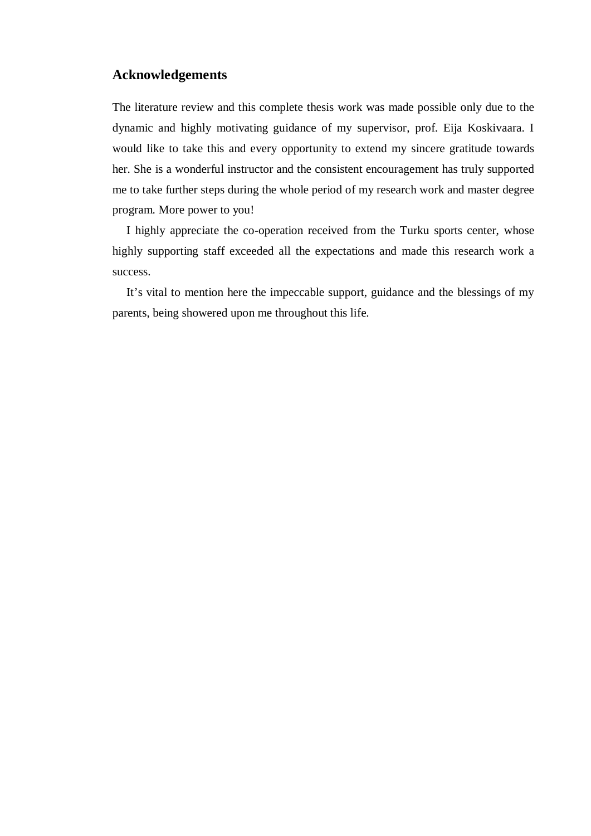## **Acknowledgements**

The literature review and this complete thesis work was made possible only due to the dynamic and highly motivating guidance of my supervisor, prof. Eija Koskivaara. I would like to take this and every opportunity to extend my sincere gratitude towards her. She is a wonderful instructor and the consistent encouragement has truly supported me to take further steps during the whole period of my research work and master degree program. More power to you!

I highly appreciate the co-operation received from the Turku sports center, whose highly supporting staff exceeded all the expectations and made this research work a success.

It's vital to mention here the impeccable support, guidance and the blessings of my parents, being showered upon me throughout this life.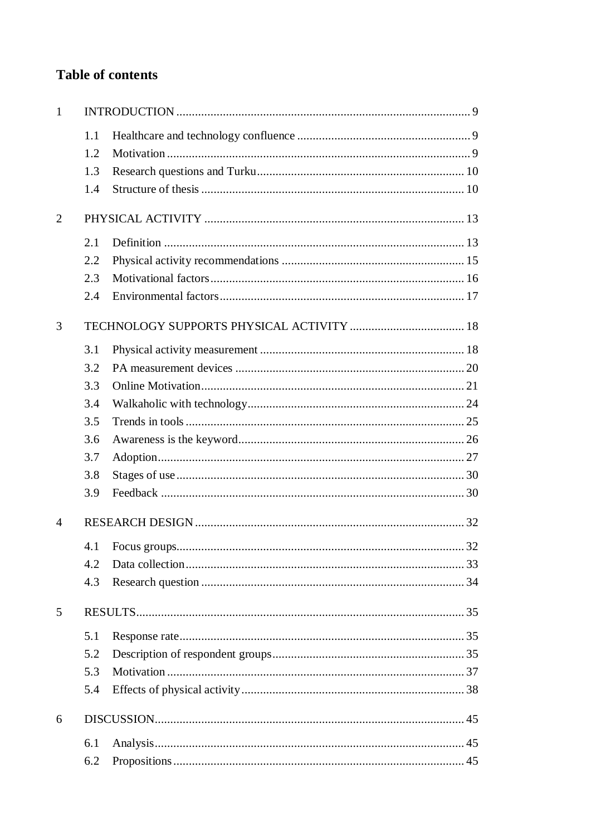# **Table of contents**

| 1              |     |  |  |
|----------------|-----|--|--|
|                | 1.1 |  |  |
|                | 1.2 |  |  |
|                | 1.3 |  |  |
|                | 1.4 |  |  |
| 2              |     |  |  |
|                | 2.1 |  |  |
|                | 2.2 |  |  |
|                | 2.3 |  |  |
|                | 2.4 |  |  |
| 3              |     |  |  |
|                | 3.1 |  |  |
|                | 3.2 |  |  |
|                | 3.3 |  |  |
|                | 3.4 |  |  |
|                | 3.5 |  |  |
|                | 3.6 |  |  |
|                | 3.7 |  |  |
|                | 3.8 |  |  |
|                | 3.9 |  |  |
| $\overline{4}$ |     |  |  |
|                |     |  |  |
|                | 4.2 |  |  |
|                | 4.3 |  |  |
| 5              |     |  |  |
|                | 5.1 |  |  |
|                | 5.2 |  |  |
|                | 5.3 |  |  |
|                | 5.4 |  |  |
| 6              |     |  |  |
|                | 6.1 |  |  |
|                | 6.2 |  |  |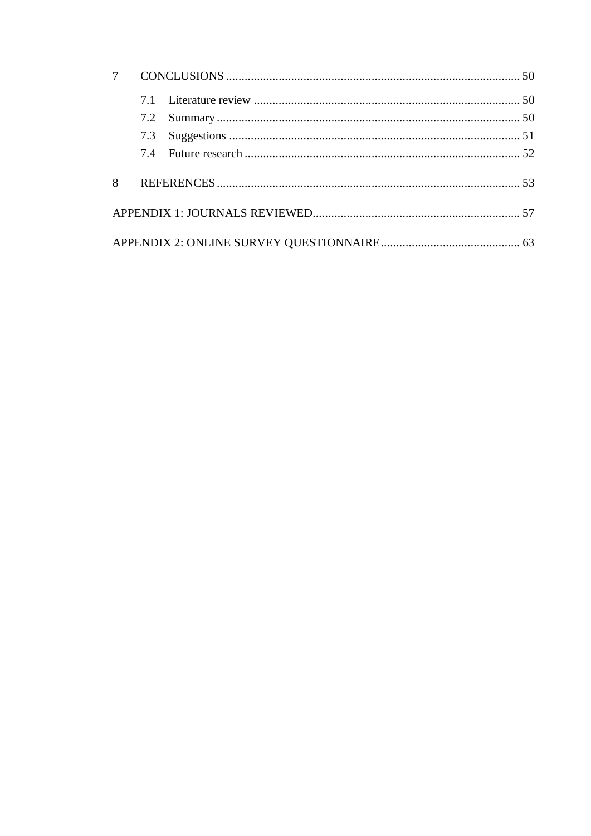|   | 7.3 |  |
|---|-----|--|
|   |     |  |
| 8 |     |  |
|   |     |  |
|   |     |  |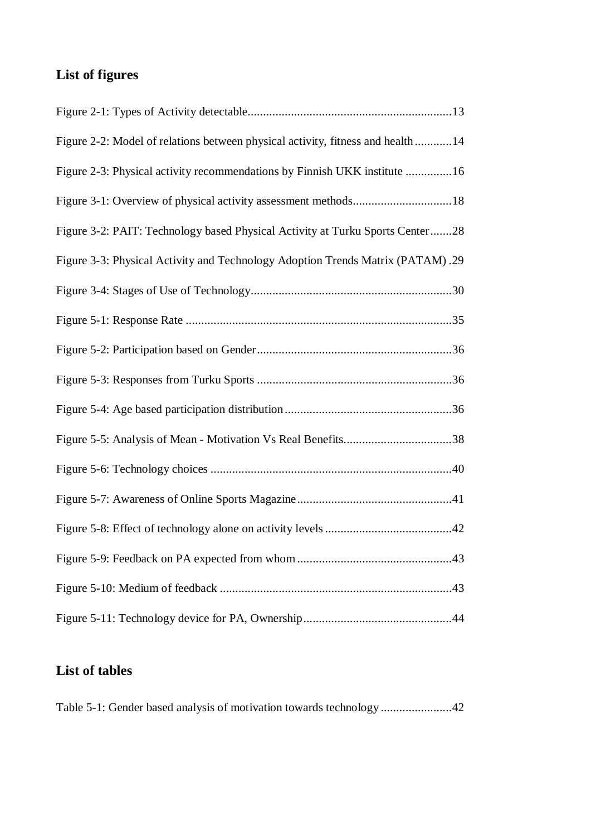# **List of figures**

| Figure 2-2: Model of relations between physical activity, fitness and health 14 |
|---------------------------------------------------------------------------------|
| Figure 2-3: Physical activity recommendations by Finnish UKK institute 16       |
|                                                                                 |
| Figure 3-2: PAIT: Technology based Physical Activity at Turku Sports Center28   |
| Figure 3-3: Physical Activity and Technology Adoption Trends Matrix (PATAM).29  |
|                                                                                 |
|                                                                                 |
|                                                                                 |
|                                                                                 |
|                                                                                 |
|                                                                                 |
|                                                                                 |
|                                                                                 |
|                                                                                 |
|                                                                                 |
|                                                                                 |
|                                                                                 |

# **List of tables**

Table 5-1: Gender based analysis of motivation towards technology ....................... 42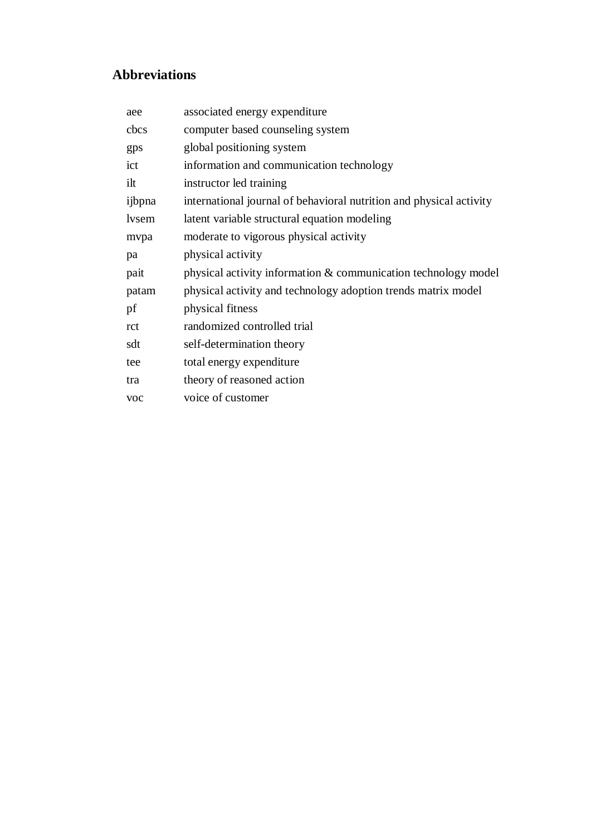# **Abbreviations**

| aee    | associated energy expenditure                                       |
|--------|---------------------------------------------------------------------|
| cbcs   | computer based counseling system                                    |
| gps    | global positioning system                                           |
| ict    | information and communication technology                            |
| ilt    | instructor led training                                             |
| ijbpna | international journal of behavioral nutrition and physical activity |
| lysem  | latent variable structural equation modeling                        |
| mvpa   | moderate to vigorous physical activity                              |
| pa     | physical activity                                                   |
| pait   | physical activity information & communication technology model      |
| patam  | physical activity and technology adoption trends matrix model       |
| pf     | physical fitness                                                    |
| rct    | randomized controlled trial                                         |
| sdt    | self-determination theory                                           |
| tee    | total energy expenditure                                            |
| tra    | theory of reasoned action                                           |
| voc    | voice of customer                                                   |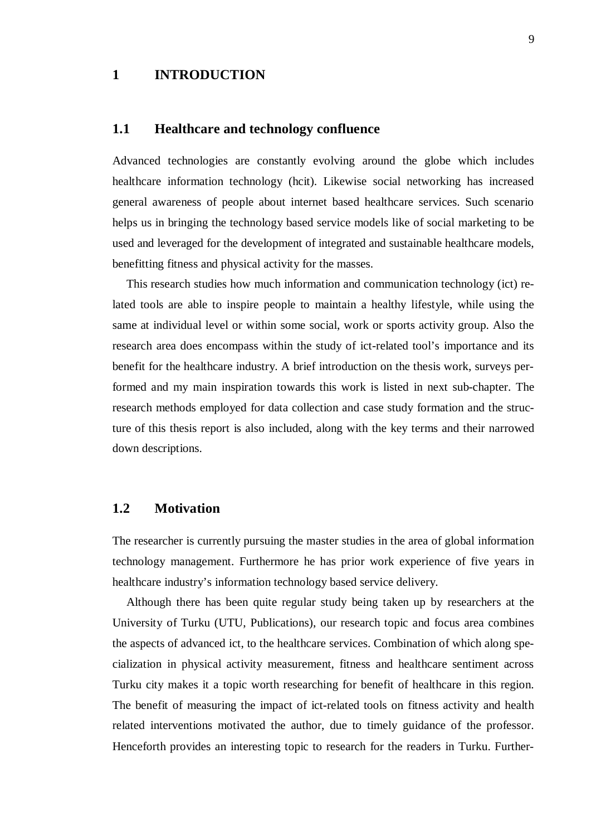# **1 INTRODUCTION**

## **1.1 Healthcare and technology confluence**

Advanced technologies are constantly evolving around the globe which includes healthcare information technology (hcit). Likewise social networking has increased general awareness of people about internet based healthcare services. Such scenario helps us in bringing the technology based service models like of social marketing to be used and leveraged for the development of integrated and sustainable healthcare models, benefitting fitness and physical activity for the masses.

This research studies how much information and communication technology (ict) related tools are able to inspire people to maintain a healthy lifestyle, while using the same at individual level or within some social, work or sports activity group. Also the research area does encompass within the study of ict-related tool's importance and its benefit for the healthcare industry. A brief introduction on the thesis work, surveys performed and my main inspiration towards this work is listed in next sub-chapter. The research methods employed for data collection and case study formation and the structure of this thesis report is also included, along with the key terms and their narrowed down descriptions.

### **1.2 Motivation**

The researcher is currently pursuing the master studies in the area of global information technology management. Furthermore he has prior work experience of five years in healthcare industry's information technology based service delivery.

Although there has been quite regular study being taken up by researchers at the University of Turku (UTU, Publications), our research topic and focus area combines the aspects of advanced ict, to the healthcare services. Combination of which along specialization in physical activity measurement, fitness and healthcare sentiment across Turku city makes it a topic worth researching for benefit of healthcare in this region. The benefit of measuring the impact of ict-related tools on fitness activity and health related interventions motivated the author, due to timely guidance of the professor. Henceforth provides an interesting topic to research for the readers in Turku. Further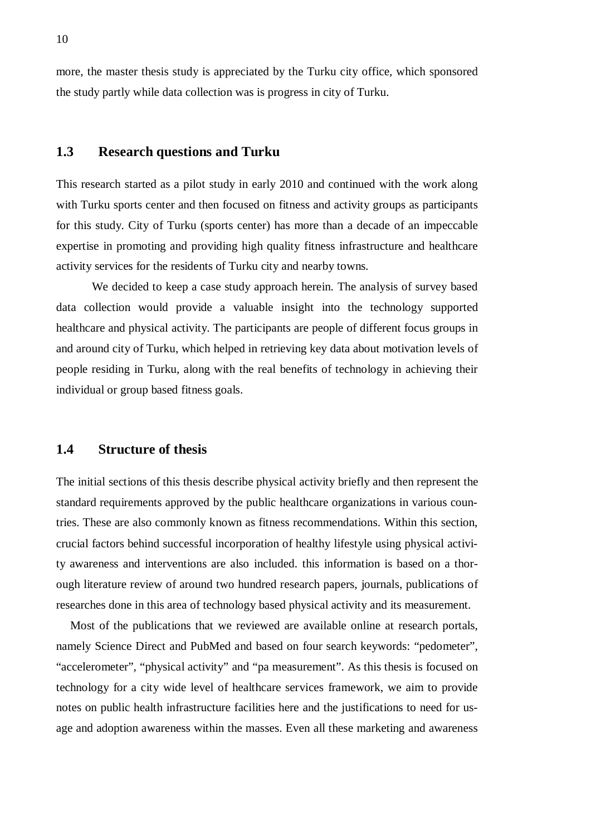more, the master thesis study is appreciated by the Turku city office, which sponsored the study partly while data collection was is progress in city of Turku.

### **1.3 Research questions and Turku**

This research started as a pilot study in early 2010 and continued with the work along with Turku sports center and then focused on fitness and activity groups as participants for this study. City of Turku (sports center) has more than a decade of an impeccable expertise in promoting and providing high quality fitness infrastructure and healthcare activity services for the residents of Turku city and nearby towns.

We decided to keep a case study approach herein. The analysis of survey based data collection would provide a valuable insight into the technology supported healthcare and physical activity. The participants are people of different focus groups in and around city of Turku, which helped in retrieving key data about motivation levels of people residing in Turku, along with the real benefits of technology in achieving their individual or group based fitness goals.

#### **1.4 Structure of thesis**

The initial sections of this thesis describe physical activity briefly and then represent the standard requirements approved by the public healthcare organizations in various countries. These are also commonly known as fitness recommendations. Within this section, crucial factors behind successful incorporation of healthy lifestyle using physical activity awareness and interventions are also included. this information is based on a thorough literature review of around two hundred research papers, journals, publications of researches done in this area of technology based physical activity and its measurement.

Most of the publications that we reviewed are available online at research portals, namely Science Direct and PubMed and based on four search keywords: "pedometer", "accelerometer", "physical activity" and "pa measurement". As this thesis is focused on technology for a city wide level of healthcare services framework, we aim to provide notes on public health infrastructure facilities here and the justifications to need for usage and adoption awareness within the masses. Even all these marketing and awareness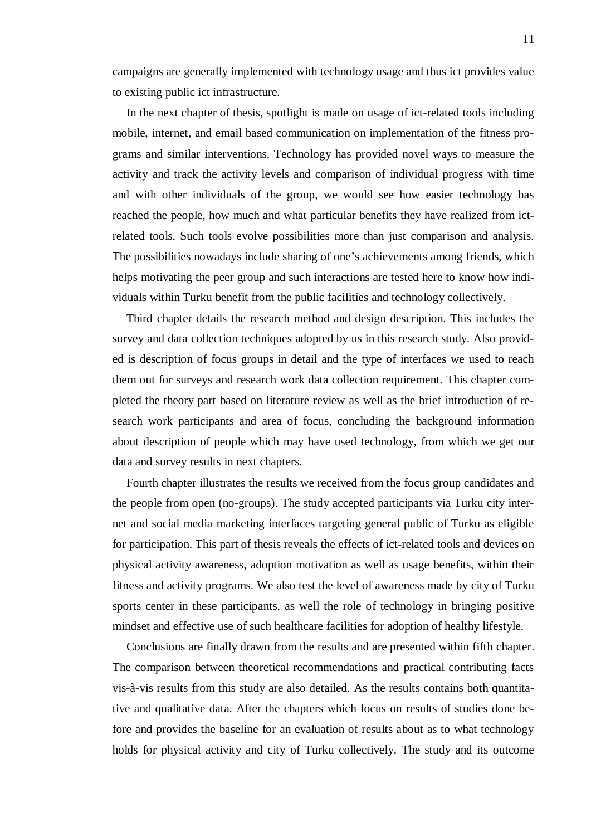campaigns are generally implemented with technology usage and thus ict provides value to existing public ict infrastructure.

In the next chapter of thesis, spotlight is made on usage of ict-related tools including mobile, internet, and email based communication on implementation of the fitness programs and similar interventions. Technology has provided novel ways to measure the activity and track the activity levels and comparison of individual progress with time and with other individuals of the group, we would see how easier technology has reached the people, how much and what particular benefits they have realized from ictrelated tools. Such tools evolve possibilities more than just comparison and analysis. The possibilities nowadays include sharing of one's achievements among friends, which helps motivating the peer group and such interactions are tested here to know how individuals within Turku benefit from the public facilities and technology collectively.

Third chapter details the research method and design description. This includes the survey and data collection techniques adopted by us in this research study. Also provided is description of focus groups in detail and the type of interfaces we used to reach them out for surveys and research work data collection requirement. This chapter completed the theory part based on literature review as well as the brief introduction of research work participants and area of focus, concluding the background information about description of people which may have used technology, from which we get our data and survey results in next chapters.

Fourth chapter illustrates the results we received from the focus group candidates and the people from open (no-groups). The study accepted participants via Turku city internet and social media marketing interfaces targeting general public of Turku as eligible for participation. This part of thesis reveals the effects of ict-related tools and devices on physical activity awareness, adoption motivation as well as usage benefits, within their fitness and activity programs. We also test the level of awareness made by city of Turku sports center in these participants, as well the role of technology in bringing positive mindset and effective use of such healthcare facilities for adoption of healthy lifestyle.

Conclusions are finally drawn from the results and are presented within fifth chapter. The comparison between theoretical recommendations and practical contributing facts vis-à-vis results from this study are also detailed. As the results contains both quantitative and qualitative data. After the chapters which focus on results of studies done before and provides the baseline for an evaluation of results about as to what technology holds for physical activity and city of Turku collectively. The study and its outcome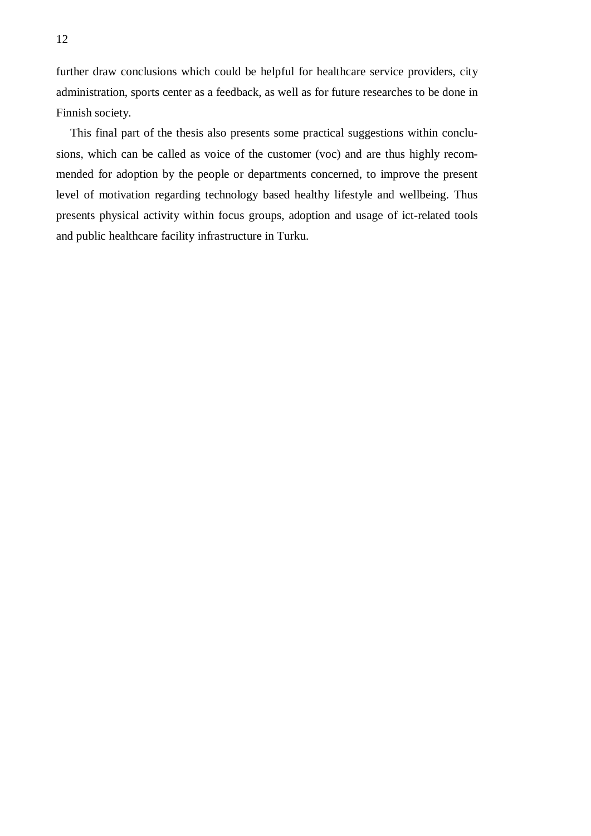further draw conclusions which could be helpful for healthcare service providers, city administration, sports center as a feedback, as well as for future researches to be done in Finnish society.

This final part of the thesis also presents some practical suggestions within conclusions, which can be called as voice of the customer (voc) and are thus highly recommended for adoption by the people or departments concerned, to improve the present level of motivation regarding technology based healthy lifestyle and wellbeing. Thus presents physical activity within focus groups, adoption and usage of ict-related tools and public healthcare facility infrastructure in Turku.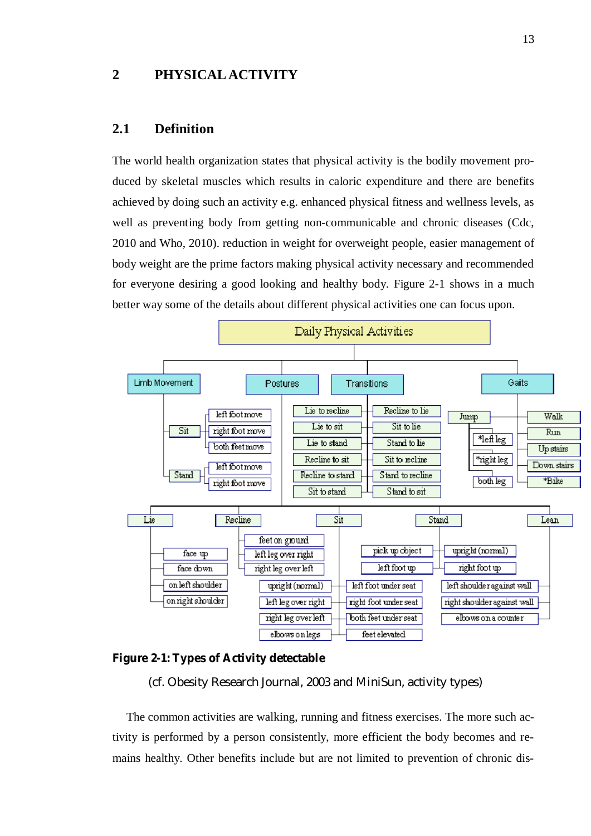# **2 PHYSICAL ACTIVITY**

# **2.1 Definition**

The world health organization states that physical activity is the bodily movement produced by skeletal muscles which results in caloric expenditure and there are benefits achieved by doing such an activity e.g. enhanced physical fitness and wellness levels, as well as preventing body from getting non-communicable and chronic diseases (Cdc, 2010 and Who, 2010). reduction in weight for overweight people, easier management of body weight are the prime factors making physical activity necessary and recommended for everyone desiring a good looking and healthy body. Figure 2-1 shows in a much better way some of the details about different physical activities one can focus upon.





(cf. Obesity Research Journal, 2003 and MiniSun, activity types)

The common activities are walking, running and fitness exercises. The more such activity is performed by a person consistently, more efficient the body becomes and remains healthy. Other benefits include but are not limited to prevention of chronic dis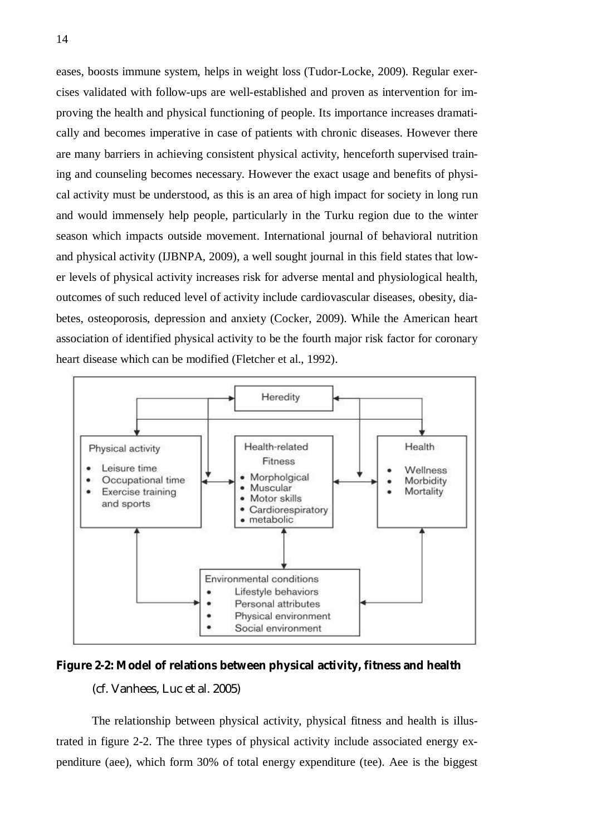eases, boosts immune system, helps in weight loss (Tudor-Locke, 2009). Regular exercises validated with follow-ups are well-established and proven as intervention for improving the health and physical functioning of people. Its importance increases dramatically and becomes imperative in case of patients with chronic diseases. However there are many barriers in achieving consistent physical activity, henceforth supervised training and counseling becomes necessary. However the exact usage and benefits of physical activity must be understood, as this is an area of high impact for society in long run and would immensely help people, particularly in the Turku region due to the winter season which impacts outside movement. International journal of behavioral nutrition and physical activity (IJBNPA, 2009), a well sought journal in this field states that lower levels of physical activity increases risk for adverse mental and physiological health, outcomes of such reduced level of activity include cardiovascular diseases, obesity, diabetes, osteoporosis, depression and anxiety (Cocker, 2009). While the American heart association of identified physical activity to be the fourth major risk factor for coronary heart disease which can be modified (Fletcher et al., 1992).



**Figure 2-2: Model of relations between physical activity, fitness and health**  (cf. Vanhees, Luc et al. 2005)

The relationship between physical activity, physical fitness and health is illustrated in figure 2-2. The three types of physical activity include associated energy expenditure (aee), which form 30% of total energy expenditure (tee). Aee is the biggest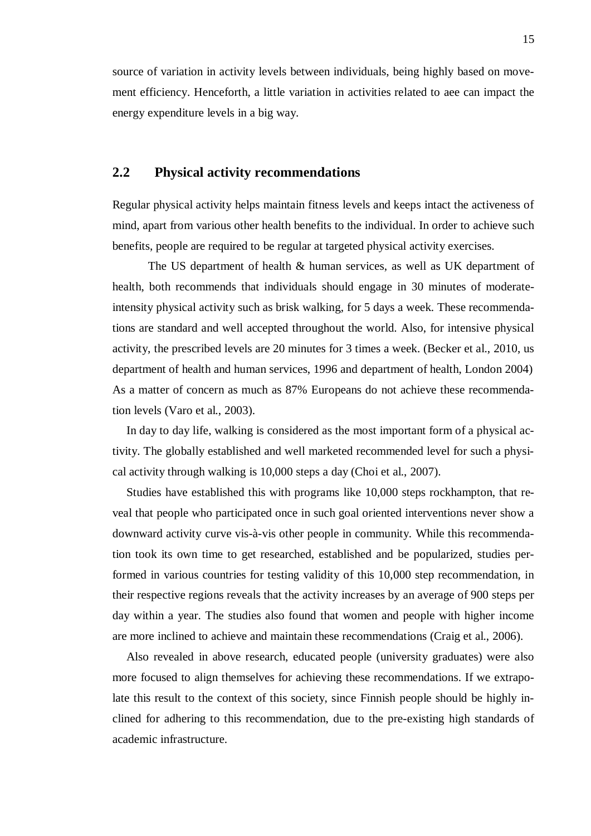source of variation in activity levels between individuals, being highly based on movement efficiency. Henceforth, a little variation in activities related to aee can impact the energy expenditure levels in a big way.

# **2.2 Physical activity recommendations**

Regular physical activity helps maintain fitness levels and keeps intact the activeness of mind, apart from various other health benefits to the individual. In order to achieve such benefits, people are required to be regular at targeted physical activity exercises.

The US department of health & human services, as well as UK department of health, both recommends that individuals should engage in 30 minutes of moderateintensity physical activity such as brisk walking, for 5 days a week. These recommendations are standard and well accepted throughout the world. Also, for intensive physical activity, the prescribed levels are 20 minutes for 3 times a week. (Becker et al., 2010, us department of health and human services, 1996 and department of health, London 2004) As a matter of concern as much as 87% Europeans do not achieve these recommendation levels (Varo et al., 2003).

In day to day life, walking is considered as the most important form of a physical activity. The globally established and well marketed recommended level for such a physical activity through walking is 10,000 steps a day (Choi et al., 2007).

Studies have established this with programs like 10,000 steps rockhampton, that reveal that people who participated once in such goal oriented interventions never show a downward activity curve vis-à-vis other people in community. While this recommendation took its own time to get researched, established and be popularized, studies performed in various countries for testing validity of this 10,000 step recommendation, in their respective regions reveals that the activity increases by an average of 900 steps per day within a year. The studies also found that women and people with higher income are more inclined to achieve and maintain these recommendations (Craig et al., 2006).

Also revealed in above research, educated people (university graduates) were also more focused to align themselves for achieving these recommendations. If we extrapolate this result to the context of this society, since Finnish people should be highly inclined for adhering to this recommendation, due to the pre-existing high standards of academic infrastructure.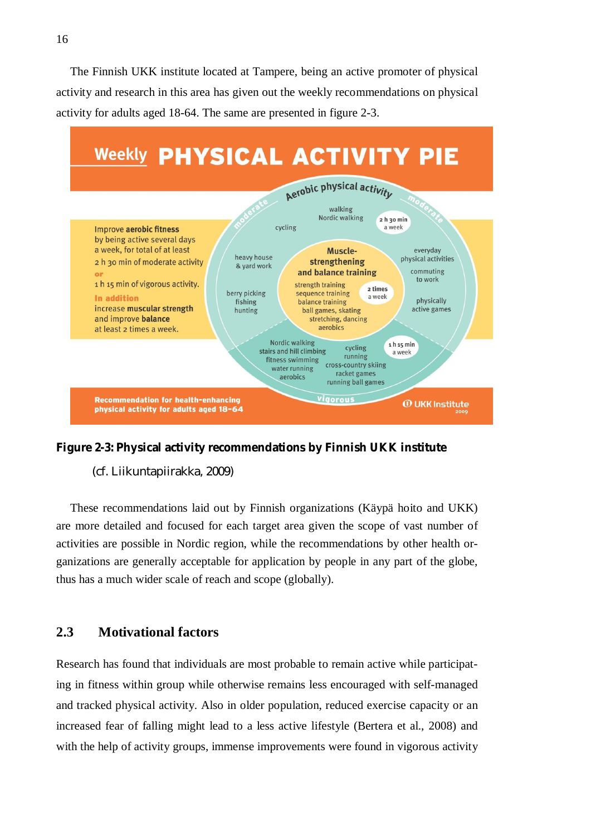The Finnish UKK institute located at Tampere, being an active promoter of physical activity and research in this area has given out the weekly recommendations on physical activity for adults aged 18-64. The same are presented in figure 2-3.



**Figure 2-3: Physical activity recommendations by Finnish UKK institute** 

(cf. Liikuntapiirakka, 2009)

These recommendations laid out by Finnish organizations (Käypä hoito and UKK) are more detailed and focused for each target area given the scope of vast number of activities are possible in Nordic region, while the recommendations by other health organizations are generally acceptable for application by people in any part of the globe, thus has a much wider scale of reach and scope (globally).

# **2.3 Motivational factors**

Research has found that individuals are most probable to remain active while participating in fitness within group while otherwise remains less encouraged with self-managed and tracked physical activity. Also in older population, reduced exercise capacity or an increased fear of falling might lead to a less active lifestyle (Bertera et al., 2008) and with the help of activity groups, immense improvements were found in vigorous activity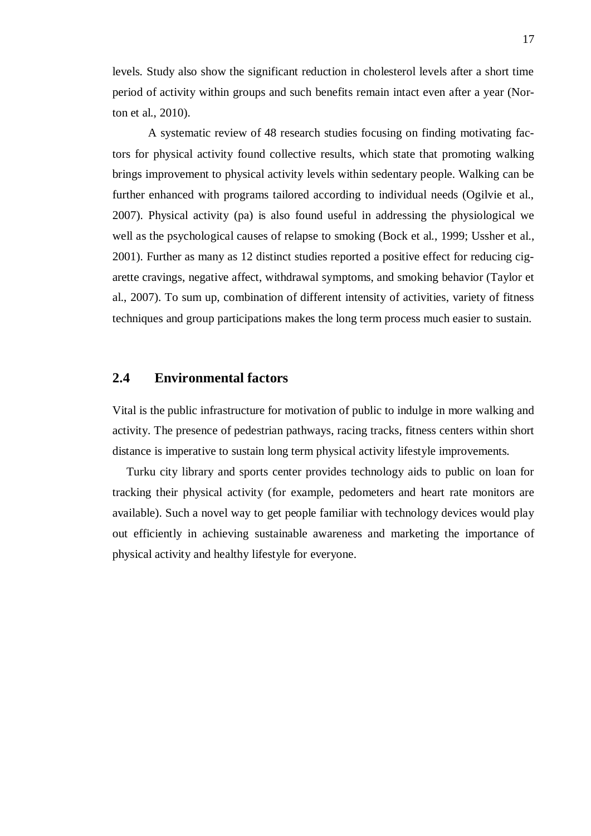levels. Study also show the significant reduction in cholesterol levels after a short time period of activity within groups and such benefits remain intact even after a year (Norton et al., 2010).

A systematic review of 48 research studies focusing on finding motivating factors for physical activity found collective results, which state that promoting walking brings improvement to physical activity levels within sedentary people. Walking can be further enhanced with programs tailored according to individual needs (Ogilvie et al., 2007). Physical activity (pa) is also found useful in addressing the physiological we well as the psychological causes of relapse to smoking (Bock et al., 1999; Ussher et al., 2001). Further as many as 12 distinct studies reported a positive effect for reducing cigarette cravings, negative affect, withdrawal symptoms, and smoking behavior (Taylor et al., 2007). To sum up, combination of different intensity of activities, variety of fitness techniques and group participations makes the long term process much easier to sustain.

### **2.4 Environmental factors**

Vital is the public infrastructure for motivation of public to indulge in more walking and activity. The presence of pedestrian pathways, racing tracks, fitness centers within short distance is imperative to sustain long term physical activity lifestyle improvements.

Turku city library and sports center provides technology aids to public on loan for tracking their physical activity (for example, pedometers and heart rate monitors are available). Such a novel way to get people familiar with technology devices would play out efficiently in achieving sustainable awareness and marketing the importance of physical activity and healthy lifestyle for everyone.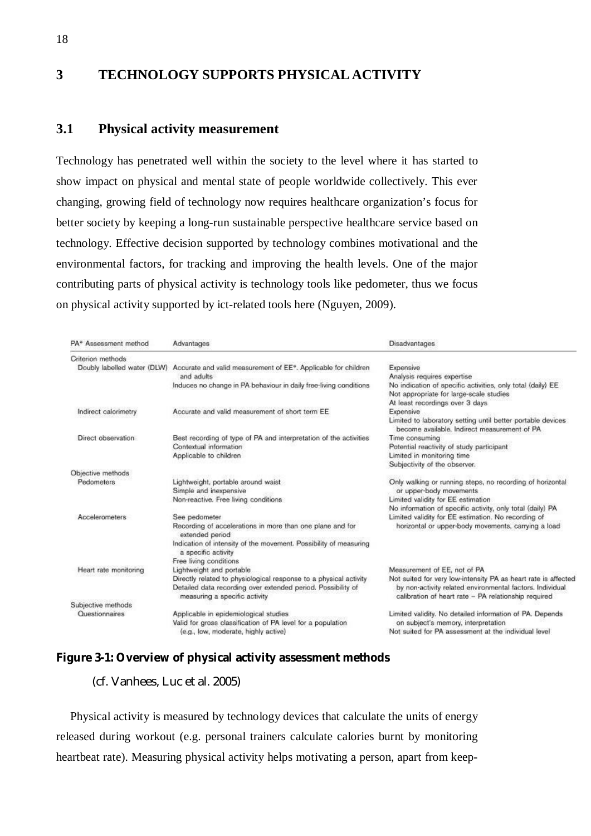# **3 TECHNOLOGY SUPPORTS PHYSICAL ACTIVITY**

## **3.1 Physical activity measurement**

Technology has penetrated well within the society to the level where it has started to show impact on physical and mental state of people worldwide collectively. This ever changing, growing field of technology now requires healthcare organization's focus for better society by keeping a long-run sustainable perspective healthcare service based on technology. Effective decision supported by technology combines motivational and the environmental factors, for tracking and improving the health levels. One of the major contributing parts of physical activity is technology tools like pedometer, thus we focus on physical activity supported by ict-related tools here (Nguyen, 2009).

| PA* Assessment method | Advantages                                                                                    | <b>Disadvantages</b>                                                                                              |  |
|-----------------------|-----------------------------------------------------------------------------------------------|-------------------------------------------------------------------------------------------------------------------|--|
| Criterion methods     |                                                                                               |                                                                                                                   |  |
|                       | Doubly labelled water (DLW) Accurate and valid measurement of EE*. Applicable for children    | Expensive                                                                                                         |  |
|                       | and adults                                                                                    | Analysis requires expertise                                                                                       |  |
|                       | Induces no change in PA behaviour in daily free-living conditions                             | No indication of specific activities, only total (daily) EE                                                       |  |
|                       |                                                                                               | Not appropriate for large-scale studies                                                                           |  |
|                       |                                                                                               | At least recordings over 3 days                                                                                   |  |
| Indirect calorimetry  | Accurate and valid measurement of short term EE                                               | Expensive                                                                                                         |  |
|                       |                                                                                               | Limited to laboratory setting until better portable devices<br>become available. Indirect measurement of PA       |  |
| Direct observation    | Best recording of type of PA and interpretation of the activities                             | Time consuming                                                                                                    |  |
|                       | Contextual information                                                                        | Potential reactivity of study participant                                                                         |  |
|                       | Applicable to children                                                                        | Limited in monitoring time                                                                                        |  |
|                       |                                                                                               | Subjectivity of the observer.                                                                                     |  |
| Objective methods     |                                                                                               |                                                                                                                   |  |
| Pedometers            | Lightweight, portable around waist<br>Simple and inexpensive                                  | Only walking or running steps, no recording of horizontal<br>or upper-body movements                              |  |
|                       | Non-reactive. Free living conditions                                                          | Limited validity for EE estimation                                                                                |  |
|                       |                                                                                               | No information of specific activity, only total (daily) PA                                                        |  |
| <b>Accelerometers</b> | See pedometer                                                                                 | Limited validity for EE estimation. No recording of                                                               |  |
|                       | Recording of accelerations in more than one plane and for<br>extended period                  | horizontal or upper-body movements, carrying a load                                                               |  |
|                       | Indication of intensity of the movement. Possibility of measuring<br>a specific activity      |                                                                                                                   |  |
|                       | Free living conditions                                                                        |                                                                                                                   |  |
| Heart rate monitoring | Lightweight and portable                                                                      | Measurement of EE, not of PA                                                                                      |  |
|                       | Directly related to physiological response to a physical activity                             | Not suited for very low-intensity PA as heart rate is affected                                                    |  |
|                       | Detailed data recording over extended period. Possibility of<br>measuring a specific activity | by non-activity related environmental factors. Individual<br>calibration of heart rate - PA relationship required |  |
| Subjective methods    |                                                                                               |                                                                                                                   |  |
| Questionnaires        | Applicable in epidemiological studies                                                         | Limited validity. No detailed information of PA. Depends                                                          |  |
|                       | Valid for gross classification of PA level for a population                                   | on subject's memory, interpretation                                                                               |  |
|                       | (e.g., low, moderate, highly active)                                                          | Not suited for PA assessment at the individual level                                                              |  |

# **Figure 3-1: Overview of physical activity assessment methods**

(cf. Vanhees, Luc et al. 2005)

Physical activity is measured by technology devices that calculate the units of energy released during workout (e.g. personal trainers calculate calories burnt by monitoring heartbeat rate). Measuring physical activity helps motivating a person, apart from keep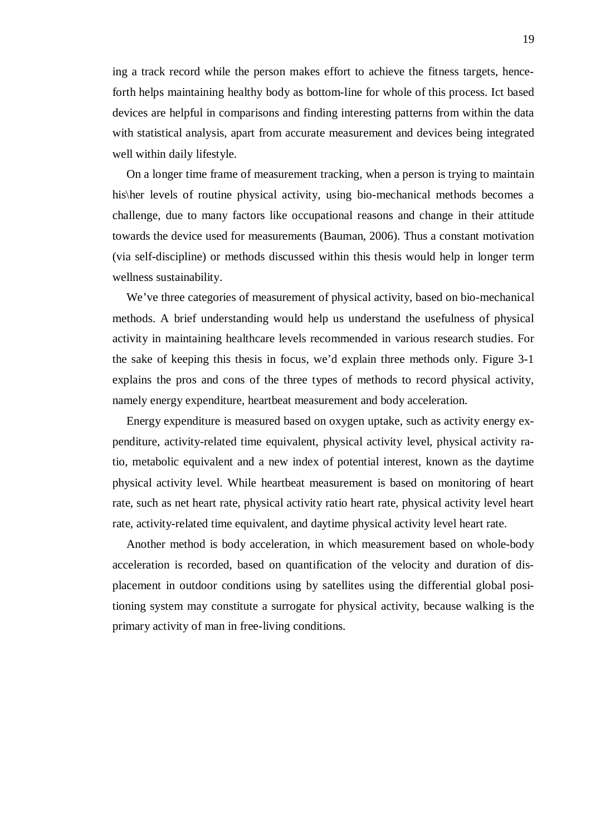ing a track record while the person makes effort to achieve the fitness targets, henceforth helps maintaining healthy body as bottom-line for whole of this process. Ict based devices are helpful in comparisons and finding interesting patterns from within the data with statistical analysis, apart from accurate measurement and devices being integrated well within daily lifestyle.

On a longer time frame of measurement tracking, when a person is trying to maintain his\her levels of routine physical activity, using bio-mechanical methods becomes a challenge, due to many factors like occupational reasons and change in their attitude towards the device used for measurements (Bauman, 2006). Thus a constant motivation (via self-discipline) or methods discussed within this thesis would help in longer term wellness sustainability.

We've three categories of measurement of physical activity, based on bio-mechanical methods. A brief understanding would help us understand the usefulness of physical activity in maintaining healthcare levels recommended in various research studies. For the sake of keeping this thesis in focus, we'd explain three methods only. Figure 3-1 explains the pros and cons of the three types of methods to record physical activity, namely energy expenditure, heartbeat measurement and body acceleration.

Energy expenditure is measured based on oxygen uptake, such as activity energy expenditure, activity-related time equivalent, physical activity level, physical activity ratio, metabolic equivalent and a new index of potential interest, known as the daytime physical activity level. While heartbeat measurement is based on monitoring of heart rate, such as net heart rate, physical activity ratio heart rate, physical activity level heart rate, activity-related time equivalent, and daytime physical activity level heart rate.

Another method is body acceleration, in which measurement based on whole-body acceleration is recorded, based on quantification of the velocity and duration of displacement in outdoor conditions using by satellites using the differential global positioning system may constitute a surrogate for physical activity, because walking is the primary activity of man in free-living conditions.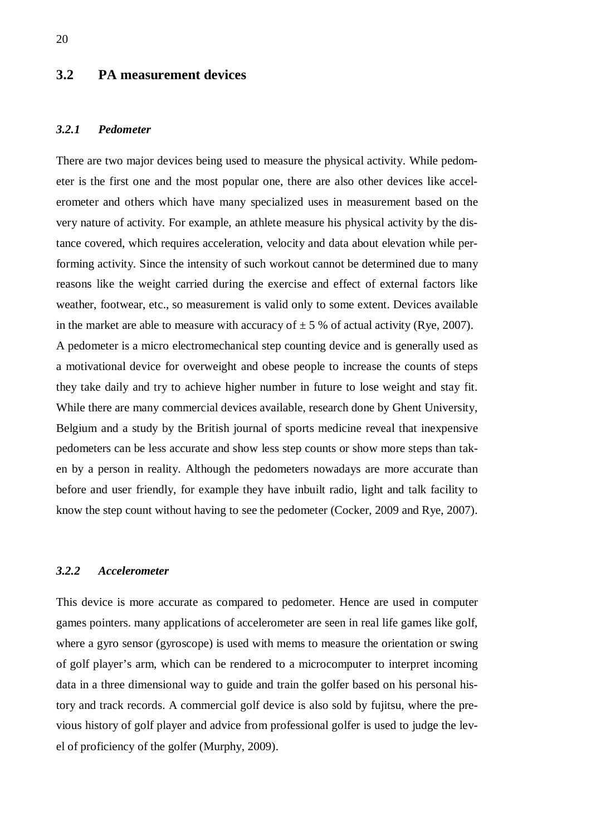# **3.2 PA measurement devices**

#### *3.2.1 Pedometer*

There are two major devices being used to measure the physical activity. While pedometer is the first one and the most popular one, there are also other devices like accelerometer and others which have many specialized uses in measurement based on the very nature of activity. For example, an athlete measure his physical activity by the distance covered, which requires acceleration, velocity and data about elevation while performing activity. Since the intensity of such workout cannot be determined due to many reasons like the weight carried during the exercise and effect of external factors like weather, footwear, etc., so measurement is valid only to some extent. Devices available in the market are able to measure with accuracy of  $\pm$  5 % of actual activity (Rye, 2007). A pedometer is a micro electromechanical step counting device and is generally used as a motivational device for overweight and obese people to increase the counts of steps they take daily and try to achieve higher number in future to lose weight and stay fit. While there are many commercial devices available, research done by Ghent University, Belgium and a study by the British journal of sports medicine reveal that inexpensive pedometers can be less accurate and show less step counts or show more steps than taken by a person in reality. Although the pedometers nowadays are more accurate than before and user friendly, for example they have inbuilt radio, light and talk facility to know the step count without having to see the pedometer (Cocker, 2009 and Rye, 2007).

#### *3.2.2 Accelerometer*

This device is more accurate as compared to pedometer. Hence are used in computer games pointers. many applications of accelerometer are seen in real life games like golf, where a gyro sensor (gyroscope) is used with mems to measure the orientation or swing of golf player's arm, which can be rendered to a microcomputer to interpret incoming data in a three dimensional way to guide and train the golfer based on his personal history and track records. A commercial golf device is also sold by fujitsu, where the previous history of golf player and advice from professional golfer is used to judge the level of proficiency of the golfer (Murphy, 2009).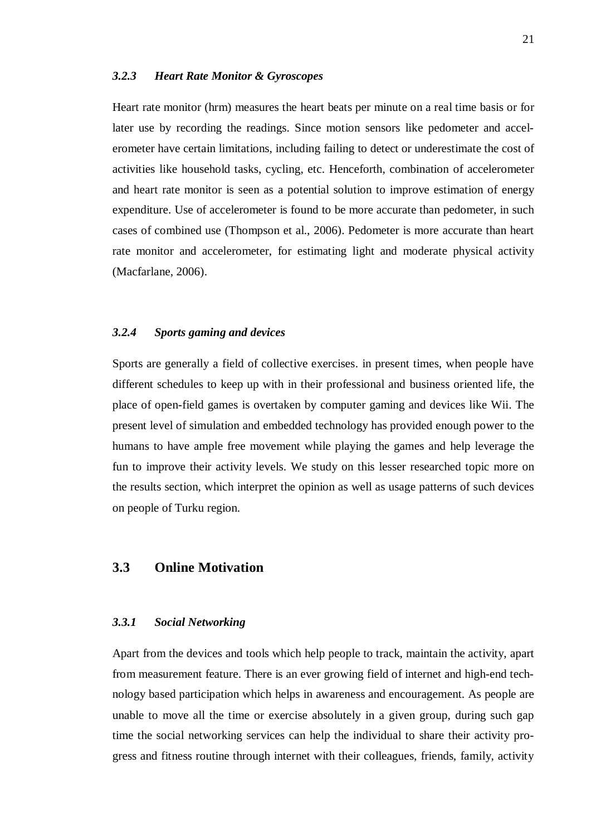#### *3.2.3 Heart Rate Monitor & Gyroscopes*

Heart rate monitor (hrm) measures the heart beats per minute on a real time basis or for later use by recording the readings. Since motion sensors like pedometer and accelerometer have certain limitations, including failing to detect or underestimate the cost of activities like household tasks, cycling, etc. Henceforth, combination of accelerometer and heart rate monitor is seen as a potential solution to improve estimation of energy expenditure. Use of accelerometer is found to be more accurate than pedometer, in such cases of combined use (Thompson et al., 2006). Pedometer is more accurate than heart rate monitor and accelerometer, for estimating light and moderate physical activity (Macfarlane, 2006).

### *3.2.4 Sports gaming and devices*

Sports are generally a field of collective exercises. in present times, when people have different schedules to keep up with in their professional and business oriented life, the place of open-field games is overtaken by computer gaming and devices like Wii. The present level of simulation and embedded technology has provided enough power to the humans to have ample free movement while playing the games and help leverage the fun to improve their activity levels. We study on this lesser researched topic more on the results section, which interpret the opinion as well as usage patterns of such devices on people of Turku region.

## **3.3 Online Motivation**

#### *3.3.1 Social Networking*

Apart from the devices and tools which help people to track, maintain the activity, apart from measurement feature. There is an ever growing field of internet and high-end technology based participation which helps in awareness and encouragement. As people are unable to move all the time or exercise absolutely in a given group, during such gap time the social networking services can help the individual to share their activity progress and fitness routine through internet with their colleagues, friends, family, activity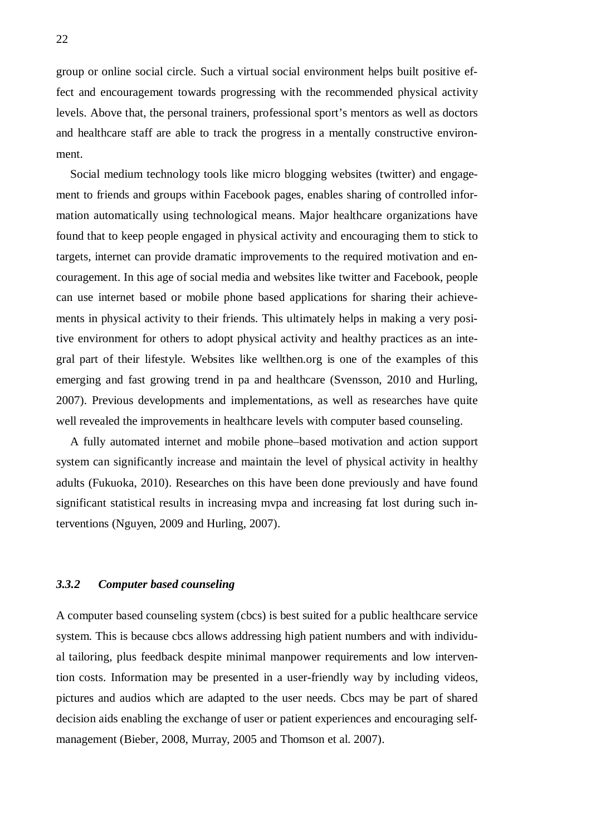group or online social circle. Such a virtual social environment helps built positive effect and encouragement towards progressing with the recommended physical activity levels. Above that, the personal trainers, professional sport's mentors as well as doctors and healthcare staff are able to track the progress in a mentally constructive environment.

Social medium technology tools like micro blogging websites (twitter) and engagement to friends and groups within Facebook pages, enables sharing of controlled information automatically using technological means. Major healthcare organizations have found that to keep people engaged in physical activity and encouraging them to stick to targets, internet can provide dramatic improvements to the required motivation and encouragement. In this age of social media and websites like twitter and Facebook, people can use internet based or mobile phone based applications for sharing their achievements in physical activity to their friends. This ultimately helps in making a very positive environment for others to adopt physical activity and healthy practices as an integral part of their lifestyle. Websites like wellthen.org is one of the examples of this emerging and fast growing trend in pa and healthcare (Svensson, 2010 and Hurling, 2007). Previous developments and implementations, as well as researches have quite well revealed the improvements in healthcare levels with computer based counseling.

A fully automated internet and mobile phone–based motivation and action support system can significantly increase and maintain the level of physical activity in healthy adults (Fukuoka, 2010). Researches on this have been done previously and have found significant statistical results in increasing mvpa and increasing fat lost during such interventions (Nguyen, 2009 and Hurling, 2007).

#### *3.3.2 Computer based counseling*

A computer based counseling system (cbcs) is best suited for a public healthcare service system. This is because cbcs allows addressing high patient numbers and with individual tailoring, plus feedback despite minimal manpower requirements and low intervention costs. Information may be presented in a user-friendly way by including videos, pictures and audios which are adapted to the user needs. Cbcs may be part of shared decision aids enabling the exchange of user or patient experiences and encouraging selfmanagement (Bieber, 2008, Murray, 2005 and Thomson et al. 2007).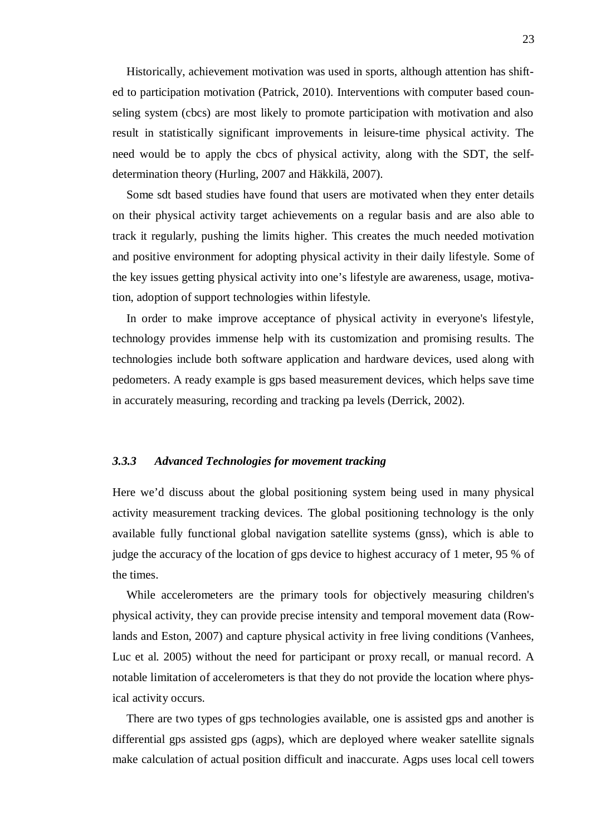Historically, achievement motivation was used in sports, although attention has shifted to participation motivation (Patrick, 2010). Interventions with computer based counseling system (cbcs) are most likely to promote participation with motivation and also result in statistically significant improvements in leisure-time physical activity. The need would be to apply the cbcs of physical activity, along with the SDT, the selfdetermination theory (Hurling, 2007 and Häkkilä, 2007).

Some sdt based studies have found that users are motivated when they enter details on their physical activity target achievements on a regular basis and are also able to track it regularly, pushing the limits higher. This creates the much needed motivation and positive environment for adopting physical activity in their daily lifestyle. Some of the key issues getting physical activity into one's lifestyle are awareness, usage, motivation, adoption of support technologies within lifestyle.

In order to make improve acceptance of physical activity in everyone's lifestyle, technology provides immense help with its customization and promising results. The technologies include both software application and hardware devices, used along with pedometers. A ready example is gps based measurement devices, which helps save time in accurately measuring, recording and tracking pa levels (Derrick, 2002).

#### *3.3.3 Advanced Technologies for movement tracking*

Here we'd discuss about the global positioning system being used in many physical activity measurement tracking devices. The global positioning technology is the only available fully functional global navigation satellite systems (gnss), which is able to judge the accuracy of the location of gps device to highest accuracy of 1 meter, 95 % of the times.

While accelerometers are the primary tools for objectively measuring children's physical activity, they can provide precise intensity and temporal movement data (Rowlands and Eston, 2007) and capture physical activity in free living conditions (Vanhees, Luc et al. 2005) without the need for participant or proxy recall, or manual record. A notable limitation of accelerometers is that they do not provide the location where physical activity occurs.

There are two types of gps technologies available, one is assisted gps and another is differential gps assisted gps (agps), which are deployed where weaker satellite signals make calculation of actual position difficult and inaccurate. Agps uses local cell towers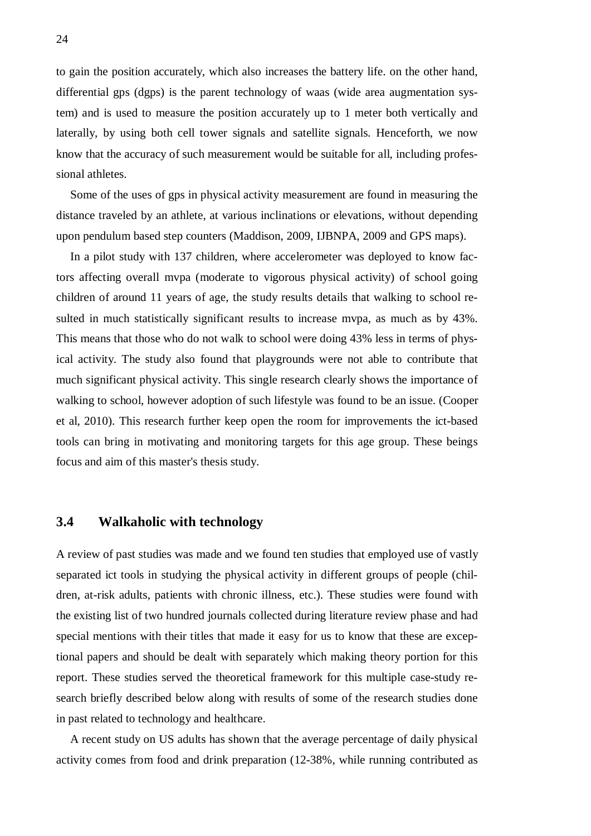to gain the position accurately, which also increases the battery life. on the other hand, differential gps (dgps) is the parent technology of waas (wide area augmentation system) and is used to measure the position accurately up to 1 meter both vertically and laterally, by using both cell tower signals and satellite signals. Henceforth, we now know that the accuracy of such measurement would be suitable for all, including professional athletes.

Some of the uses of gps in physical activity measurement are found in measuring the distance traveled by an athlete, at various inclinations or elevations, without depending upon pendulum based step counters (Maddison, 2009, IJBNPA, 2009 and GPS maps).

In a pilot study with 137 children, where accelerometer was deployed to know factors affecting overall mvpa (moderate to vigorous physical activity) of school going children of around 11 years of age, the study results details that walking to school resulted in much statistically significant results to increase mvpa, as much as by 43%. This means that those who do not walk to school were doing 43% less in terms of physical activity. The study also found that playgrounds were not able to contribute that much significant physical activity. This single research clearly shows the importance of walking to school, however adoption of such lifestyle was found to be an issue. (Cooper et al, 2010). This research further keep open the room for improvements the ict-based tools can bring in motivating and monitoring targets for this age group. These beings focus and aim of this master's thesis study.

# **3.4 Walkaholic with technology**

A review of past studies was made and we found ten studies that employed use of vastly separated ict tools in studying the physical activity in different groups of people (children, at-risk adults, patients with chronic illness, etc.). These studies were found with the existing list of two hundred journals collected during literature review phase and had special mentions with their titles that made it easy for us to know that these are exceptional papers and should be dealt with separately which making theory portion for this report. These studies served the theoretical framework for this multiple case-study research briefly described below along with results of some of the research studies done in past related to technology and healthcare.

A recent study on US adults has shown that the average percentage of daily physical activity comes from food and drink preparation (12-38%, while running contributed as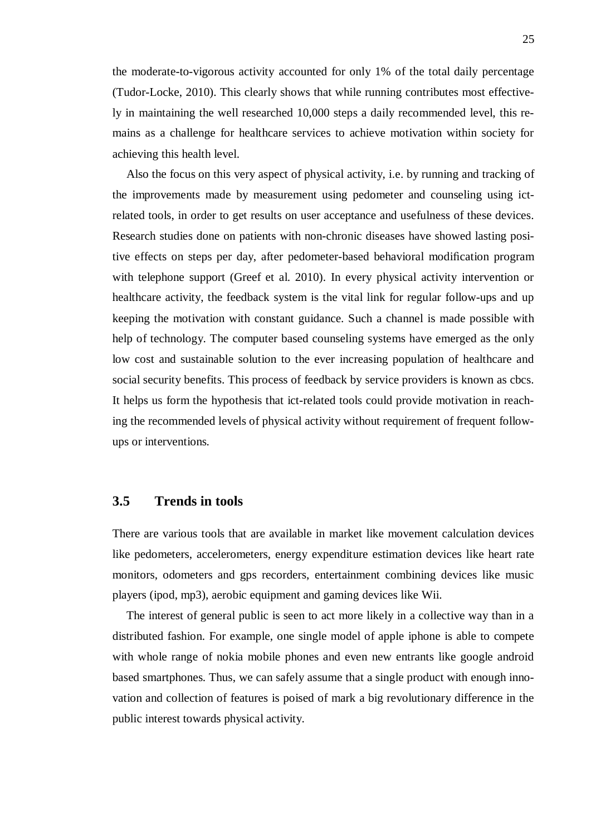the moderate-to-vigorous activity accounted for only 1% of the total daily percentage (Tudor-Locke, 2010). This clearly shows that while running contributes most effectively in maintaining the well researched 10,000 steps a daily recommended level, this remains as a challenge for healthcare services to achieve motivation within society for achieving this health level.

Also the focus on this very aspect of physical activity, i.e. by running and tracking of the improvements made by measurement using pedometer and counseling using ictrelated tools, in order to get results on user acceptance and usefulness of these devices. Research studies done on patients with non-chronic diseases have showed lasting positive effects on steps per day, after pedometer-based behavioral modification program with telephone support (Greef et al. 2010). In every physical activity intervention or healthcare activity, the feedback system is the vital link for regular follow-ups and up keeping the motivation with constant guidance. Such a channel is made possible with help of technology. The computer based counseling systems have emerged as the only low cost and sustainable solution to the ever increasing population of healthcare and social security benefits. This process of feedback by service providers is known as cbcs. It helps us form the hypothesis that ict-related tools could provide motivation in reaching the recommended levels of physical activity without requirement of frequent followups or interventions.

### **3.5 Trends in tools**

There are various tools that are available in market like movement calculation devices like pedometers, accelerometers, energy expenditure estimation devices like heart rate monitors, odometers and gps recorders, entertainment combining devices like music players (ipod, mp3), aerobic equipment and gaming devices like Wii.

The interest of general public is seen to act more likely in a collective way than in a distributed fashion. For example, one single model of apple iphone is able to compete with whole range of nokia mobile phones and even new entrants like google android based smartphones. Thus, we can safely assume that a single product with enough innovation and collection of features is poised of mark a big revolutionary difference in the public interest towards physical activity.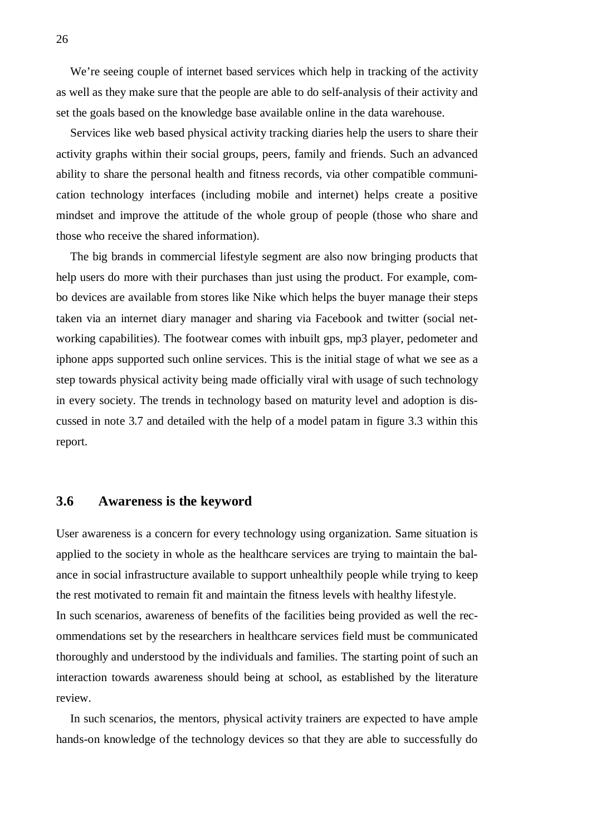We're seeing couple of internet based services which help in tracking of the activity as well as they make sure that the people are able to do self-analysis of their activity and set the goals based on the knowledge base available online in the data warehouse.

Services like web based physical activity tracking diaries help the users to share their activity graphs within their social groups, peers, family and friends. Such an advanced ability to share the personal health and fitness records, via other compatible communication technology interfaces (including mobile and internet) helps create a positive mindset and improve the attitude of the whole group of people (those who share and those who receive the shared information).

The big brands in commercial lifestyle segment are also now bringing products that help users do more with their purchases than just using the product. For example, combo devices are available from stores like Nike which helps the buyer manage their steps taken via an internet diary manager and sharing via Facebook and twitter (social networking capabilities). The footwear comes with inbuilt gps, mp3 player, pedometer and iphone apps supported such online services. This is the initial stage of what we see as a step towards physical activity being made officially viral with usage of such technology in every society. The trends in technology based on maturity level and adoption is discussed in note 3.7 and detailed with the help of a model patam in figure 3.3 within this report.

# **3.6 Awareness is the keyword**

User awareness is a concern for every technology using organization. Same situation is applied to the society in whole as the healthcare services are trying to maintain the balance in social infrastructure available to support unhealthily people while trying to keep the rest motivated to remain fit and maintain the fitness levels with healthy lifestyle. In such scenarios, awareness of benefits of the facilities being provided as well the recommendations set by the researchers in healthcare services field must be communicated thoroughly and understood by the individuals and families. The starting point of such an interaction towards awareness should being at school, as established by the literature review.

In such scenarios, the mentors, physical activity trainers are expected to have ample hands-on knowledge of the technology devices so that they are able to successfully do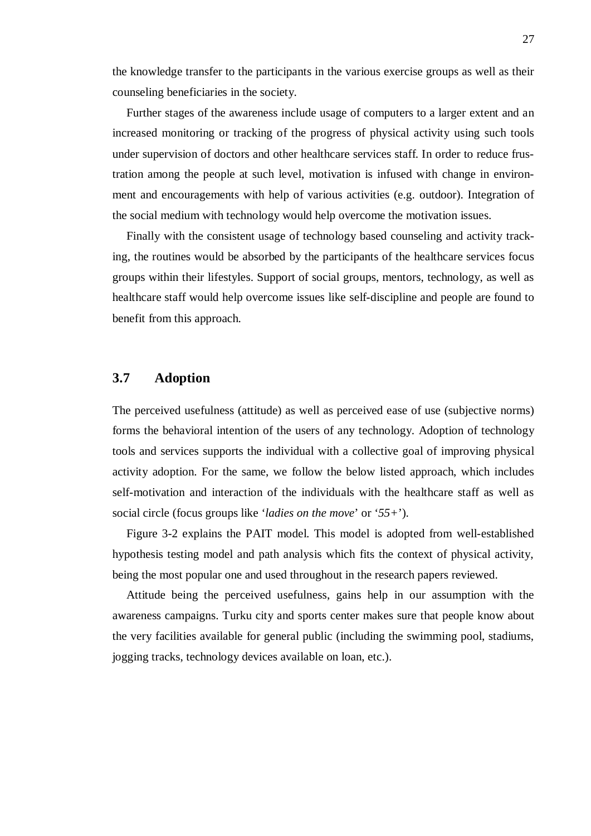the knowledge transfer to the participants in the various exercise groups as well as their counseling beneficiaries in the society.

Further stages of the awareness include usage of computers to a larger extent and an increased monitoring or tracking of the progress of physical activity using such tools under supervision of doctors and other healthcare services staff. In order to reduce frustration among the people at such level, motivation is infused with change in environment and encouragements with help of various activities (e.g. outdoor). Integration of the social medium with technology would help overcome the motivation issues.

Finally with the consistent usage of technology based counseling and activity tracking, the routines would be absorbed by the participants of the healthcare services focus groups within their lifestyles. Support of social groups, mentors, technology, as well as healthcare staff would help overcome issues like self-discipline and people are found to benefit from this approach.

# **3.7 Adoption**

The perceived usefulness (attitude) as well as perceived ease of use (subjective norms) forms the behavioral intention of the users of any technology. Adoption of technology tools and services supports the individual with a collective goal of improving physical activity adoption. For the same, we follow the below listed approach, which includes self-motivation and interaction of the individuals with the healthcare staff as well as social circle (focus groups like '*ladies on the move*' or '*55+*').

Figure 3-2 explains the PAIT model. This model is adopted from well-established hypothesis testing model and path analysis which fits the context of physical activity, being the most popular one and used throughout in the research papers reviewed.

Attitude being the perceived usefulness, gains help in our assumption with the awareness campaigns. Turku city and sports center makes sure that people know about the very facilities available for general public (including the swimming pool, stadiums, jogging tracks, technology devices available on loan, etc.).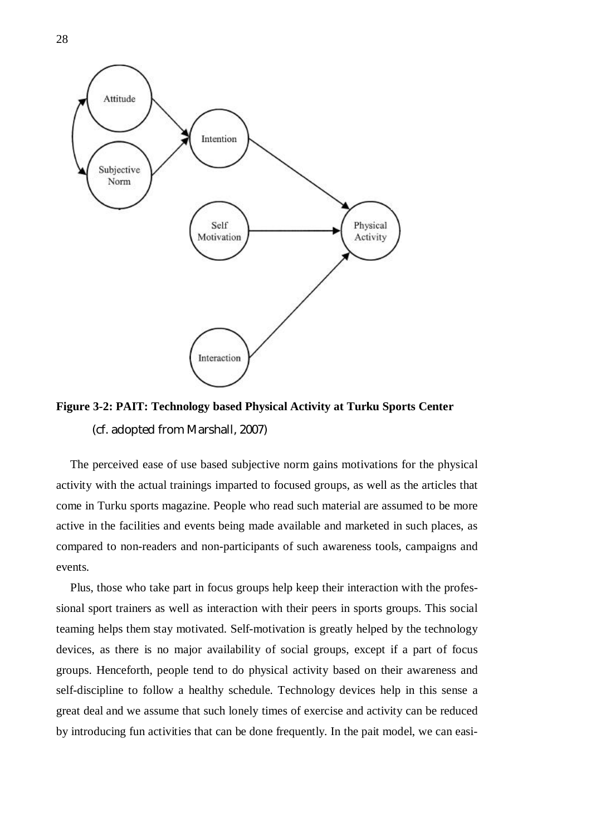

**Figure 3-2: PAIT: Technology based Physical Activity at Turku Sports Center**  (cf. adopted from Marshall, 2007)

The perceived ease of use based subjective norm gains motivations for the physical activity with the actual trainings imparted to focused groups, as well as the articles that come in Turku sports magazine. People who read such material are assumed to be more active in the facilities and events being made available and marketed in such places, as compared to non-readers and non-participants of such awareness tools, campaigns and events.

Plus, those who take part in focus groups help keep their interaction with the professional sport trainers as well as interaction with their peers in sports groups. This social teaming helps them stay motivated. Self-motivation is greatly helped by the technology devices, as there is no major availability of social groups, except if a part of focus groups. Henceforth, people tend to do physical activity based on their awareness and self-discipline to follow a healthy schedule. Technology devices help in this sense a great deal and we assume that such lonely times of exercise and activity can be reduced by introducing fun activities that can be done frequently. In the pait model, we can easi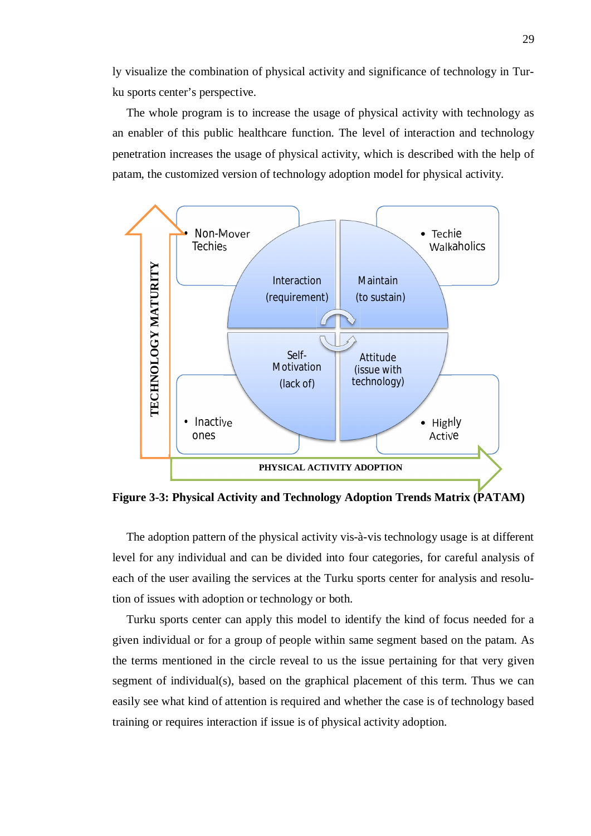ly visualize the combination of physical activity and significance of technology in Turku sports center's perspective.

The whole program is to increase the usage of physical activity with technology as an enabler of this public healthcare function. The level of interaction and technology penetration increases the usage of physical activity, which is described with the help of patam, the customized version of technology adoption model for physical activity.



**Figure 3-3: Physical Activity and Technology Adoption Trends Matrix (PATAM)** 

The adoption pattern of the physical activity vis-à-vis technology usage is at different level for any individual and can be divided into four categories, for careful analysis of each of the user availing the services at the Turku sports center for analysis and resolution of issues with adoption or technology or both.

Turku sports center can apply this model to identify the kind of focus needed for a given individual or for a group of people within same segment based on the patam. As the terms mentioned in the circle reveal to us the issue pertaining for that very given segment of individual(s), based on the graphical placement of this term. Thus we can easily see what kind of attention is required and whether the case is of technology based training or requires interaction if issue is of physical activity adoption.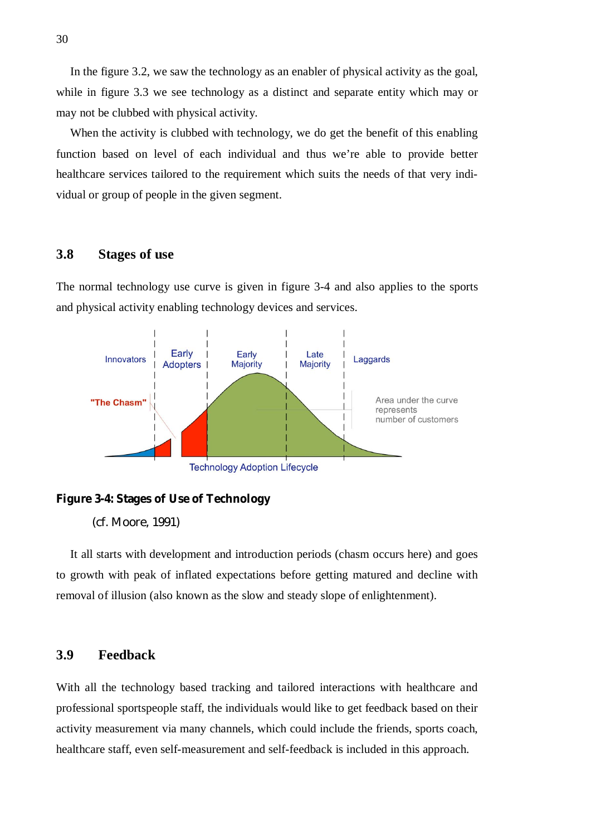In the figure 3.2, we saw the technology as an enabler of physical activity as the goal, while in figure 3.3 we see technology as a distinct and separate entity which may or may not be clubbed with physical activity.

When the activity is clubbed with technology, we do get the benefit of this enabling function based on level of each individual and thus we're able to provide better healthcare services tailored to the requirement which suits the needs of that very individual or group of people in the given segment.

#### **3.8 Stages of use**

The normal technology use curve is given in figure 3-4 and also applies to the sports and physical activity enabling technology devices and services.





(cf. Moore, 1991)

It all starts with development and introduction periods (chasm occurs here) and goes to growth with peak of inflated expectations before getting matured and decline with removal of illusion (also known as the slow and steady slope of enlightenment).

## **3.9 Feedback**

With all the technology based tracking and tailored interactions with healthcare and professional sportspeople staff, the individuals would like to get feedback based on their activity measurement via many channels, which could include the friends, sports coach, healthcare staff, even self-measurement and self-feedback is included in this approach.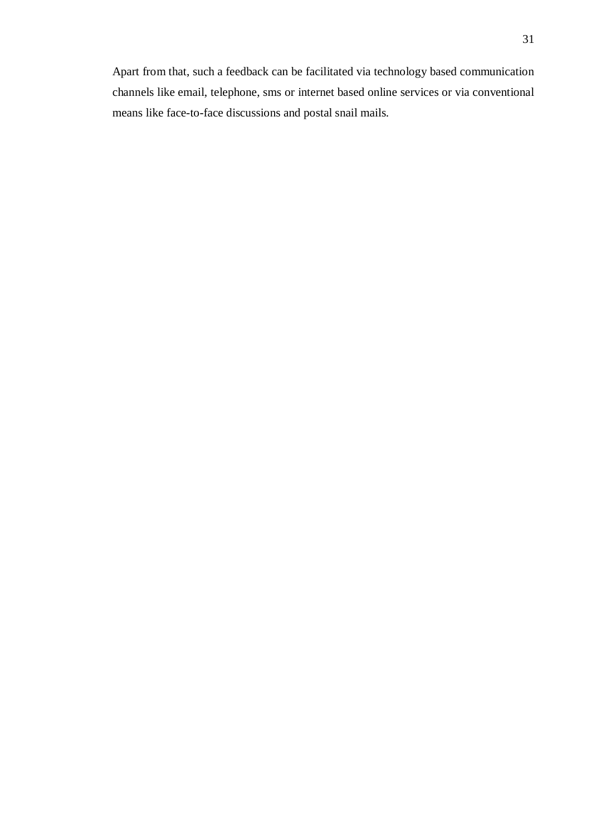Apart from that, such a feedback can be facilitated via technology based communication channels like email, telephone, sms or internet based online services or via conventional means like face-to-face discussions and postal snail mails.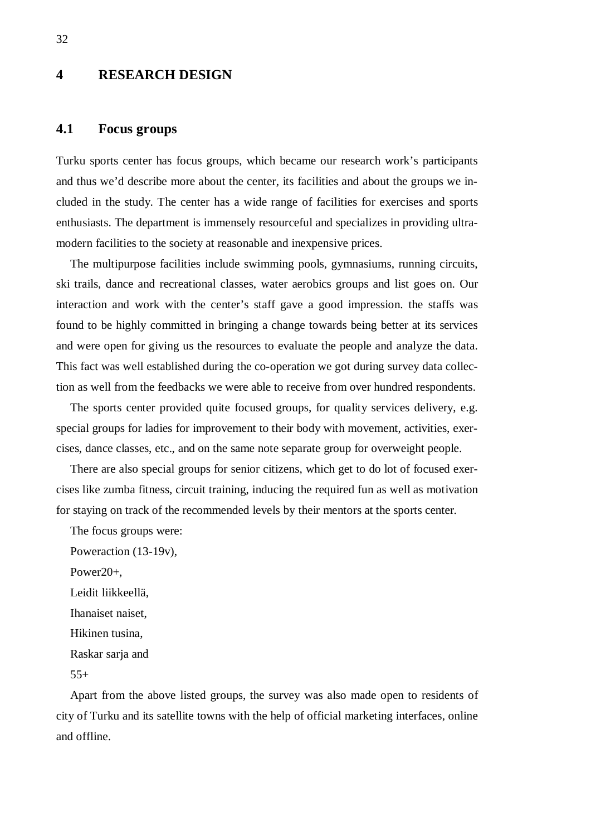# **4 RESEARCH DESIGN**

# **4.1 Focus groups**

Turku sports center has focus groups, which became our research work's participants and thus we'd describe more about the center, its facilities and about the groups we included in the study. The center has a wide range of facilities for exercises and sports enthusiasts. The department is immensely resourceful and specializes in providing ultramodern facilities to the society at reasonable and inexpensive prices.

The multipurpose facilities include swimming pools, gymnasiums, running circuits, ski trails, dance and recreational classes, water aerobics groups and list goes on. Our interaction and work with the center's staff gave a good impression. the staffs was found to be highly committed in bringing a change towards being better at its services and were open for giving us the resources to evaluate the people and analyze the data. This fact was well established during the co-operation we got during survey data collection as well from the feedbacks we were able to receive from over hundred respondents.

The sports center provided quite focused groups, for quality services delivery, e.g. special groups for ladies for improvement to their body with movement, activities, exercises, dance classes, etc., and on the same note separate group for overweight people.

There are also special groups for senior citizens, which get to do lot of focused exercises like zumba fitness, circuit training, inducing the required fun as well as motivation for staying on track of the recommended levels by their mentors at the sports center.

The focus groups were:

Poweraction (13-19v), Power20+, Leidit liikkeellä, Ihanaiset naiset, Hikinen tusina, Raskar sarja and  $55+$ 

Apart from the above listed groups, the survey was also made open to residents of city of Turku and its satellite towns with the help of official marketing interfaces, online and offline.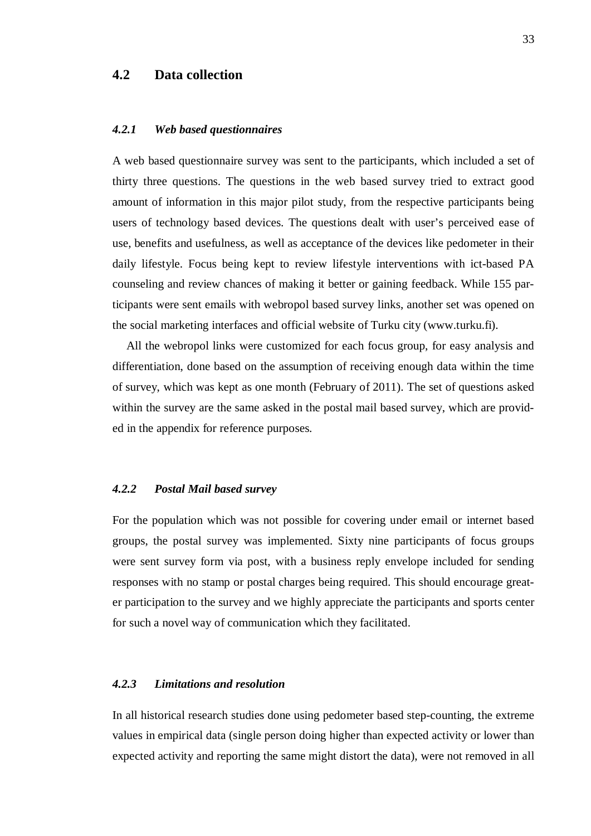# **4.2 Data collection**

#### *4.2.1 Web based questionnaires*

A web based questionnaire survey was sent to the participants, which included a set of thirty three questions. The questions in the web based survey tried to extract good amount of information in this major pilot study, from the respective participants being users of technology based devices. The questions dealt with user's perceived ease of use, benefits and usefulness, as well as acceptance of the devices like pedometer in their daily lifestyle. Focus being kept to review lifestyle interventions with ict-based PA counseling and review chances of making it better or gaining feedback. While 155 participants were sent emails with webropol based survey links, another set was opened on the social marketing interfaces and official website of Turku city (www.turku.fi).

All the webropol links were customized for each focus group, for easy analysis and differentiation, done based on the assumption of receiving enough data within the time of survey, which was kept as one month (February of 2011). The set of questions asked within the survey are the same asked in the postal mail based survey, which are provided in the appendix for reference purposes.

#### *4.2.2 Postal Mail based survey*

For the population which was not possible for covering under email or internet based groups, the postal survey was implemented. Sixty nine participants of focus groups were sent survey form via post, with a business reply envelope included for sending responses with no stamp or postal charges being required. This should encourage greater participation to the survey and we highly appreciate the participants and sports center for such a novel way of communication which they facilitated.

#### *4.2.3 Limitations and resolution*

In all historical research studies done using pedometer based step-counting, the extreme values in empirical data (single person doing higher than expected activity or lower than expected activity and reporting the same might distort the data), were not removed in all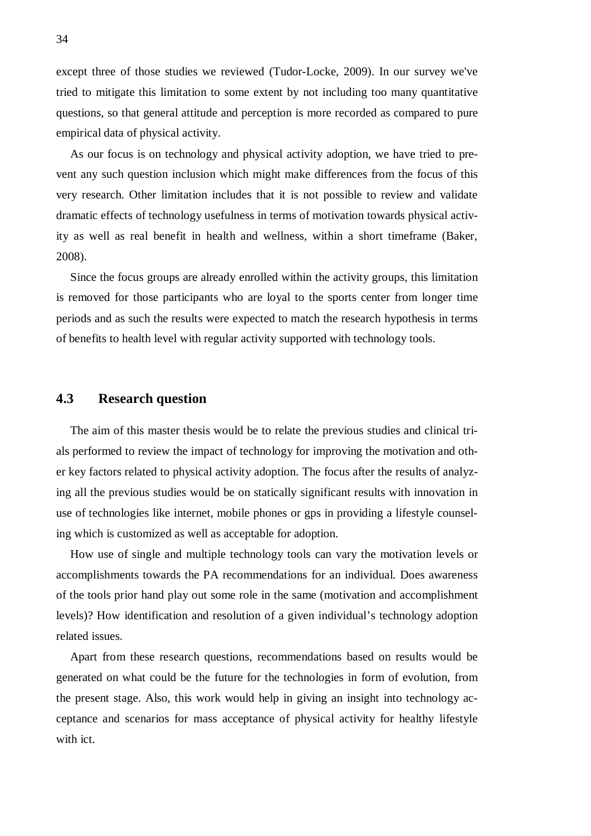except three of those studies we reviewed (Tudor-Locke, 2009). In our survey we've tried to mitigate this limitation to some extent by not including too many quantitative questions, so that general attitude and perception is more recorded as compared to pure empirical data of physical activity.

As our focus is on technology and physical activity adoption, we have tried to prevent any such question inclusion which might make differences from the focus of this very research. Other limitation includes that it is not possible to review and validate dramatic effects of technology usefulness in terms of motivation towards physical activity as well as real benefit in health and wellness, within a short timeframe (Baker, 2008).

Since the focus groups are already enrolled within the activity groups, this limitation is removed for those participants who are loyal to the sports center from longer time periods and as such the results were expected to match the research hypothesis in terms of benefits to health level with regular activity supported with technology tools.

## **4.3 Research question**

The aim of this master thesis would be to relate the previous studies and clinical trials performed to review the impact of technology for improving the motivation and other key factors related to physical activity adoption. The focus after the results of analyzing all the previous studies would be on statically significant results with innovation in use of technologies like internet, mobile phones or gps in providing a lifestyle counseling which is customized as well as acceptable for adoption.

How use of single and multiple technology tools can vary the motivation levels or accomplishments towards the PA recommendations for an individual. Does awareness of the tools prior hand play out some role in the same (motivation and accomplishment levels)? How identification and resolution of a given individual's technology adoption related issues.

Apart from these research questions, recommendations based on results would be generated on what could be the future for the technologies in form of evolution, from the present stage. Also, this work would help in giving an insight into technology acceptance and scenarios for mass acceptance of physical activity for healthy lifestyle with ict.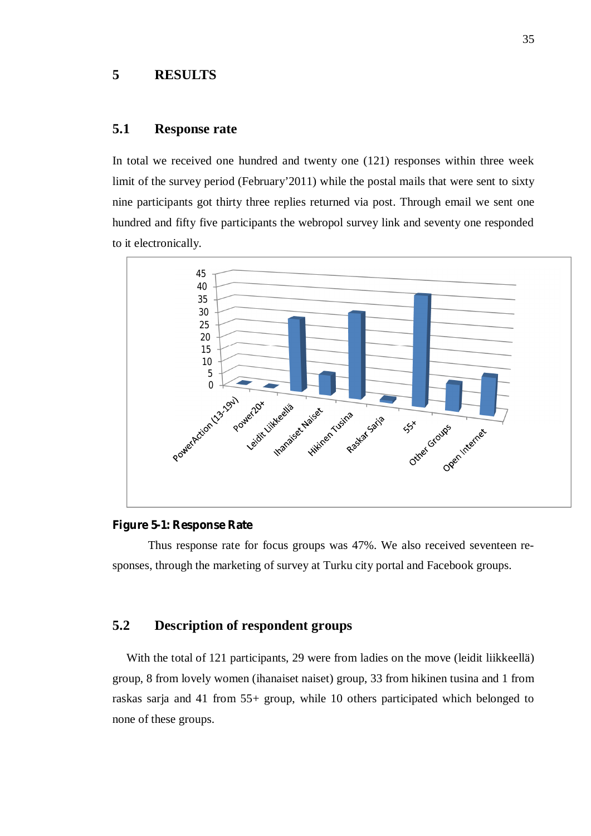# **5 RESULTS**

# **5.1 Response rate**

In total we received one hundred and twenty one (121) responses within three week limit of the survey period (February'2011) while the postal mails that were sent to sixty nine participants got thirty three replies returned via post. Through email we sent one hundred and fifty five participants the webropol survey link and seventy one responded to it electronically.



#### **Figure 5-1: Response Rate**

Thus response rate for focus groups was 47%. We also received seventeen responses, through the marketing of survey at Turku city portal and Facebook groups.

# **5.2 Description of respondent groups**

With the total of 121 participants, 29 were from ladies on the move (leidit liikkeellä) group, 8 from lovely women (ihanaiset naiset) group, 33 from hikinen tusina and 1 from raskas sarja and 41 from 55+ group, while 10 others participated which belonged to none of these groups.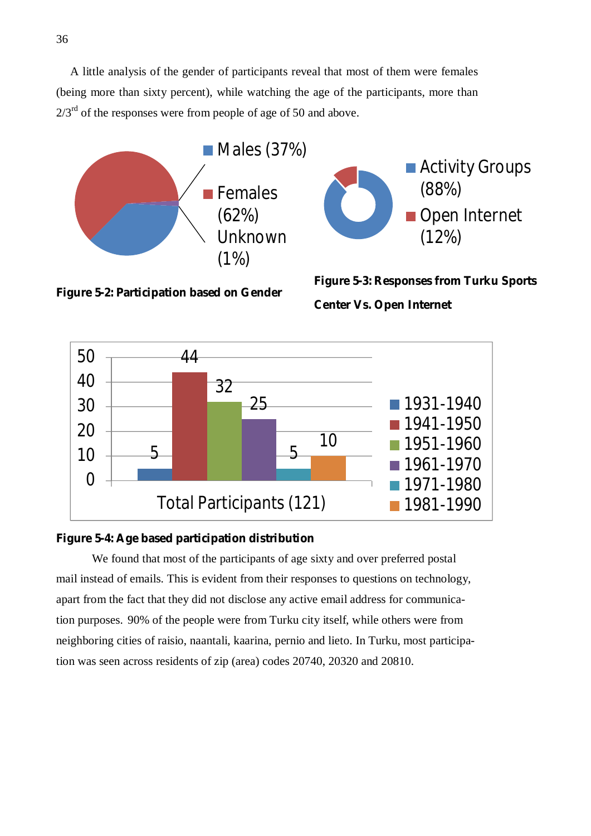A little analysis of the gender of participants reveal that most of them were females (being more than sixty percent), while watching the age of the participants, more than  $2/3<sup>rd</sup>$  of the responses were from people of age of 50 and above.



**Figure 5-2: Participation based on Gender** 

**Figure 5-3: Responses from Turku Sports Center Vs. Open Internet** 



**Figure 5-4: Age based participation distribution** 

We found that most of the participants of age sixty and over preferred postal mail instead of emails. This is evident from their responses to questions on technology, apart from the fact that they did not disclose any active email address for communication purposes. 90% of the people were from Turku city itself, while others were from neighboring cities of raisio, naantali, kaarina, pernio and lieto. In Turku, most participation was seen across residents of zip (area) codes 20740, 20320 and 20810.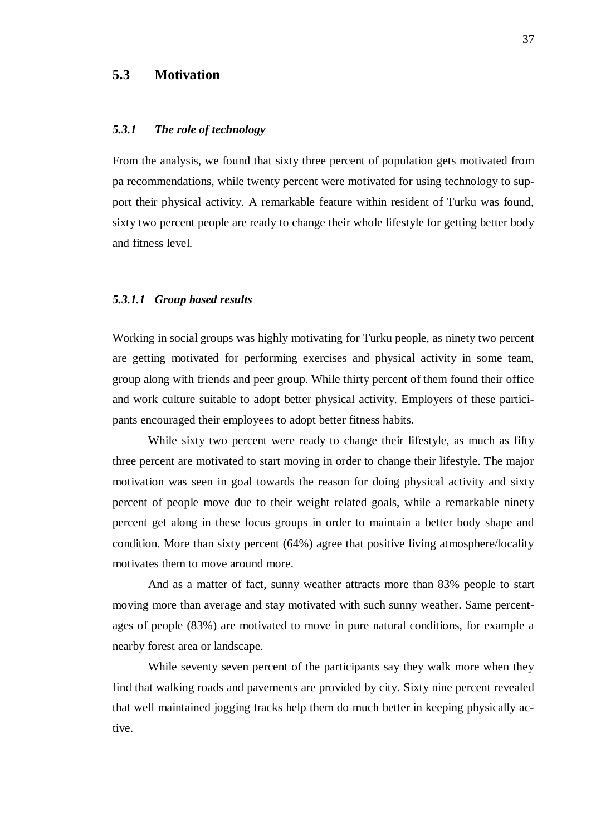# **5.3 Motivation**

#### *5.3.1 The role of technology*

From the analysis, we found that sixty three percent of population gets motivated from pa recommendations, while twenty percent were motivated for using technology to support their physical activity. A remarkable feature within resident of Turku was found, sixty two percent people are ready to change their whole lifestyle for getting better body and fitness level.

#### *5.3.1.1 Group based results*

Working in social groups was highly motivating for Turku people, as ninety two percent are getting motivated for performing exercises and physical activity in some team, group along with friends and peer group. While thirty percent of them found their office and work culture suitable to adopt better physical activity. Employers of these participants encouraged their employees to adopt better fitness habits.

While sixty two percent were ready to change their lifestyle, as much as fifty three percent are motivated to start moving in order to change their lifestyle. The major motivation was seen in goal towards the reason for doing physical activity and sixty percent of people move due to their weight related goals, while a remarkable ninety percent get along in these focus groups in order to maintain a better body shape and condition. More than sixty percent (64%) agree that positive living atmosphere/locality motivates them to move around more.

And as a matter of fact, sunny weather attracts more than 83% people to start moving more than average and stay motivated with such sunny weather. Same percentages of people (83%) are motivated to move in pure natural conditions, for example a nearby forest area or landscape.

While seventy seven percent of the participants say they walk more when they find that walking roads and pavements are provided by city. Sixty nine percent revealed that well maintained jogging tracks help them do much better in keeping physically active.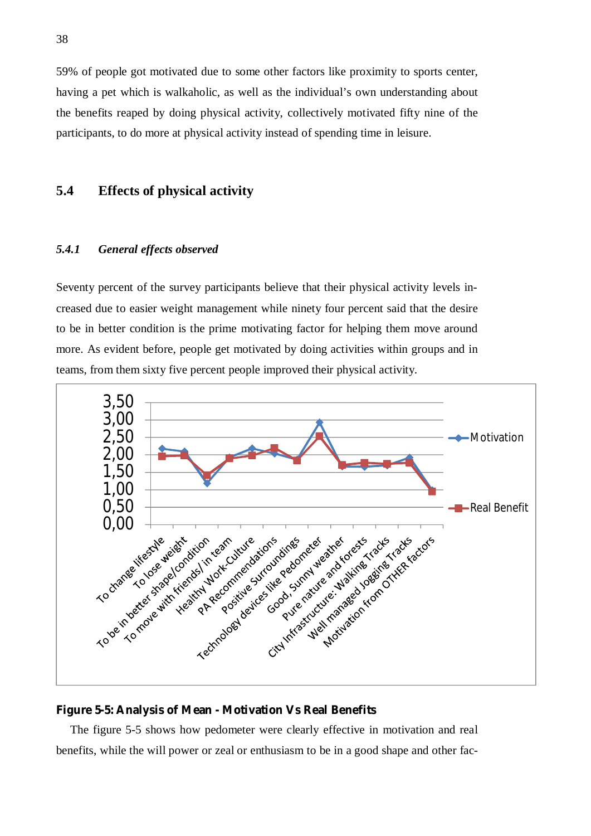59% of people got motivated due to some other factors like proximity to sports center, having a pet which is walkaholic, as well as the individual's own understanding about the benefits reaped by doing physical activity, collectively motivated fifty nine of the participants, to do more at physical activity instead of spending time in leisure.

# **5.4 Effects of physical activity**

#### *5.4.1 General effects observed*

Seventy percent of the survey participants believe that their physical activity levels increased due to easier weight management while ninety four percent said that the desire to be in better condition is the prime motivating factor for helping them move around more. As evident before, people get motivated by doing activities within groups and in teams, from them sixty five percent people improved their physical activity.



**Figure 5-5: Analysis of Mean - Motivation Vs Real Benefits**

The figure 5-5 shows how pedometer were clearly effective in motivation and real benefits, while the will power or zeal or enthusiasm to be in a good shape and other fac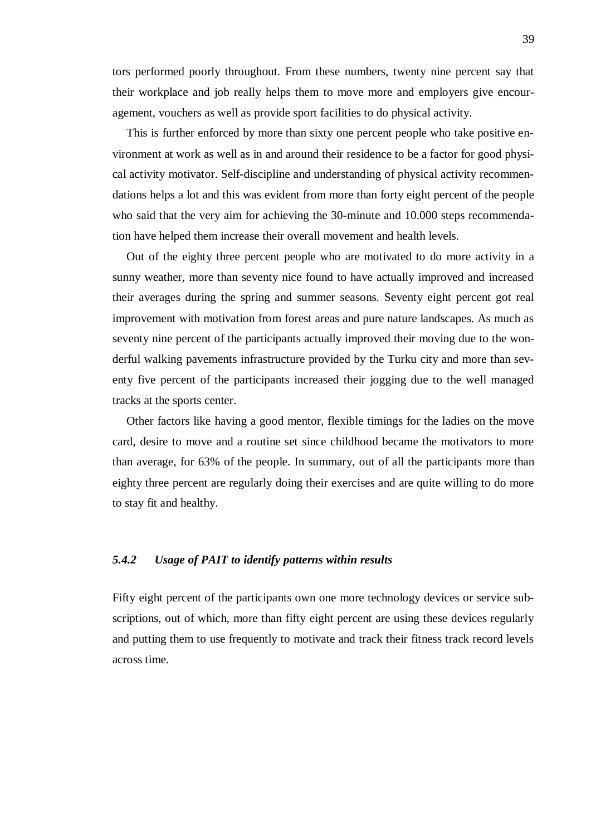tors performed poorly throughout. From these numbers, twenty nine percent say that their workplace and job really helps them to move more and employers give encouragement, vouchers as well as provide sport facilities to do physical activity.

This is further enforced by more than sixty one percent people who take positive environment at work as well as in and around their residence to be a factor for good physical activity motivator. Self-discipline and understanding of physical activity recommendations helps a lot and this was evident from more than forty eight percent of the people who said that the very aim for achieving the 30-minute and 10.000 steps recommendation have helped them increase their overall movement and health levels.

Out of the eighty three percent people who are motivated to do more activity in a sunny weather, more than seventy nice found to have actually improved and increased their averages during the spring and summer seasons. Seventy eight percent got real improvement with motivation from forest areas and pure nature landscapes. As much as seventy nine percent of the participants actually improved their moving due to the wonderful walking pavements infrastructure provided by the Turku city and more than seventy five percent of the participants increased their jogging due to the well managed tracks at the sports center.

Other factors like having a good mentor, flexible timings for the ladies on the move card, desire to move and a routine set since childhood became the motivators to more than average, for 63% of the people. In summary, out of all the participants more than eighty three percent are regularly doing their exercises and are quite willing to do more to stay fit and healthy.

#### *5.4.2 Usage of PAIT to identify patterns within results*

Fifty eight percent of the participants own one more technology devices or service subscriptions, out of which, more than fifty eight percent are using these devices regularly and putting them to use frequently to motivate and track their fitness track record levels across time.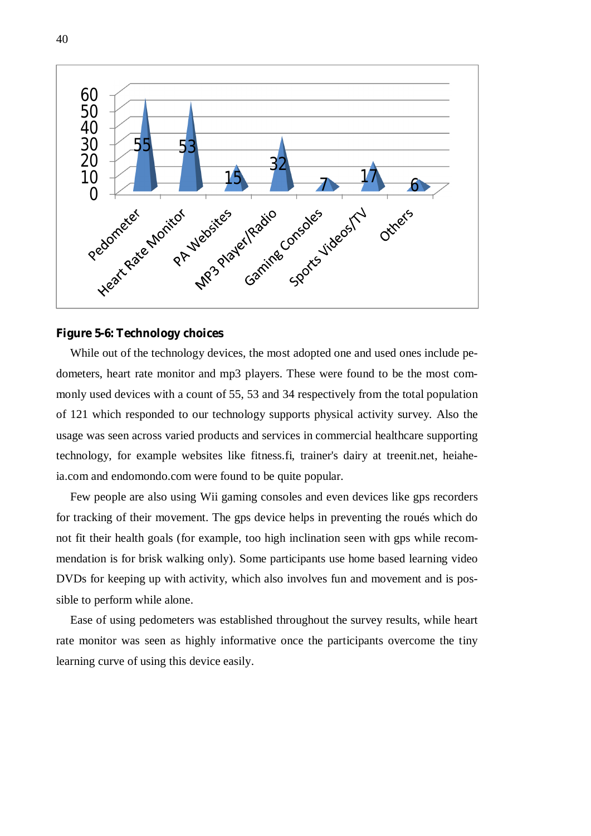

#### **Figure 5-6: Technology choices**

While out of the technology devices, the most adopted one and used ones include pedometers, heart rate monitor and mp3 players. These were found to be the most commonly used devices with a count of 55, 53 and 34 respectively from the total population of 121 which responded to our technology supports physical activity survey. Also the usage was seen across varied products and services in commercial healthcare supporting technology, for example websites like fitness.fi, trainer's dairy at treenit.net, heiaheia.com and endomondo.com were found to be quite popular.

Few people are also using Wii gaming consoles and even devices like gps recorders for tracking of their movement. The gps device helps in preventing the roués which do not fit their health goals (for example, too high inclination seen with gps while recommendation is for brisk walking only). Some participants use home based learning video DVDs for keeping up with activity, which also involves fun and movement and is possible to perform while alone.

Ease of using pedometers was established throughout the survey results, while heart rate monitor was seen as highly informative once the participants overcome the tiny learning curve of using this device easily.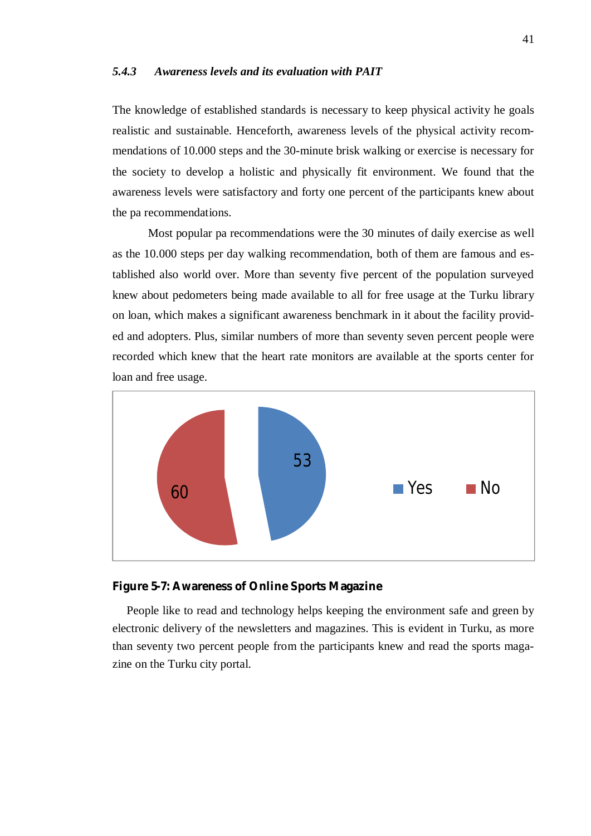#### *5.4.3 Awareness levels and its evaluation with PAIT*

The knowledge of established standards is necessary to keep physical activity he goals realistic and sustainable. Henceforth, awareness levels of the physical activity recommendations of 10.000 steps and the 30-minute brisk walking or exercise is necessary for the society to develop a holistic and physically fit environment. We found that the awareness levels were satisfactory and forty one percent of the participants knew about the pa recommendations.

Most popular pa recommendations were the 30 minutes of daily exercise as well as the 10.000 steps per day walking recommendation, both of them are famous and established also world over. More than seventy five percent of the population surveyed knew about pedometers being made available to all for free usage at the Turku library on loan, which makes a significant awareness benchmark in it about the facility provided and adopters. Plus, similar numbers of more than seventy seven percent people were recorded which knew that the heart rate monitors are available at the sports center for loan and free usage.



**Figure 5-7: Awareness of Online Sports Magazine**

People like to read and technology helps keeping the environment safe and green by electronic delivery of the newsletters and magazines. This is evident in Turku, as more than seventy two percent people from the participants knew and read the sports magazine on the Turku city portal.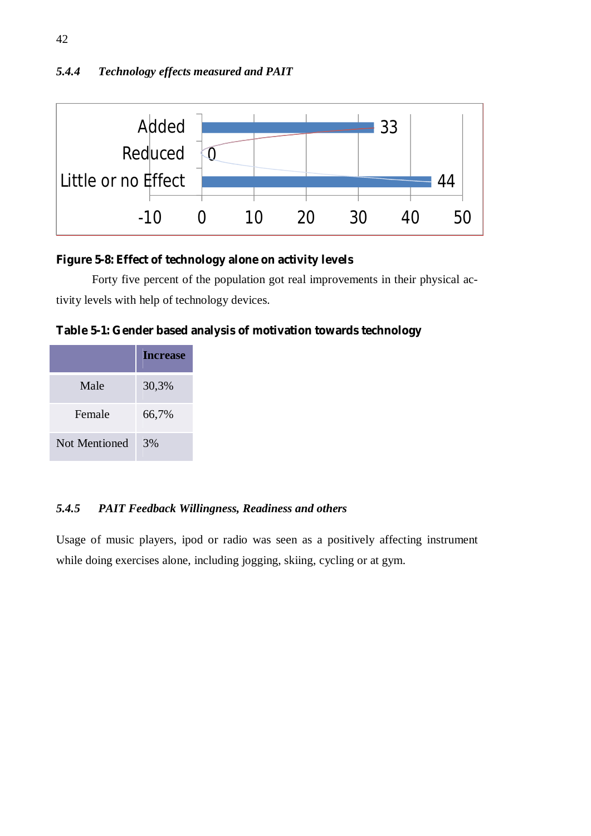# *5.4.4 Technology effects measured and PAIT*



**Figure 5-8: Effect of technology alone on activity levels**

Forty five percent of the population got real improvements in their physical activity levels with help of technology devices.

**Table 5-1: Gender based analysis of motivation towards technology** 

|               | <b>Increase</b> |
|---------------|-----------------|
| Male          | 30,3%           |
| Female        | 66,7%           |
| Not Mentioned | 3%              |

# *5.4.5 PAIT Feedback Willingness, Readiness and others*

Usage of music players, ipod or radio was seen as a positively affecting instrument while doing exercises alone, including jogging, skiing, cycling or at gym.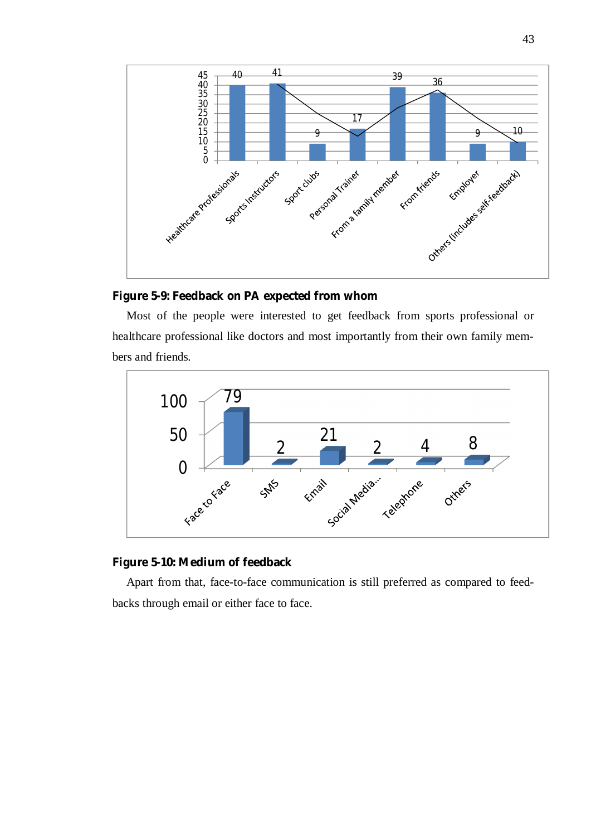

**Figure 5-9: Feedback on PA expected from whom** 

Most of the people were interested to get feedback from sports professional or healthcare professional like doctors and most importantly from their own family members and friends.



**Figure 5-10: Medium of feedback** 

Apart from that, face-to-face communication is still preferred as compared to feedbacks through email or either face to face.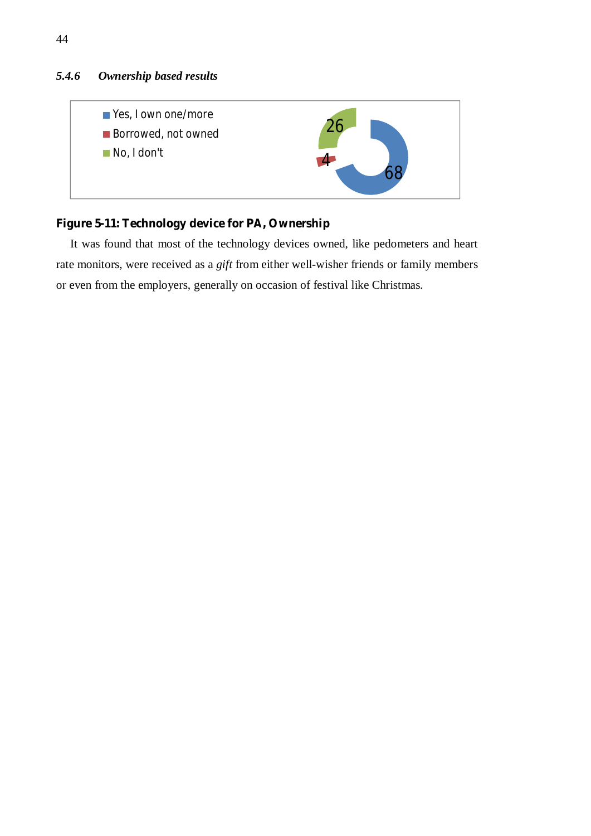# *5.4.6 Ownership based results*



**Figure 5-11: Technology device for PA, Ownership** 

It was found that most of the technology devices owned, like pedometers and heart rate monitors, were received as a *gift* from either well-wisher friends or family members or even from the employers, generally on occasion of festival like Christmas.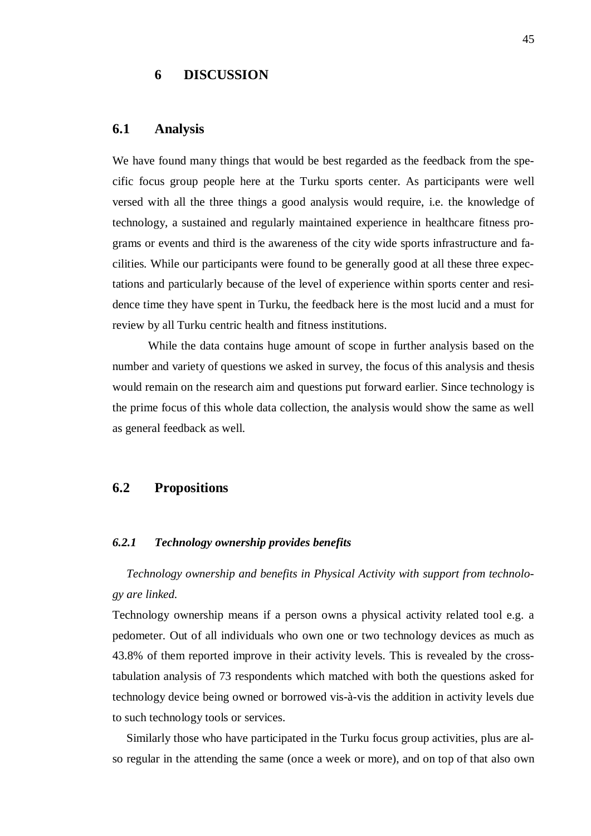# **6 DISCUSSION**

### **6.1 Analysis**

We have found many things that would be best regarded as the feedback from the specific focus group people here at the Turku sports center. As participants were well versed with all the three things a good analysis would require, i.e. the knowledge of technology, a sustained and regularly maintained experience in healthcare fitness programs or events and third is the awareness of the city wide sports infrastructure and facilities. While our participants were found to be generally good at all these three expectations and particularly because of the level of experience within sports center and residence time they have spent in Turku, the feedback here is the most lucid and a must for review by all Turku centric health and fitness institutions.

While the data contains huge amount of scope in further analysis based on the number and variety of questions we asked in survey, the focus of this analysis and thesis would remain on the research aim and questions put forward earlier. Since technology is the prime focus of this whole data collection, the analysis would show the same as well as general feedback as well.

# **6.2 Propositions**

#### *6.2.1 Technology ownership provides benefits*

*Technology ownership and benefits in Physical Activity with support from technology are linked.* 

Technology ownership means if a person owns a physical activity related tool e.g. a pedometer. Out of all individuals who own one or two technology devices as much as 43.8% of them reported improve in their activity levels. This is revealed by the crosstabulation analysis of 73 respondents which matched with both the questions asked for technology device being owned or borrowed vis-à-vis the addition in activity levels due to such technology tools or services.

Similarly those who have participated in the Turku focus group activities, plus are also regular in the attending the same (once a week or more), and on top of that also own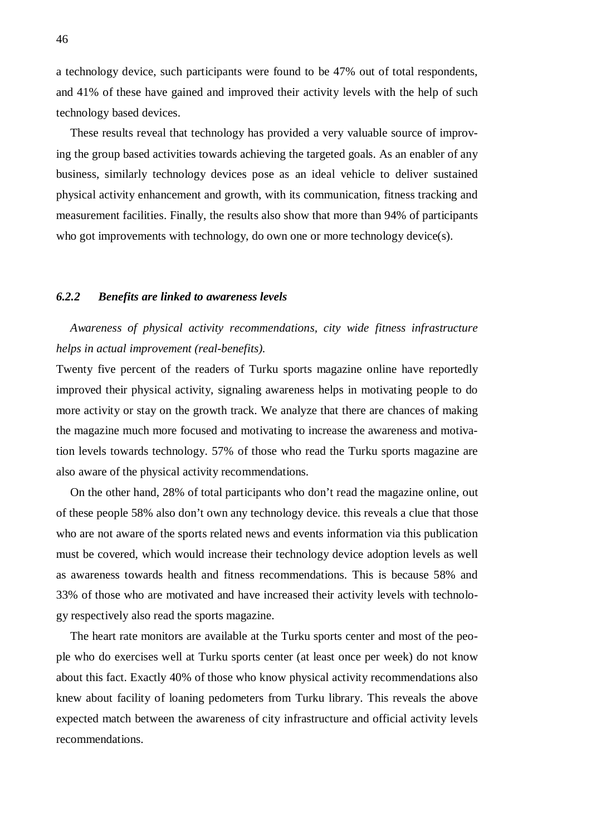a technology device, such participants were found to be 47% out of total respondents, and 41% of these have gained and improved their activity levels with the help of such technology based devices.

These results reveal that technology has provided a very valuable source of improving the group based activities towards achieving the targeted goals. As an enabler of any business, similarly technology devices pose as an ideal vehicle to deliver sustained physical activity enhancement and growth, with its communication, fitness tracking and measurement facilities. Finally, the results also show that more than 94% of participants who got improvements with technology, do own one or more technology device(s).

#### *6.2.2 Benefits are linked to awareness levels*

# *Awareness of physical activity recommendations, city wide fitness infrastructure helps in actual improvement (real-benefits).*

Twenty five percent of the readers of Turku sports magazine online have reportedly improved their physical activity, signaling awareness helps in motivating people to do more activity or stay on the growth track. We analyze that there are chances of making the magazine much more focused and motivating to increase the awareness and motivation levels towards technology. 57% of those who read the Turku sports magazine are also aware of the physical activity recommendations.

On the other hand, 28% of total participants who don't read the magazine online, out of these people 58% also don't own any technology device. this reveals a clue that those who are not aware of the sports related news and events information via this publication must be covered, which would increase their technology device adoption levels as well as awareness towards health and fitness recommendations. This is because 58% and 33% of those who are motivated and have increased their activity levels with technology respectively also read the sports magazine.

The heart rate monitors are available at the Turku sports center and most of the people who do exercises well at Turku sports center (at least once per week) do not know about this fact. Exactly 40% of those who know physical activity recommendations also knew about facility of loaning pedometers from Turku library. This reveals the above expected match between the awareness of city infrastructure and official activity levels recommendations.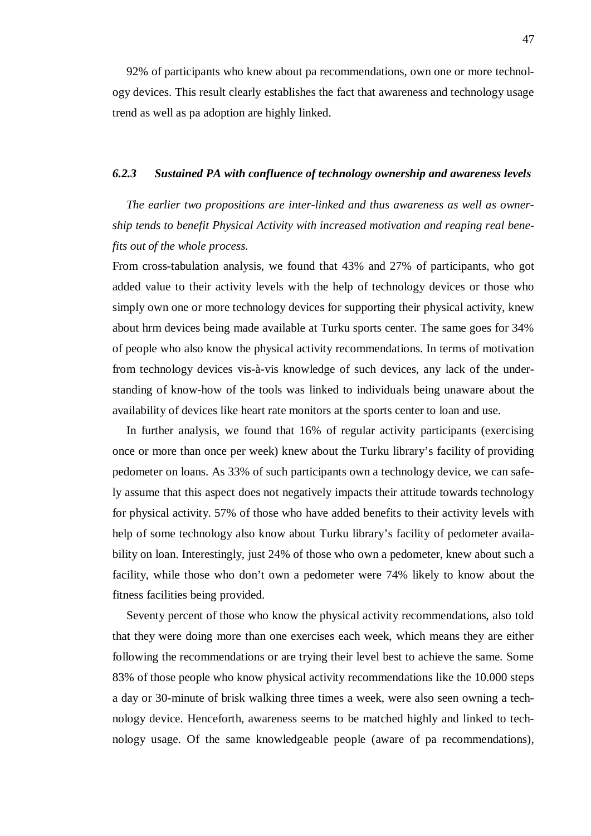92% of participants who knew about pa recommendations, own one or more technology devices. This result clearly establishes the fact that awareness and technology usage trend as well as pa adoption are highly linked.

#### *6.2.3 Sustained PA with confluence of technology ownership and awareness levels*

*The earlier two propositions are inter-linked and thus awareness as well as ownership tends to benefit Physical Activity with increased motivation and reaping real benefits out of the whole process.* 

From cross-tabulation analysis, we found that 43% and 27% of participants, who got added value to their activity levels with the help of technology devices or those who simply own one or more technology devices for supporting their physical activity, knew about hrm devices being made available at Turku sports center. The same goes for 34% of people who also know the physical activity recommendations. In terms of motivation from technology devices vis-à-vis knowledge of such devices, any lack of the understanding of know-how of the tools was linked to individuals being unaware about the availability of devices like heart rate monitors at the sports center to loan and use.

In further analysis, we found that 16% of regular activity participants (exercising once or more than once per week) knew about the Turku library's facility of providing pedometer on loans. As 33% of such participants own a technology device, we can safely assume that this aspect does not negatively impacts their attitude towards technology for physical activity. 57% of those who have added benefits to their activity levels with help of some technology also know about Turku library's facility of pedometer availability on loan. Interestingly, just 24% of those who own a pedometer, knew about such a facility, while those who don't own a pedometer were 74% likely to know about the fitness facilities being provided.

Seventy percent of those who know the physical activity recommendations, also told that they were doing more than one exercises each week, which means they are either following the recommendations or are trying their level best to achieve the same. Some 83% of those people who know physical activity recommendations like the 10.000 steps a day or 30-minute of brisk walking three times a week, were also seen owning a technology device. Henceforth, awareness seems to be matched highly and linked to technology usage. Of the same knowledgeable people (aware of pa recommendations),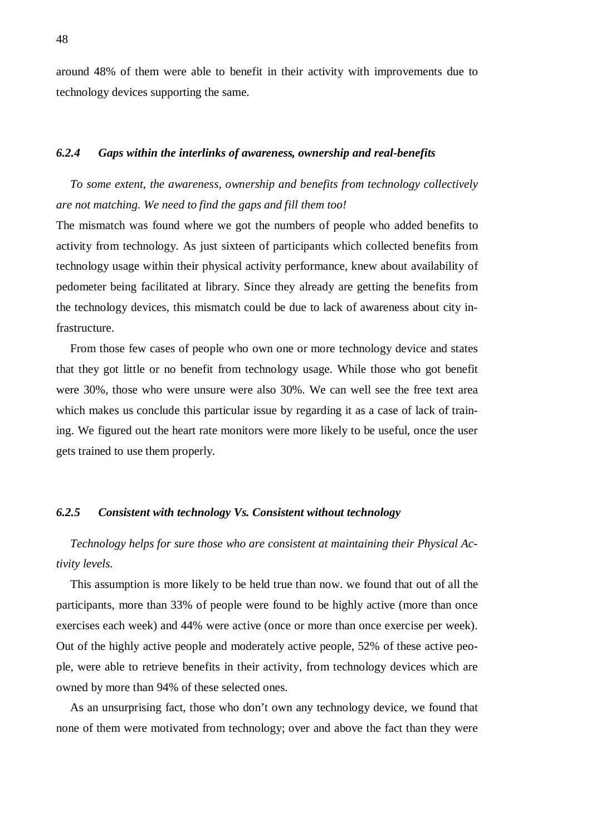around 48% of them were able to benefit in their activity with improvements due to technology devices supporting the same.

#### *6.2.4 Gaps within the interlinks of awareness, ownership and real-benefits*

*To some extent, the awareness, ownership and benefits from technology collectively are not matching. We need to find the gaps and fill them too!* 

The mismatch was found where we got the numbers of people who added benefits to activity from technology. As just sixteen of participants which collected benefits from technology usage within their physical activity performance, knew about availability of pedometer being facilitated at library. Since they already are getting the benefits from the technology devices, this mismatch could be due to lack of awareness about city infrastructure.

From those few cases of people who own one or more technology device and states that they got little or no benefit from technology usage. While those who got benefit were 30%, those who were unsure were also 30%. We can well see the free text area which makes us conclude this particular issue by regarding it as a case of lack of training. We figured out the heart rate monitors were more likely to be useful, once the user gets trained to use them properly.

#### *6.2.5 Consistent with technology Vs. Consistent without technology*

*Technology helps for sure those who are consistent at maintaining their Physical Activity levels.* 

This assumption is more likely to be held true than now. we found that out of all the participants, more than 33% of people were found to be highly active (more than once exercises each week) and 44% were active (once or more than once exercise per week). Out of the highly active people and moderately active people, 52% of these active people, were able to retrieve benefits in their activity, from technology devices which are owned by more than 94% of these selected ones.

As an unsurprising fact, those who don't own any technology device, we found that none of them were motivated from technology; over and above the fact than they were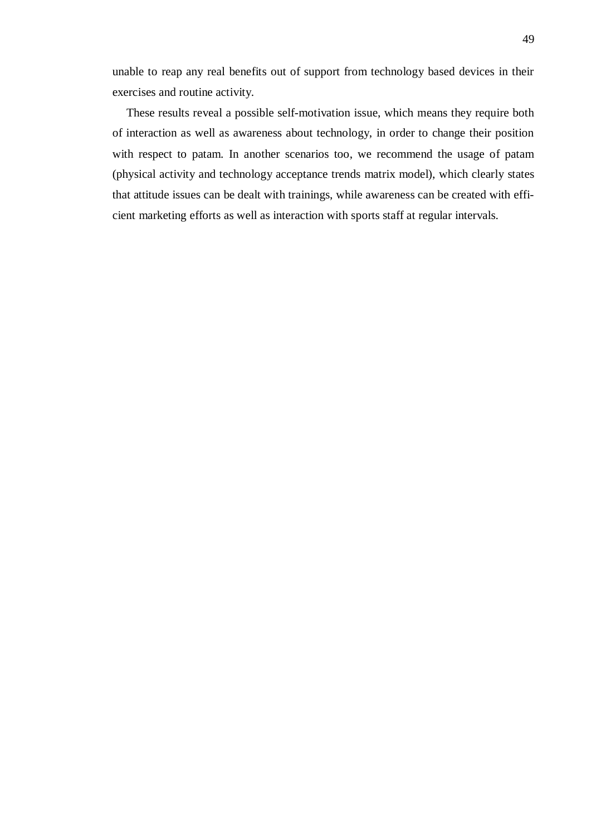unable to reap any real benefits out of support from technology based devices in their exercises and routine activity.

These results reveal a possible self-motivation issue, which means they require both of interaction as well as awareness about technology, in order to change their position with respect to patam. In another scenarios too, we recommend the usage of patam (physical activity and technology acceptance trends matrix model), which clearly states that attitude issues can be dealt with trainings, while awareness can be created with efficient marketing efforts as well as interaction with sports staff at regular intervals.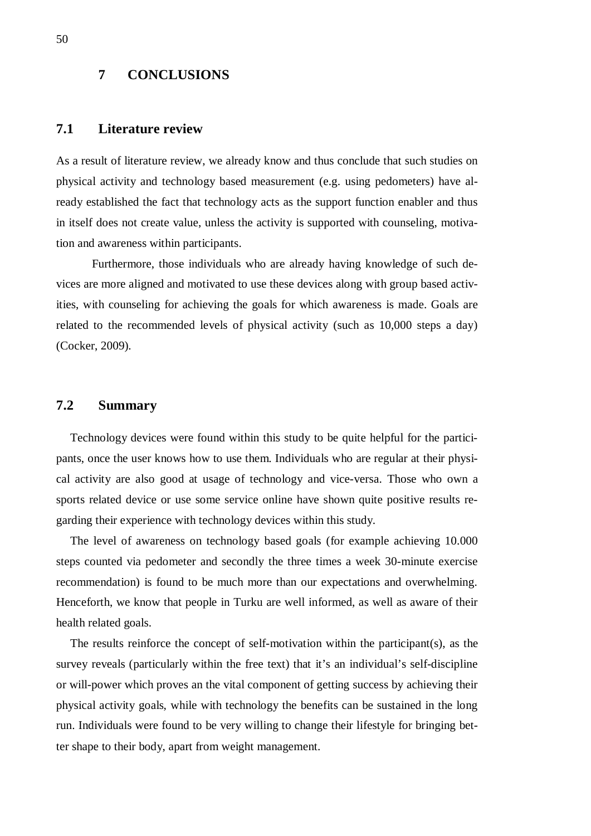### **7 CONCLUSIONS**

# **7.1 Literature review**

As a result of literature review, we already know and thus conclude that such studies on physical activity and technology based measurement (e.g. using pedometers) have already established the fact that technology acts as the support function enabler and thus in itself does not create value, unless the activity is supported with counseling, motivation and awareness within participants.

Furthermore, those individuals who are already having knowledge of such devices are more aligned and motivated to use these devices along with group based activities, with counseling for achieving the goals for which awareness is made. Goals are related to the recommended levels of physical activity (such as 10,000 steps a day) (Cocker, 2009).

### **7.2 Summary**

Technology devices were found within this study to be quite helpful for the participants, once the user knows how to use them. Individuals who are regular at their physical activity are also good at usage of technology and vice-versa. Those who own a sports related device or use some service online have shown quite positive results regarding their experience with technology devices within this study.

The level of awareness on technology based goals (for example achieving 10.000 steps counted via pedometer and secondly the three times a week 30-minute exercise recommendation) is found to be much more than our expectations and overwhelming. Henceforth, we know that people in Turku are well informed, as well as aware of their health related goals.

The results reinforce the concept of self-motivation within the participant(s), as the survey reveals (particularly within the free text) that it's an individual's self-discipline or will-power which proves an the vital component of getting success by achieving their physical activity goals, while with technology the benefits can be sustained in the long run. Individuals were found to be very willing to change their lifestyle for bringing better shape to their body, apart from weight management.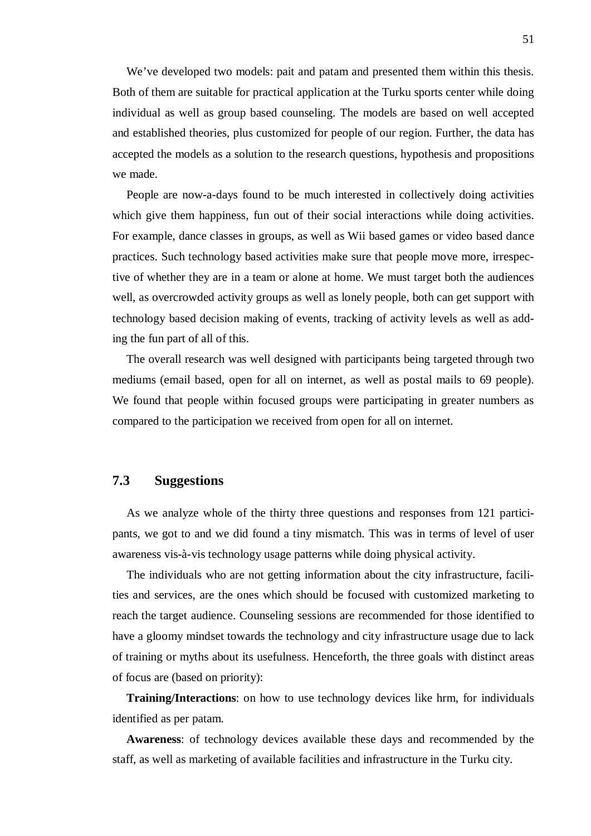We've developed two models: pait and patam and presented them within this thesis. Both of them are suitable for practical application at the Turku sports center while doing individual as well as group based counseling. The models are based on well accepted and established theories, plus customized for people of our region. Further, the data has accepted the models as a solution to the research questions, hypothesis and propositions we made.

People are now-a-days found to be much interested in collectively doing activities which give them happiness, fun out of their social interactions while doing activities. For example, dance classes in groups, as well as Wii based games or video based dance practices. Such technology based activities make sure that people move more, irrespective of whether they are in a team or alone at home. We must target both the audiences well, as overcrowded activity groups as well as lonely people, both can get support with technology based decision making of events, tracking of activity levels as well as adding the fun part of all of this.

The overall research was well designed with participants being targeted through two mediums (email based, open for all on internet, as well as postal mails to 69 people). We found that people within focused groups were participating in greater numbers as compared to the participation we received from open for all on internet.

### **7.3 Suggestions**

As we analyze whole of the thirty three questions and responses from 121 participants, we got to and we did found a tiny mismatch. This was in terms of level of user awareness vis-à-vis technology usage patterns while doing physical activity.

The individuals who are not getting information about the city infrastructure, facilities and services, are the ones which should be focused with customized marketing to reach the target audience. Counseling sessions are recommended for those identified to have a gloomy mindset towards the technology and city infrastructure usage due to lack of training or myths about its usefulness. Henceforth, the three goals with distinct areas of focus are (based on priority):

**Training/Interactions**: on how to use technology devices like hrm, for individuals identified as per patam.

**Awareness**: of technology devices available these days and recommended by the staff, as well as marketing of available facilities and infrastructure in the Turku city.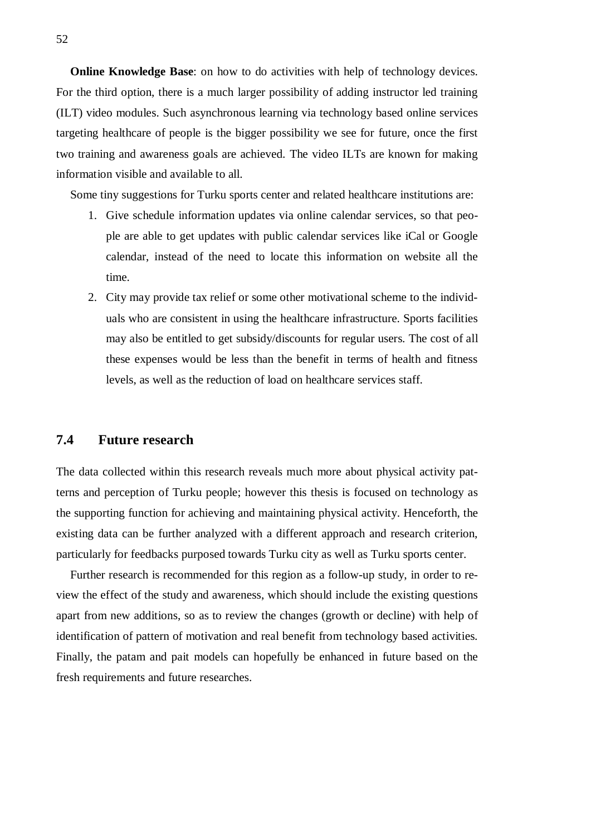**Online Knowledge Base:** on how to do activities with help of technology devices. For the third option, there is a much larger possibility of adding instructor led training (ILT) video modules. Such asynchronous learning via technology based online services targeting healthcare of people is the bigger possibility we see for future, once the first two training and awareness goals are achieved. The video ILTs are known for making information visible and available to all.

Some tiny suggestions for Turku sports center and related healthcare institutions are:

- 1. Give schedule information updates via online calendar services, so that people are able to get updates with public calendar services like iCal or Google calendar, instead of the need to locate this information on website all the time.
- 2. City may provide tax relief or some other motivational scheme to the individuals who are consistent in using the healthcare infrastructure. Sports facilities may also be entitled to get subsidy/discounts for regular users. The cost of all these expenses would be less than the benefit in terms of health and fitness levels, as well as the reduction of load on healthcare services staff.

## **7.4 Future research**

The data collected within this research reveals much more about physical activity patterns and perception of Turku people; however this thesis is focused on technology as the supporting function for achieving and maintaining physical activity. Henceforth, the existing data can be further analyzed with a different approach and research criterion, particularly for feedbacks purposed towards Turku city as well as Turku sports center.

Further research is recommended for this region as a follow-up study, in order to review the effect of the study and awareness, which should include the existing questions apart from new additions, so as to review the changes (growth or decline) with help of identification of pattern of motivation and real benefit from technology based activities. Finally, the patam and pait models can hopefully be enhanced in future based on the fresh requirements and future researches.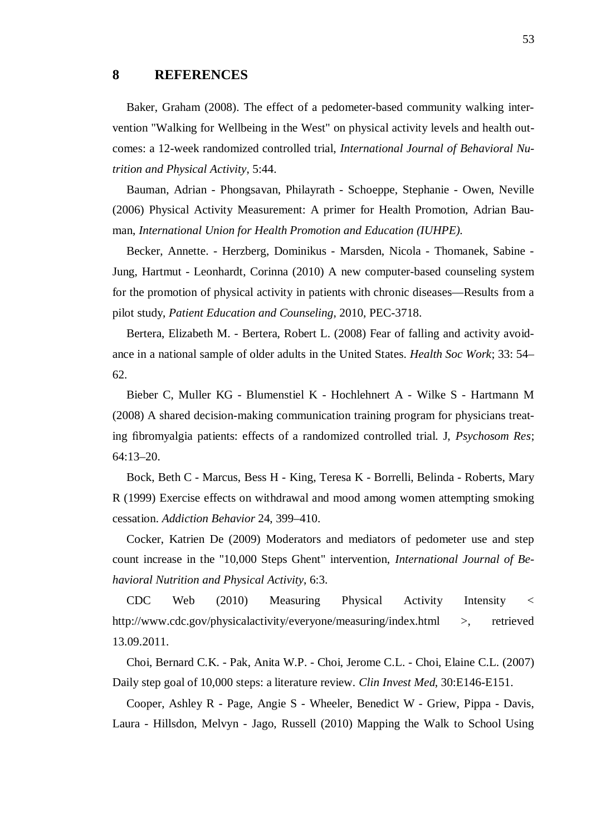### **8 REFERENCES**

Baker, Graham (2008). The effect of a pedometer-based community walking intervention "Walking for Wellbeing in the West" on physical activity levels and health outcomes: a 12-week randomized controlled trial, *International Journal of Behavioral Nutrition and Physical Activity*, 5:44.

Bauman, Adrian - Phongsavan, Philayrath - Schoeppe, Stephanie - Owen, Neville (2006) Physical Activity Measurement: A primer for Health Promotion, Adrian Bauman, *International Union for Health Promotion and Education (IUHPE).*

Becker, Annette. - Herzberg, Dominikus - Marsden, Nicola - Thomanek, Sabine - Jung, Hartmut - Leonhardt, Corinna (2010) A new computer-based counseling system for the promotion of physical activity in patients with chronic diseases—Results from a pilot study, *Patient Education and Counseling*, 2010, PEC-3718.

Bertera, Elizabeth M. - Bertera, Robert L. (2008) Fear of falling and activity avoidance in a national sample of older adults in the United States. *Health Soc Work*; 33: 54– 62.

Bieber C, Muller KG - Blumenstiel K - Hochlehnert A - Wilke S - Hartmann M (2008) A shared decision-making communication training program for physicians treating fibromyalgia patients: effects of a randomized controlled trial. J, *Psychosom Res*; 64:13–20.

Bock, Beth C - Marcus, Bess H - King, Teresa K - Borrelli, Belinda - Roberts, Mary R (1999) Exercise effects on withdrawal and mood among women attempting smoking cessation. *Addiction Behavior* 24, 399–410.

Cocker, Katrien De (2009) Moderators and mediators of pedometer use and step count increase in the "10,000 Steps Ghent" intervention, *International Journal of Behavioral Nutrition and Physical Activity*, 6:3.

CDC Web (2010) Measuring Physical Activity Intensity < http://www.cdc.gov/physicalactivity/everyone/measuring/index.html >, retrieved 13.09.2011.

Choi, Bernard C.K. - Pak, Anita W.P. - Choi, Jerome C.L. - Choi, Elaine C.L. (2007) Daily step goal of 10,000 steps: a literature review. *Clin Invest Med*, 30:E146-E151.

Cooper, Ashley R - Page, Angie S - Wheeler, Benedict W - Griew, Pippa - Davis, Laura - Hillsdon, Melvyn - Jago, Russell (2010) Mapping the Walk to School Using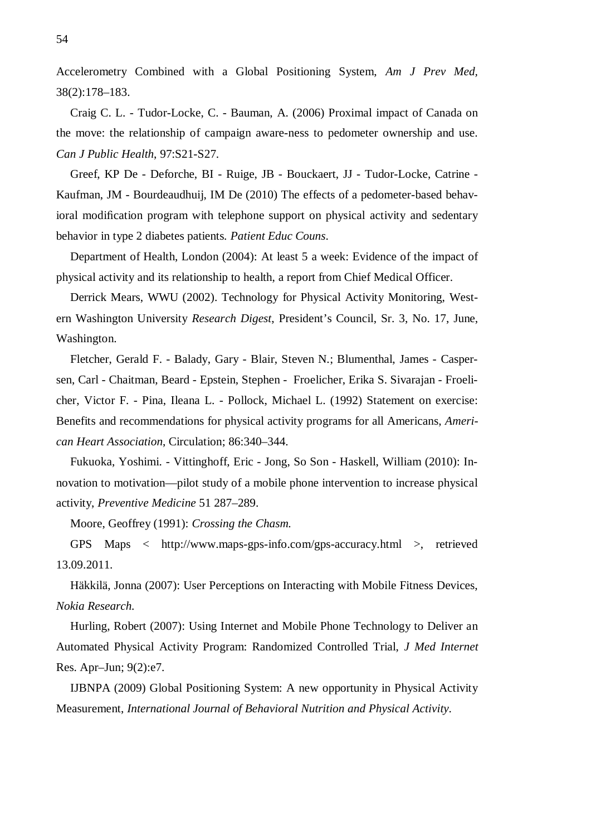Accelerometry Combined with a Global Positioning System, *Am J Prev Med,*  38(2):178–183.

Craig C. L. - Tudor-Locke, C. - Bauman, A. (2006) Proximal impact of Canada on the move: the relationship of campaign aware-ness to pedometer ownership and use. *Can J Public Health*, 97:S21-S27.

Greef, KP De - Deforche, BI - Ruige, JB - Bouckaert, JJ - Tudor-Locke, Catrine - Kaufman, JM - Bourdeaudhuij, IM De (2010) The effects of a pedometer-based behavioral modification program with telephone support on physical activity and sedentary behavior in type 2 diabetes patients. *Patient Educ Couns*.

Department of Health, London (2004): At least 5 a week: Evidence of the impact of physical activity and its relationship to health, a report from Chief Medical Officer.

Derrick Mears, WWU (2002). Technology for Physical Activity Monitoring, Western Washington University *Research Digest*, President's Council, Sr. 3, No. 17, June, Washington.

Fletcher, Gerald F. - Balady, Gary - Blair, Steven N.; Blumenthal, James - Caspersen, Carl - Chaitman, Beard - Epstein, Stephen - Froelicher, Erika S. Sivarajan - Froelicher, Victor F. - Pina, Ileana L. - Pollock, Michael L. (1992) Statement on exercise: Benefits and recommendations for physical activity programs for all Americans, *American Heart Association*, Circulation; 86:340–344.

Fukuoka, Yoshimi. - Vittinghoff, Eric - Jong, So Son - Haskell, William (2010): Innovation to motivation—pilot study of a mobile phone intervention to increase physical activity, *Preventive Medicine* 51 287–289.

Moore, Geoffrey (1991): *Crossing the Chasm.*

GPS Maps < http://www.maps-gps-info.com/gps-accuracy.html >, retrieved 13.09.2011.

Häkkilä, Jonna (2007): User Perceptions on Interacting with Mobile Fitness Devices, *Nokia Research.*

Hurling, Robert (2007): Using Internet and Mobile Phone Technology to Deliver an Automated Physical Activity Program: Randomized Controlled Trial, *J Med Internet* Res. Apr–Jun; 9(2):e7.

IJBNPA (2009) Global Positioning System: A new opportunity in Physical Activity Measurement, *International Journal of Behavioral Nutrition and Physical Activity.*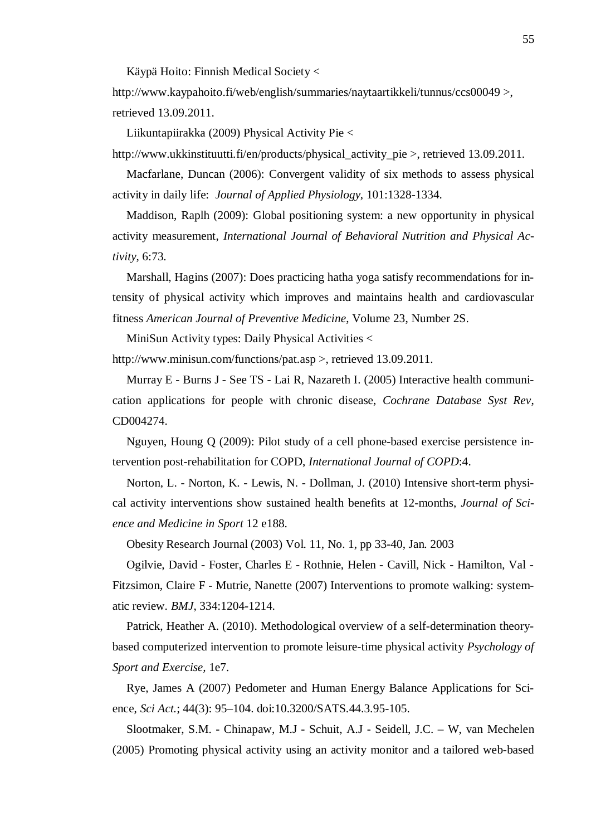Käypä Hoito: Finnish Medical Society <

http://www.kaypahoito.fi/web/english/summaries/naytaartikkeli/tunnus/ccs00049 >, retrieved 13.09.2011.

Liikuntapiirakka (2009) Physical Activity Pie <

http://www.ukkinstituutti.fi/en/products/physical\_activity\_pie >, retrieved 13.09.2011.

Macfarlane, Duncan (2006): Convergent validity of six methods to assess physical activity in daily life: *Journal of Applied Physiology*, 101:1328-1334.

Maddison, Raplh (2009): Global positioning system: a new opportunity in physical activity measurement, *International Journal of Behavioral Nutrition and Physical Activity*, 6:73.

Marshall, Hagins (2007): Does practicing hatha yoga satisfy recommendations for intensity of physical activity which improves and maintains health and cardiovascular fitness *American Journal of Preventive Medicine*, Volume 23, Number 2S.

MiniSun Activity types: Daily Physical Activities <

http://www.minisun.com/functions/pat.asp >, retrieved 13.09.2011.

Murray E - Burns J - See TS - Lai R, Nazareth I. (2005) Interactive health communication applications for people with chronic disease, *Cochrane Database Syst Rev*, CD004274.

Nguyen, Houng Q (2009): Pilot study of a cell phone-based exercise persistence intervention post-rehabilitation for COPD, *International Journal of COPD*:4.

Norton, L. - Norton, K. - Lewis, N. - Dollman, J. (2010) Intensive short-term physical activity interventions show sustained health benefits at 12-months, *Journal of Science and Medicine in Sport* 12 e188.

Obesity Research Journal (2003) Vol. 11, No. 1, pp 33-40, Jan. 2003

Ogilvie, David - Foster, Charles E - Rothnie, Helen - Cavill, Nick - Hamilton, Val - Fitzsimon, Claire F - Mutrie, Nanette (2007) Interventions to promote walking: systematic review. *BMJ*, 334:1204-1214.

Patrick, Heather A. (2010). Methodological overview of a self-determination theorybased computerized intervention to promote leisure-time physical activity *Psychology of Sport and Exercise,* 1e7.

Rye, James A (2007) Pedometer and Human Energy Balance Applications for Science, *Sci Act.*; 44(3): 95–104. doi:10.3200/SATS.44.3.95-105.

Slootmaker, S.M. - Chinapaw, M.J - Schuit, A.J - Seidell, J.C. – W, van Mechelen (2005) Promoting physical activity using an activity monitor and a tailored web-based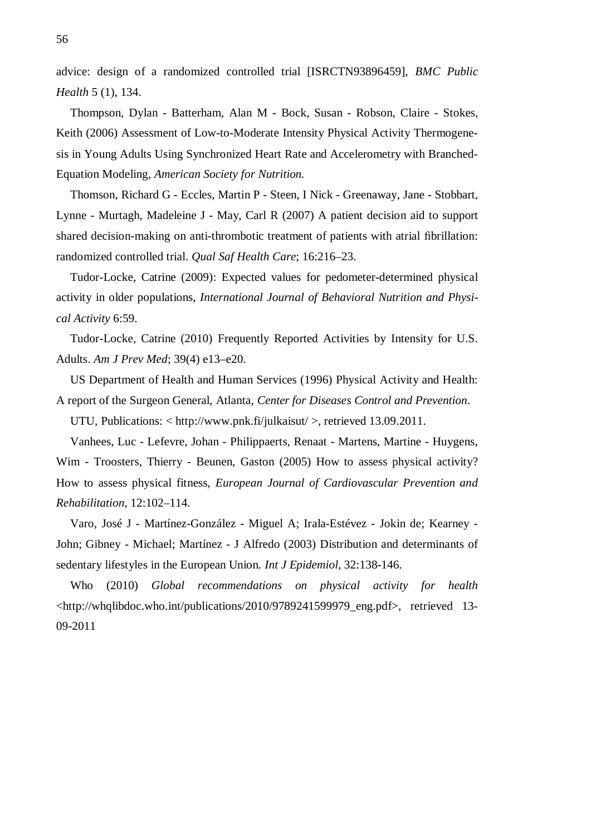advice: design of a randomized controlled trial [ISRCTN93896459], *BMC Public Health* 5 (1), 134.

Thompson, Dylan - Batterham, Alan M - Bock, Susan - Robson, Claire - Stokes, Keith (2006) Assessment of Low-to-Moderate Intensity Physical Activity Thermogenesis in Young Adults Using Synchronized Heart Rate and Accelerometry with Branched-Equation Modeling, *American Society for Nutrition.*

Thomson, Richard G - Eccles, Martin P - Steen, I Nick - Greenaway, Jane - Stobbart, Lynne - Murtagh, Madeleine J - May, Carl R (2007) A patient decision aid to support shared decision-making on anti-thrombotic treatment of patients with atrial fibrillation: randomized controlled trial. *Qual Saf Health Care*; 16:216–23.

Tudor-Locke, Catrine (2009): Expected values for pedometer-determined physical activity in older populations, *International Journal of Behavioral Nutrition and Physical Activity* 6:59.

Tudor-Locke, Catrine (2010) Frequently Reported Activities by Intensity for U.S. Adults. *Am J Prev Med*; 39(4) e13–e20.

US Department of Health and Human Services (1996) Physical Activity and Health: A report of the Surgeon General, Atlanta, *Center for Diseases Control and Prevention*.

UTU, Publications: < http://www.pnk.fi/julkaisut/ >, retrieved 13.09.2011.

Vanhees, Luc - Lefevre, Johan - Philippaerts, Renaat - Martens, Martine - Huygens, Wim - Troosters, Thierry - Beunen, Gaston (2005) How to assess physical activity? How to assess physical fitness, *European Journal of Cardiovascular Prevention and Rehabilitation*, 12:102–114.

Varo, José J - Martínez-González - Miguel A; Irala-Estévez - Jokin de; Kearney - John; Gibney - Michael; Martínez - J Alfredo (2003) Distribution and determinants of sedentary lifestyles in the European Union. *Int J Epidemiol*, 32:138-146.

Who (2010) *Global recommendations on physical activity for health* <http://whqlibdoc.who.int/publications/2010/9789241599979\_eng.pdf>, retrieved 13- 09-2011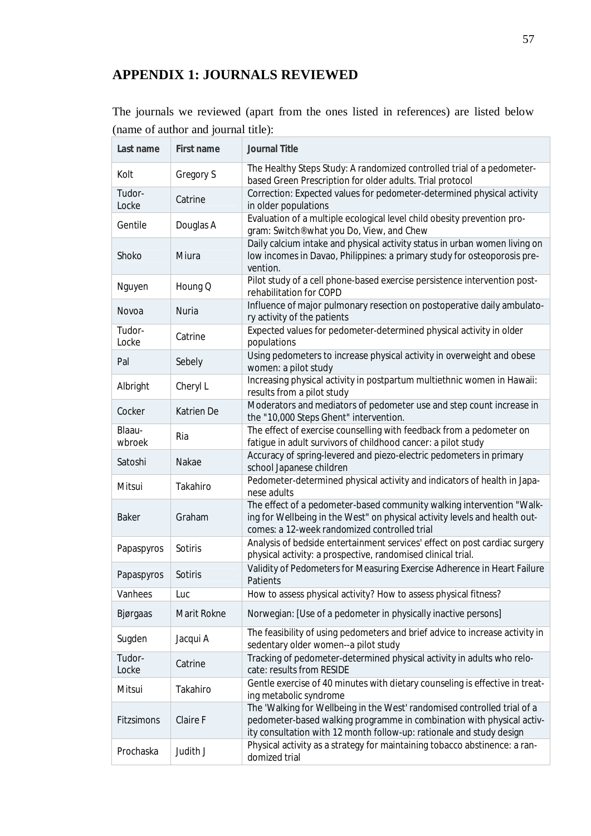# **APPENDIX 1: JOURNALS REVIEWED**

The journals we reviewed (apart from the ones listed in references) are listed below (name of author and journal title):

| Last name        | First name   | Journal Title                                                                                                                                                                                                               |
|------------------|--------------|-----------------------------------------------------------------------------------------------------------------------------------------------------------------------------------------------------------------------------|
| Kolt             | Gregory S    | The Healthy Steps Study: A randomized controlled trial of a pedometer-<br>based Green Prescription for older adults. Trial protocol                                                                                         |
| Tudor-<br>Locke  | Catrine      | Correction: Expected values for pedometer-determined physical activity<br>in older populations                                                                                                                              |
| Gentile          | Douglas A    | Evaluation of a multiple ecological level child obesity prevention pro-<br>gram: Switch® what you Do, View, and Chew                                                                                                        |
| Shoko            | Miura        | Daily calcium intake and physical activity status in urban women living on<br>low incomes in Davao, Philippines: a primary study for osteoporosis pre-<br>vention.                                                          |
| Nguyen           | Houng Q      | Pilot study of a cell phone-based exercise persistence intervention post-<br>rehabilitation for COPD                                                                                                                        |
| Novoa            | <b>Nuria</b> | Influence of major pulmonary resection on postoperative daily ambulato-<br>ry activity of the patients                                                                                                                      |
| Tudor-<br>Locke  | Catrine      | Expected values for pedometer-determined physical activity in older<br>populations                                                                                                                                          |
| Pal              | Sebely       | Using pedometers to increase physical activity in overweight and obese<br>women: a pilot study                                                                                                                              |
| Albright         | Cheryl L     | Increasing physical activity in postpartum multiethnic women in Hawaii:<br>results from a pilot study                                                                                                                       |
| Cocker           | Katrien De   | Moderators and mediators of pedometer use and step count increase in<br>the "10,000 Steps Ghent" intervention.                                                                                                              |
| Blaau-<br>wbroek | Ria          | The effect of exercise counselling with feedback from a pedometer on<br>fatigue in adult survivors of childhood cancer: a pilot study                                                                                       |
| Satoshi          | Nakae        | Accuracy of spring-levered and piezo-electric pedometers in primary<br>school Japanese children                                                                                                                             |
| Mitsui           | Takahiro     | Pedometer-determined physical activity and indicators of health in Japa-<br>nese adults                                                                                                                                     |
| <b>Baker</b>     | Graham       | The effect of a pedometer-based community walking intervention "Walk-<br>ing for Wellbeing in the West" on physical activity levels and health out-<br>comes: a 12-week randomized controlled trial                         |
| Papaspyros       | Sotiris      | Analysis of bedside entertainment services' effect on post cardiac surgery<br>physical activity: a prospective, randomised clinical trial.                                                                                  |
| Papaspyros       | Sotiris      | Validity of Pedometers for Measuring Exercise Adherence in Heart Failure<br>Patients                                                                                                                                        |
| Vanhees          | Luc          | How to assess physical activity? How to assess physical fitness?                                                                                                                                                            |
| Bjørgaas         | Marit Rokne  | Norwegian: [Use of a pedometer in physically inactive persons]                                                                                                                                                              |
| Sugden           | Jacqui A     | The feasibility of using pedometers and brief advice to increase activity in<br>sedentary older women--a pilot study                                                                                                        |
| Tudor-<br>Locke  | Catrine      | Tracking of pedometer-determined physical activity in adults who relo-<br>cate: results from RESIDE                                                                                                                         |
| Mitsui           | Takahiro     | Gentle exercise of 40 minutes with dietary counseling is effective in treat-<br>ing metabolic syndrome                                                                                                                      |
| Fitzsimons       |              | The 'Walking for Wellbeing in the West' randomised controlled trial of a                                                                                                                                                    |
|                  | Claire F     | pedometer-based walking programme in combination with physical activ-<br>ity consultation with 12 month follow-up: rationale and study design<br>Physical activity as a strategy for maintaining tobacco abstinence: a ran- |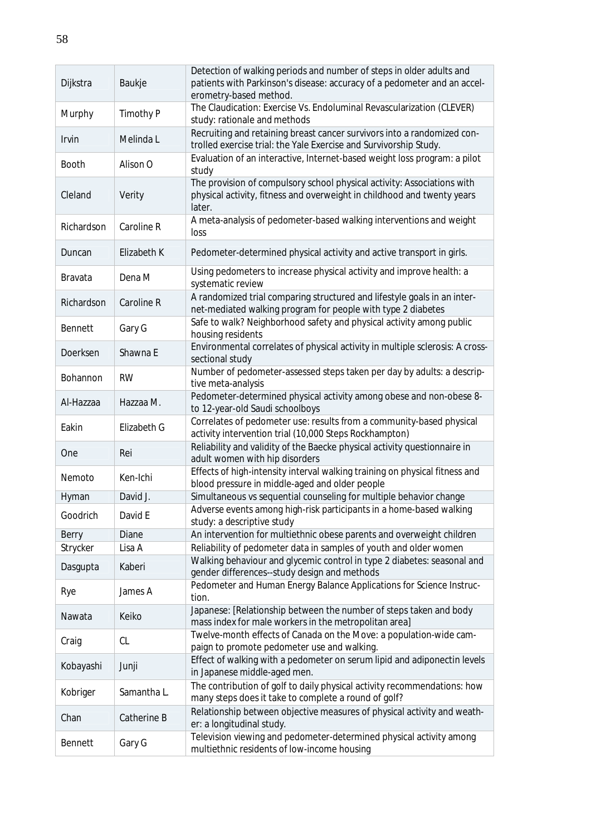| Dijkstra     | Baukje      | Detection of walking periods and number of steps in older adults and<br>patients with Parkinson's disease: accuracy of a pedometer and an accel-<br>erometry-based method. |
|--------------|-------------|----------------------------------------------------------------------------------------------------------------------------------------------------------------------------|
| Murphy       | Timothy P   | The Claudication: Exercise Vs. Endoluminal Revascularization (CLEVER)<br>study: rationale and methods                                                                      |
| <b>Irvin</b> | Melinda L   | Recruiting and retaining breast cancer survivors into a randomized con-<br>trolled exercise trial: the Yale Exercise and Survivorship Study.                               |
| <b>Booth</b> | Alison O    | Evaluation of an interactive, Internet-based weight loss program: a pilot<br>study                                                                                         |
| Cleland      | Verity      | The provision of compulsory school physical activity: Associations with<br>physical activity, fitness and overweight in childhood and twenty years<br>later.               |
| Richardson   | Caroline R  | A meta-analysis of pedometer-based walking interventions and weight<br>loss                                                                                                |
| Duncan       | Elizabeth K | Pedometer-determined physical activity and active transport in girls.                                                                                                      |
| Bravata      | Dena M      | Using pedometers to increase physical activity and improve health: a<br>systematic review                                                                                  |
| Richardson   | Caroline R  | A randomized trial comparing structured and lifestyle goals in an inter-<br>net-mediated walking program for people with type 2 diabetes                                   |
| Bennett      | Gary G      | Safe to walk? Neighborhood safety and physical activity among public<br>housing residents                                                                                  |
| Doerksen     | Shawna E    | Environmental correlates of physical activity in multiple sclerosis: A cross-<br>sectional study                                                                           |
| Bohannon     | <b>RW</b>   | Number of pedometer-assessed steps taken per day by adults: a descrip-<br>tive meta-analysis                                                                               |
| Al-Hazzaa    | Hazzaa M.   | Pedometer-determined physical activity among obese and non-obese 8-<br>to 12-year-old Saudi schoolboys                                                                     |
| Eakin        | Elizabeth G | Correlates of pedometer use: results from a community-based physical<br>activity intervention trial (10,000 Steps Rockhampton)                                             |
| One          | Rei         | Reliability and validity of the Baecke physical activity questionnaire in<br>adult women with hip disorders                                                                |
| Nemoto       | Ken-Ichi    | Effects of high-intensity interval walking training on physical fitness and<br>blood pressure in middle-aged and older people                                              |
| Hyman        | David J.    | Simultaneous vs sequential counseling for multiple behavior change                                                                                                         |
| Goodrich     | David E     | Adverse events among high-risk participants in a home-based walking<br>study: a descriptive study                                                                          |
| Berry        | Diane       | An intervention for multiethnic obese parents and overweight children                                                                                                      |
| Strycker     | Lisa A      | Reliability of pedometer data in samples of youth and older women                                                                                                          |
| Dasgupta     | Kaberi      | Walking behaviour and glycemic control in type 2 diabetes: seasonal and<br>gender differences--study design and methods                                                    |
| Rye          | James A     | Pedometer and Human Energy Balance Applications for Science Instruc-<br>tion.                                                                                              |
| Nawata       | Keiko       | Japanese: [Relationship between the number of steps taken and body<br>mass index for male workers in the metropolitan area]                                                |
| Craig        | CL          | Twelve-month effects of Canada on the Move: a population-wide cam-<br>paign to promote pedometer use and walking.                                                          |
| Kobayashi    | Junji       | Effect of walking with a pedometer on serum lipid and adiponectin levels<br>in Japanese middle-aged men.                                                                   |
| Kobriger     | Samantha L. | The contribution of golf to daily physical activity recommendations: how<br>many steps does it take to complete a round of golf?                                           |
| Chan         | Catherine B | Relationship between objective measures of physical activity and weath-<br>er: a longitudinal study.                                                                       |
| Bennett      | Gary G      | Television viewing and pedometer-determined physical activity among<br>multiethnic residents of low-income housing                                                         |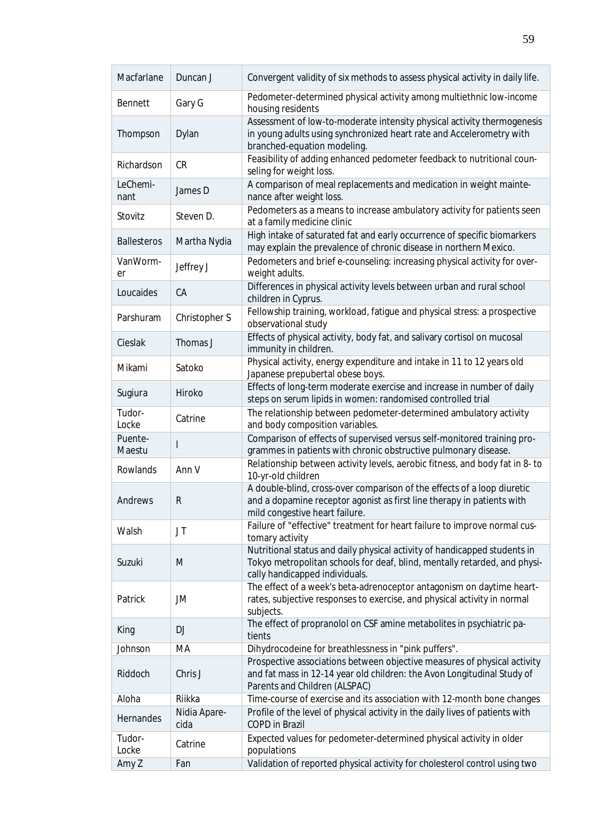| Macfarlane         | Duncan J             | Convergent validity of six methods to assess physical activity in daily life.                                                                                                            |
|--------------------|----------------------|------------------------------------------------------------------------------------------------------------------------------------------------------------------------------------------|
| Bennett            | Gary G               | Pedometer-determined physical activity among multiethnic low-income<br>housing residents                                                                                                 |
| Thompson           | Dylan                | Assessment of low-to-moderate intensity physical activity thermogenesis<br>in young adults using synchronized heart rate and Accelerometry with<br>branched-equation modeling.           |
| Richardson         | <b>CR</b>            | Feasibility of adding enhanced pedometer feedback to nutritional coun-<br>seling for weight loss.                                                                                        |
| LeChemi-<br>nant   | James D              | A comparison of meal replacements and medication in weight mainte-<br>nance after weight loss.                                                                                           |
| Stovitz            | Steven D.            | Pedometers as a means to increase ambulatory activity for patients seen<br>at a family medicine clinic                                                                                   |
| <b>Ballesteros</b> | Martha Nydia         | High intake of saturated fat and early occurrence of specific biomarkers<br>may explain the prevalence of chronic disease in northern Mexico.                                            |
| VanWorm-<br>er     | Jeffrey J            | Pedometers and brief e-counseling: increasing physical activity for over-<br>weight adults.                                                                                              |
| Loucaides          | CA                   | Differences in physical activity levels between urban and rural school<br>children in Cyprus.                                                                                            |
| Parshuram          | Christopher S        | Fellowship training, workload, fatigue and physical stress: a prospective<br>observational study                                                                                         |
| Cieslak            | Thomas J             | Effects of physical activity, body fat, and salivary cortisol on mucosal<br>immunity in children.                                                                                        |
| Mikami             | Satoko               | Physical activity, energy expenditure and intake in 11 to 12 years old<br>Japanese prepubertal obese boys.                                                                               |
| Sugiura            | Hiroko               | Effects of long-term moderate exercise and increase in number of daily<br>steps on serum lipids in women: randomised controlled trial                                                    |
| Tudor-<br>Locke    | Catrine              | The relationship between pedometer-determined ambulatory activity<br>and body composition variables.                                                                                     |
| Puente-<br>Maestu  |                      | Comparison of effects of supervised versus self-monitored training pro-<br>grammes in patients with chronic obstructive pulmonary disease.                                               |
| Rowlands           | Ann V                | Relationship between activity levels, aerobic fitness, and body fat in 8- to<br>10-yr-old children                                                                                       |
| Andrews            | ${\sf R}$            | A double-blind, cross-over comparison of the effects of a loop diuretic<br>and a dopamine receptor agonist as first line therapy in patients with<br>mild congestive heart failure.      |
| Walsh              | JT                   | Failure of "effective" treatment for heart failure to improve normal cus-<br>tomary activity                                                                                             |
| Suzuki             | M                    | Nutritional status and daily physical activity of handicapped students in<br>Tokyo metropolitan schools for deaf, blind, mentally retarded, and physi-<br>cally handicapped individuals. |
| Patrick            | JM                   | The effect of a week's beta-adrenoceptor antagonism on daytime heart-<br>rates, subjective responses to exercise, and physical activity in normal<br>subjects.                           |
| King               | <b>DJ</b>            | The effect of propranolol on CSF amine metabolites in psychiatric pa-<br>tients                                                                                                          |
| Johnson            | MA                   | Dihydrocodeine for breathlessness in "pink puffers".                                                                                                                                     |
| Riddoch            | Chris J              | Prospective associations between objective measures of physical activity<br>and fat mass in 12-14 year old children: the Avon Longitudinal Study of<br>Parents and Children (ALSPAC)     |
| Aloha              | Riikka               | Time-course of exercise and its association with 12-month bone changes                                                                                                                   |
| Hernandes          | Nidia Apare-<br>cida | Profile of the level of physical activity in the daily lives of patients with<br><b>COPD</b> in Brazil                                                                                   |
| Tudor-<br>Locke    | Catrine              | Expected values for pedometer-determined physical activity in older<br>populations                                                                                                       |
| Amy Z              | Fan                  | Validation of reported physical activity for cholesterol control using two                                                                                                               |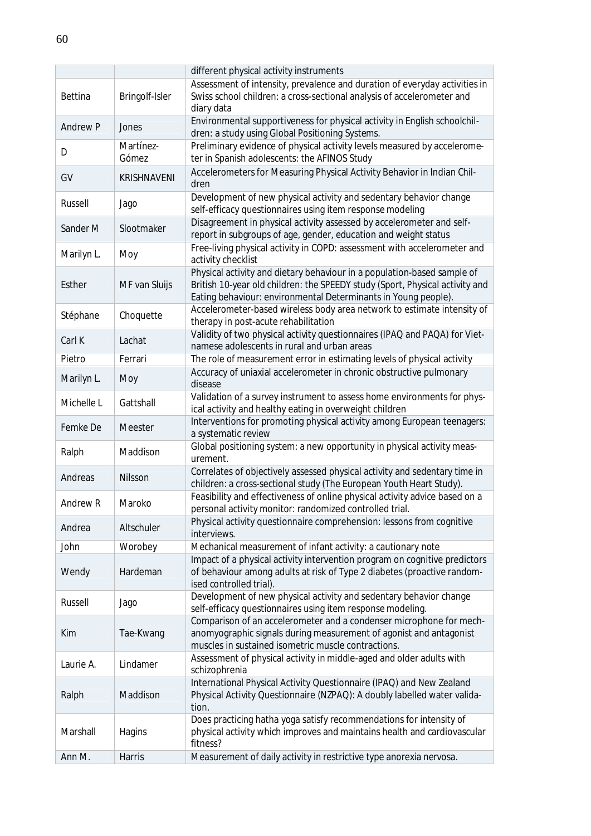|                 |                    | different physical activity instruments                                                                                                                                                                                   |
|-----------------|--------------------|---------------------------------------------------------------------------------------------------------------------------------------------------------------------------------------------------------------------------|
| Bettina         | Bringolf-Isler     | Assessment of intensity, prevalence and duration of everyday activities in<br>Swiss school children: a cross-sectional analysis of accelerometer and<br>diary data                                                        |
| <b>Andrew P</b> | Jones              | Environmental supportiveness for physical activity in English schoolchil-<br>dren: a study using Global Positioning Systems.                                                                                              |
| D               | Martínez-<br>Gómez | Preliminary evidence of physical activity levels measured by accelerome-<br>ter in Spanish adolescents: the AFINOS Study                                                                                                  |
| GV              | <b>KRISHNAVENI</b> | Accelerometers for Measuring Physical Activity Behavior in Indian Chil-<br>dren                                                                                                                                           |
| Russell         | Jago               | Development of new physical activity and sedentary behavior change<br>self-efficacy questionnaires using item response modeling                                                                                           |
| Sander M        | Slootmaker         | Disagreement in physical activity assessed by accelerometer and self-<br>report in subgroups of age, gender, education and weight status                                                                                  |
| Marilyn L.      | Moy                | Free-living physical activity in COPD: assessment with accelerometer and<br>activity checklist                                                                                                                            |
| Esther          | MF van Sluijs      | Physical activity and dietary behaviour in a population-based sample of<br>British 10-year old children: the SPEEDY study (Sport, Physical activity and<br>Eating behaviour: environmental Determinants in Young people). |
| Stéphane        | Choquette          | Accelerometer-based wireless body area network to estimate intensity of<br>therapy in post-acute rehabilitation                                                                                                           |
| Carl K          | Lachat             | Validity of two physical activity questionnaires (IPAQ and PAQA) for Viet-<br>namese adolescents in rural and urban areas                                                                                                 |
| Pietro          | Ferrari            | The role of measurement error in estimating levels of physical activity                                                                                                                                                   |
| Marilyn L.      | Moy                | Accuracy of uniaxial accelerometer in chronic obstructive pulmonary<br>disease                                                                                                                                            |
| Michelle L      | Gattshall          | Validation of a survey instrument to assess home environments for phys-<br>ical activity and healthy eating in overweight children                                                                                        |
| Femke De        | Meester            | Interventions for promoting physical activity among European teenagers:<br>a systematic review                                                                                                                            |
| Ralph           | Maddison           | Global positioning system: a new opportunity in physical activity meas-<br>urement.                                                                                                                                       |
| Andreas         | Nilsson            | Correlates of objectively assessed physical activity and sedentary time in<br>children: a cross-sectional study (The European Youth Heart Study).                                                                         |
| Andrew R        | Maroko             | Feasibility and effectiveness of online physical activity advice based on a<br>personal activity monitor: randomized controlled trial.                                                                                    |
| Andrea          | Altschuler         | Physical activity questionnaire comprehension: lessons from cognitive<br>interviews.                                                                                                                                      |
| John            | Worobey            | Mechanical measurement of infant activity: a cautionary note                                                                                                                                                              |
| Wendy           | Hardeman           | Impact of a physical activity intervention program on cognitive predictors<br>of behaviour among adults at risk of Type 2 diabetes (proactive random-<br>ised controlled trial).                                          |
| Russell         | Jago               | Development of new physical activity and sedentary behavior change<br>self-efficacy questionnaires using item response modeling.                                                                                          |
| Kim             | Tae-Kwang          | Comparison of an accelerometer and a condenser microphone for mech-<br>anomyographic signals during measurement of agonist and antagonist<br>muscles in sustained isometric muscle contractions.                          |
| Laurie A.       | Lindamer           | Assessment of physical activity in middle-aged and older adults with<br>schizophrenia                                                                                                                                     |
| Ralph           | Maddison           | International Physical Activity Questionnaire (IPAQ) and New Zealand<br>Physical Activity Questionnaire (NZPAQ): A doubly labelled water valida-<br>tion.                                                                 |
| Marshall        | Hagins             | Does practicing hatha yoga satisfy recommendations for intensity of<br>physical activity which improves and maintains health and cardiovascular<br>fitness?                                                               |
| Ann M.          | Harris             | Measurement of daily activity in restrictive type anorexia nervosa.                                                                                                                                                       |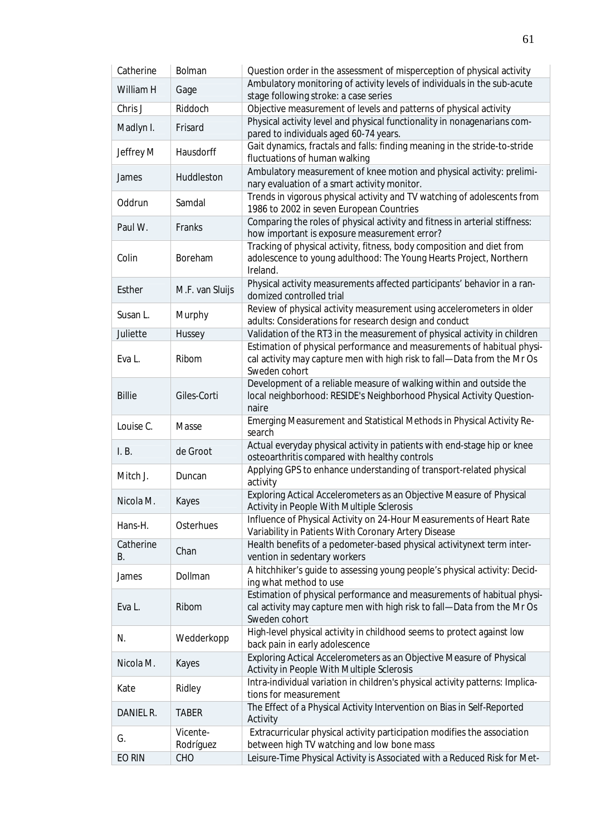| Catherine       | Bolman                | Question order in the assessment of misperception of physical activity                                                                                             |
|-----------------|-----------------------|--------------------------------------------------------------------------------------------------------------------------------------------------------------------|
| William H       | Gage                  | Ambulatory monitoring of activity levels of individuals in the sub-acute<br>stage following stroke: a case series                                                  |
| Chris J         | Riddoch               | Objective measurement of levels and patterns of physical activity                                                                                                  |
| Madlyn I.       | Frisard               | Physical activity level and physical functionality in nonagenarians com-<br>pared to individuals aged 60-74 years.                                                 |
| Jeffrey M       | Hausdorff             | Gait dynamics, fractals and falls: finding meaning in the stride-to-stride<br>fluctuations of human walking                                                        |
| James           | Huddleston            | Ambulatory measurement of knee motion and physical activity: prelimi-<br>nary evaluation of a smart activity monitor.                                              |
| Oddrun          | Samdal                | Trends in vigorous physical activity and TV watching of adolescents from<br>1986 to 2002 in seven European Countries                                               |
| Paul W.         | Franks                | Comparing the roles of physical activity and fitness in arterial stiffness:<br>how important is exposure measurement error?                                        |
| Colin           | Boreham               | Tracking of physical activity, fitness, body composition and diet from<br>adolescence to young adulthood: The Young Hearts Project, Northern<br>Ireland.           |
| Esther          | M.F. van Sluijs       | Physical activity measurements affected participants' behavior in a ran-<br>domized controlled trial                                                               |
| Susan L.        | Murphy                | Review of physical activity measurement using accelerometers in older<br>adults: Considerations for research design and conduct                                    |
| Juliette        | Hussey                | Validation of the RT3 in the measurement of physical activity in children                                                                                          |
| Eva L.          | Ribom                 | Estimation of physical performance and measurements of habitual physi-<br>cal activity may capture men with high risk to fall-Data from the Mr Os<br>Sweden cohort |
| <b>Billie</b>   | Giles-Corti           | Development of a reliable measure of walking within and outside the<br>local neighborhood: RESIDE's Neighborhood Physical Activity Question-<br>naire              |
| Louise C.       | Masse                 | Emerging Measurement and Statistical Methods in Physical Activity Re-<br>search                                                                                    |
| I. B.           | de Groot              | Actual everyday physical activity in patients with end-stage hip or knee<br>osteoarthritis compared with healthy controls                                          |
| Mitch J.        | Duncan                | Applying GPS to enhance understanding of transport-related physical<br>activity                                                                                    |
| Nicola M.       | Kayes                 | Exploring Actical Accelerometers as an Objective Measure of Physical<br>Activity in People With Multiple Sclerosis                                                 |
| Hans-H.         | Osterhues             | Influence of Physical Activity on 24-Hour Measurements of Heart Rate<br>Variability in Patients With Coronary Artery Disease                                       |
| Catherine<br>В. | Chan                  | Health benefits of a pedometer-based physical activitynext term inter-<br>vention in sedentary workers                                                             |
| James           | Dollman               | A hitchhiker's guide to assessing young people's physical activity: Decid-<br>ing what method to use                                                               |
| Eva L.          | Ribom                 | Estimation of physical performance and measurements of habitual physi-<br>cal activity may capture men with high risk to fall-Data from the Mr Os<br>Sweden cohort |
| N.              | Wedderkopp            | High-level physical activity in childhood seems to protect against low<br>back pain in early adolescence                                                           |
| Nicola M.       | Kayes                 | Exploring Actical Accelerometers as an Objective Measure of Physical<br>Activity in People With Multiple Sclerosis                                                 |
| Kate            | Ridley                | Intra-individual variation in children's physical activity patterns: Implica-<br>tions for measurement                                                             |
| DANIEL R.       | <b>TABER</b>          | The Effect of a Physical Activity Intervention on Bias in Self-Reported<br>Activity                                                                                |
| G.              | Vicente-<br>Rodríguez | Extracurricular physical activity participation modifies the association<br>between high TV watching and low bone mass                                             |
| EO RIN          | CHO                   | Leisure-Time Physical Activity is Associated with a Reduced Risk for Met-                                                                                          |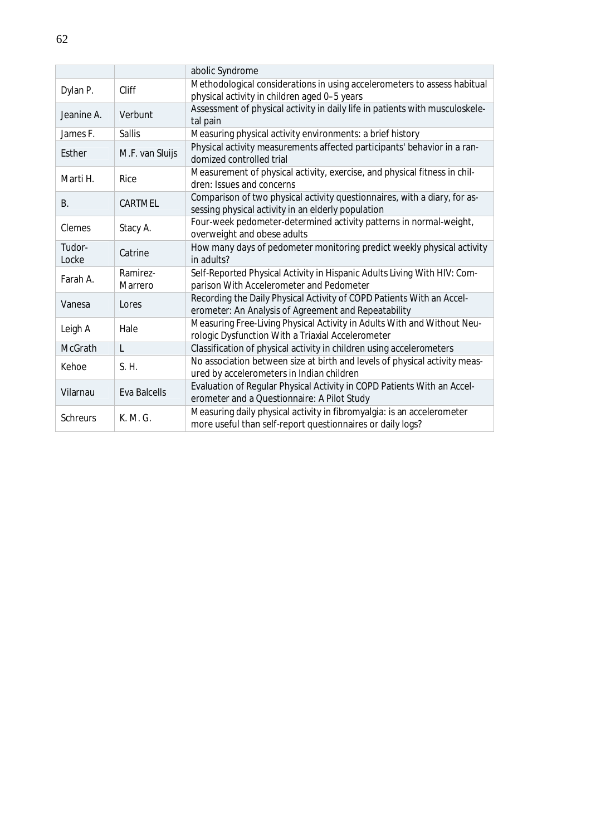|                 |                     | abolic Syndrome                                                                                                                      |
|-----------------|---------------------|--------------------------------------------------------------------------------------------------------------------------------------|
| Dylan P.        | Cliff               | Methodological considerations in using accelerometers to assess habitual<br>physical activity in children aged 0-5 years             |
| Jeanine A.      | Verbunt             | Assessment of physical activity in daily life in patients with musculoskele-<br>tal pain                                             |
| James F.        | Sallis              | Measuring physical activity environments: a brief history                                                                            |
| Esther          | M.F. van Sluijs     | Physical activity measurements affected participants' behavior in a ran-<br>domized controlled trial                                 |
| Marti H.        | Rice                | Measurement of physical activity, exercise, and physical fitness in chil-<br>dren: Issues and concerns                               |
| В.              | CARTMEL             | Comparison of two physical activity questionnaires, with a diary, for as-<br>sessing physical activity in an elderly population      |
| Clemes          | Stacy A.            | Four-week pedometer-determined activity patterns in normal-weight,<br>overweight and obese adults                                    |
| Tudor-<br>Locke | Catrine             | How many days of pedometer monitoring predict weekly physical activity<br>in adults?                                                 |
| Farah A.        | Ramirez-<br>Marrero | Self-Reported Physical Activity in Hispanic Adults Living With HIV: Com-<br>parison With Accelerometer and Pedometer                 |
| Vanesa          | Lores               | Recording the Daily Physical Activity of COPD Patients With an Accel-<br>erometer: An Analysis of Agreement and Repeatability        |
| Leigh A         | Hale                | Measuring Free-Living Physical Activity in Adults With and Without Neu-<br>rologic Dysfunction With a Triaxial Accelerometer         |
| McGrath         | L                   | Classification of physical activity in children using accelerometers                                                                 |
| Kehoe           | S. H.               | No association between size at birth and levels of physical activity meas-<br>ured by accelerometers in Indian children              |
| Vilarnau        | <b>Eva Balcells</b> | Evaluation of Regular Physical Activity in COPD Patients With an Accel-<br>erometer and a Questionnaire: A Pilot Study               |
| <b>Schreurs</b> | K. M. G.            | Measuring daily physical activity in fibromyalgia: is an accelerometer<br>more useful than self-report questionnaires or daily logs? |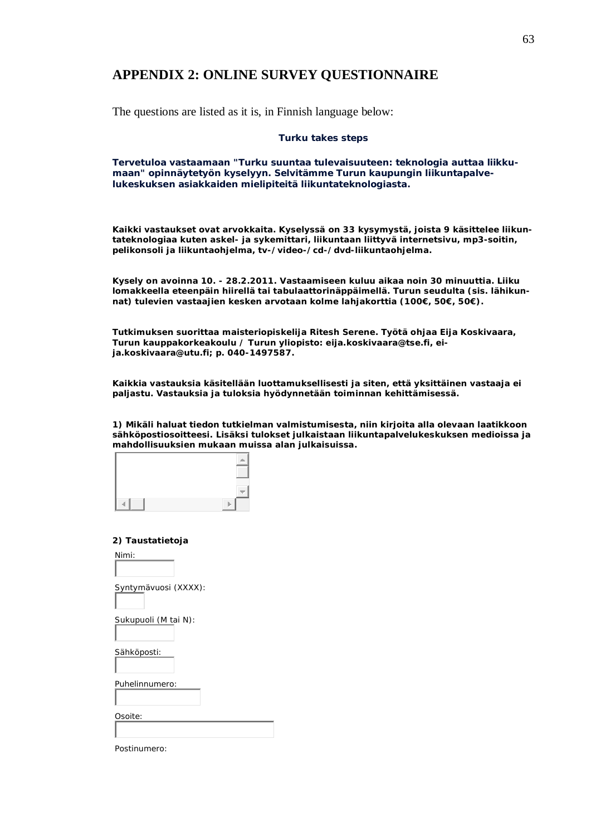# **APPENDIX 2: ONLINE SURVEY QUESTIONNAIRE**

The questions are listed as it is, in Finnish language below:

#### **Turku takes steps**

**Tervetuloa vastaamaan "Turku suuntaa tulevaisuuteen: teknologia auttaa liikkumaan" opinnäytetyön kyselyyn. Selvitämme Turun kaupungin liikuntapalvelukeskuksen asiakkaiden mielipiteitä liikuntateknologiasta.** 

**Kaikki vastaukset ovat arvokkaita. Kyselyssä on 33 kysymystä, joista 9 käsittelee liikuntateknologiaa kuten askel- ja sykemittari, liikuntaan liittyvä internetsivu, mp3-soitin, pelikonsoli ja liikuntaohjelma, tv-/video-/cd-/dvd-liikuntaohjelma.**

**Kysely on avoinna 10. - 28.2.2011. Vastaamiseen kuluu aikaa noin 30 minuuttia. Liiku lomakkeella eteenpäin hiirellä tai tabulaattorinäppäimellä. Turun seudulta (sis. lähikunnat) tulevien vastaajien kesken arvotaan kolme lahjakorttia (100€, 50€, 50€).**

**Tutkimuksen suorittaa maisteriopiskelija Ritesh Serene. Työtä ohjaa Eija Koskivaara, Turun kauppakorkeakoulu / Turun yliopisto: eija.koskivaara@tse.fi, eija.koskivaara@utu.fi; p. 040-1497587.**

**Kaikkia vastauksia käsitellään luottamuksellisesti ja siten, että yksittäinen vastaaja ei paljastu. Vastauksia ja tuloksia hyödynnetään toiminnan kehittämisessä.**

**1) Mikäli haluat tiedon tutkielman valmistumisesta, niin kirjoita alla olevaan laatikkoon sähköpostiosoitteesi. Lisäksi tulokset julkaistaan liikuntapalvelukeskuksen medioissa ja mahdollisuuksien mukaan muissa alan julkaisuissa.**

**2) Taustatietoja**

Nimi:

Syntymävuosi (XXXX):

Sukupuoli (M tai N):

Sähköposti:

Puhelinnumero:

Osoite:

| Postinumero: |  |
|--------------|--|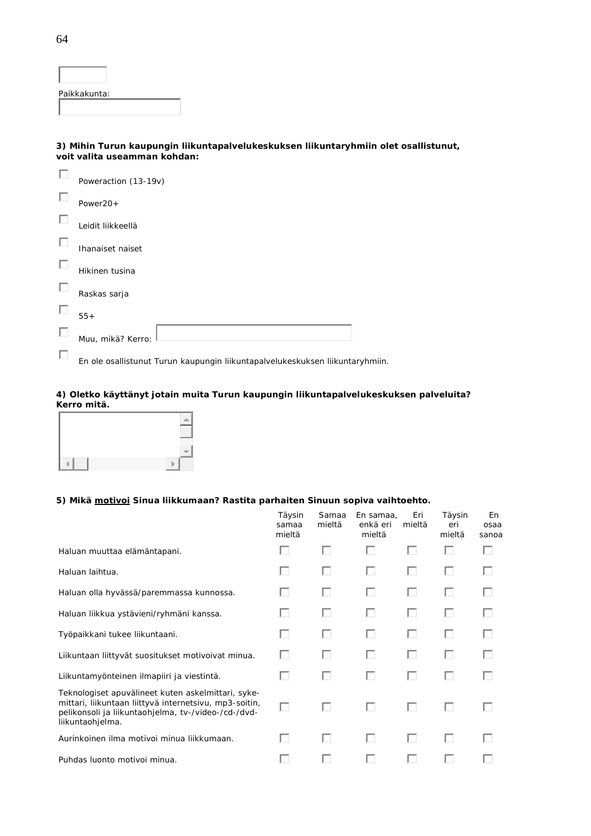Paikkakunta:

**3) Mihin Turun kaupungin liikuntapalvelukeskuksen liikuntaryhmiin olet osallistunut, voit valita useamman kohdan:**

| Poweraction (13-19v)                                                    |
|-------------------------------------------------------------------------|
| Power20+                                                                |
| Leidit liikkeellä                                                       |
| Ihanaiset naiset                                                        |
| Hikinen tusina                                                          |
| Raskas sarja                                                            |
| $55+$                                                                   |
| Muu, mikä? Kerro:                                                       |
| En ele coellistuarit Turun keunungin liikuntenekselukeekukeen liikunten |

En ole osallistunut Turun kaupungin liikuntapalvelukeskuksen liikuntaryhmiin.

#### **4) Oletko käyttänyt jotain muita Turun kaupungin liikuntapalvelukeskuksen palveluita? Kerro mitä.**

#### **5) Mikä motivoi Sinua liikkumaan? Rastita parhaiten Sinuun sopiva vaihtoehto.**

|                                                                                                                                                                                         | Täysin<br>samaa<br>mieltä | Samaa<br>mieltä | En samaa,<br>enkä eri<br>mieltä | Eri<br>mieltä | Täysin<br>eri<br>mieltä | En<br>osaa<br>sanoa |
|-----------------------------------------------------------------------------------------------------------------------------------------------------------------------------------------|---------------------------|-----------------|---------------------------------|---------------|-------------------------|---------------------|
| Haluan muuttaa elämäntapani.                                                                                                                                                            | U                         | ш               | ш                               | ш             | ш                       |                     |
| Haluan laihtua.                                                                                                                                                                         |                           | ш               | ш                               | ш             | ш                       |                     |
| Haluan olla hyvässä/paremmassa kunnossa.                                                                                                                                                | ш                         | U               | ш                               | ш             | ш                       |                     |
| Haluan liikkua ystävieni/ryhmäni kanssa.                                                                                                                                                | L.                        | ш               | U                               | ш             | ш                       |                     |
| Työpaikkani tukee liikuntaani.                                                                                                                                                          | ш                         | U               | ш                               | ш             | U                       |                     |
| Liikuntaan liittyvät suositukset motivoivat minua.                                                                                                                                      | ш                         | U               | ш                               | ш             | U                       |                     |
| Liikuntamyönteinen ilmapiiri ja viestintä.                                                                                                                                              | ш                         | ш               | ш                               | ш             | ш                       |                     |
| Teknologiset apuvälineet kuten askelmittari, syke-<br>mittari, liikuntaan liittyvä internetsivu, mp3-soitin,<br>pelikonsoli ja liikuntaohjelma, tv-/video-/cd-/dvd-<br>liikuntaohjelma. | U                         | U               | ш                               | ш             | ш                       |                     |
| Aurinkoinen ilma motivoi minua liikkumaan.                                                                                                                                              | U                         | U               | п                               | п             | ш                       |                     |
| Puhdas luonto motivoi minua.                                                                                                                                                            |                           |                 |                                 |               |                         |                     |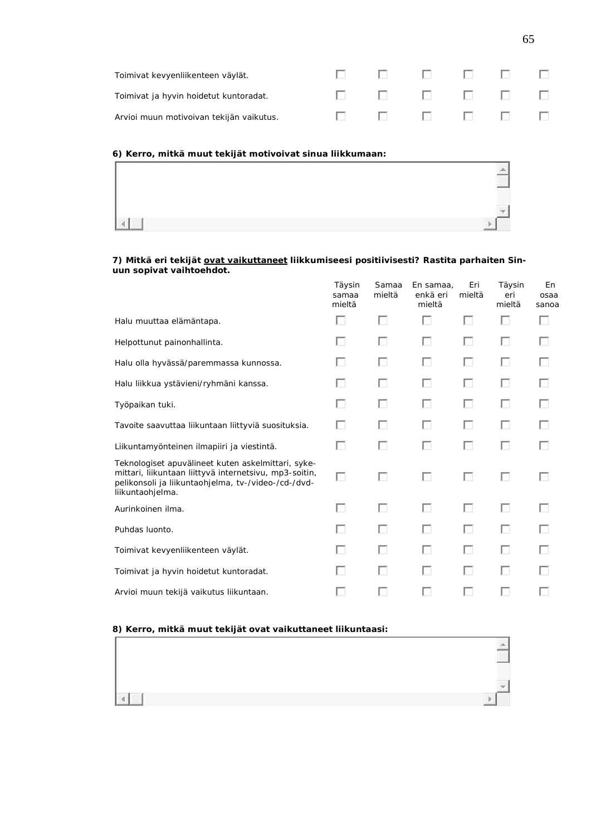| Toimivat kevyenliikenteen väylät.        |  | 00000000    |  |  |
|------------------------------------------|--|-------------|--|--|
| Toimivat ja hyvin hoidetut kuntoradat.   |  | 00000000    |  |  |
| Arvioi muun motivoivan tekijän vaikutus. |  | 0 0 0 0 0 0 |  |  |

**6) Kerro, mitkä muut tekijät motivoivat sinua liikkumaan:**

7) Mitkä eri tekijät ovat vaikuttaneet liikkumiseesi positiivisesti? Rastita parhaiten Sin**uun sopivat vaihtoehdot.**

|                                                                                                                                                                                         | Täysin<br>samaa<br>mieltä | Samaa<br>mieltä | En samaa,<br>enkä eri<br>mieltä | Eri<br>mieltä | Täysin<br>eri<br>mieltä | En<br>osaa<br>sanoa |
|-----------------------------------------------------------------------------------------------------------------------------------------------------------------------------------------|---------------------------|-----------------|---------------------------------|---------------|-------------------------|---------------------|
| Halu muuttaa elämäntapa.                                                                                                                                                                | ш                         | Ш               | п                               | D             | П                       |                     |
| Helpottunut painonhallinta.                                                                                                                                                             | U                         | ш               | ш                               | П             | п                       |                     |
| Halu olla hyvässä/paremmassa kunnossa.                                                                                                                                                  |                           | L.              | ш                               |               | $\Box$                  |                     |
| Halu liikkua ystävieni/ryhmäni kanssa.                                                                                                                                                  | ш                         | ш               | п                               | П             | п                       |                     |
| Työpaikan tuki.                                                                                                                                                                         | U                         | U               | ш                               | ш             | П                       |                     |
| Tavoite saavuttaa liikuntaan liittyviä suosituksia.                                                                                                                                     | ш                         | ш               | ш                               | ш             | ш                       |                     |
| Liikuntamyönteinen ilmapiiri ja viestintä.                                                                                                                                              | □                         | п               | ш                               | п             | П                       |                     |
| Teknologiset apuvälineet kuten askelmittari, syke-<br>mittari, liikuntaan liittyvä internetsivu, mp3-soitin,<br>pelikonsoli ja liikuntaohjelma, tv-/video-/cd-/dvd-<br>liikuntaohjelma. | □                         | ш               | ш                               | п             | ш                       |                     |
| Aurinkoinen ilma.                                                                                                                                                                       | ш                         | U               | п                               | D             | П                       |                     |
| Puhdas luonto.                                                                                                                                                                          |                           | U               | ш                               | п             | п                       |                     |
| Toimivat kevyenliikenteen väylät.                                                                                                                                                       |                           |                 | ш                               |               | ш                       |                     |
| Toimivat ja hyvin hoidetut kuntoradat.                                                                                                                                                  |                           | ш               | ш                               | п             | п                       |                     |
| Arvioi muun tekijä vaikutus liikuntaan.                                                                                                                                                 |                           |                 |                                 |               | U                       |                     |

#### **8) Kerro, mitkä muut tekijät ovat vaikuttaneet liikuntaasi:**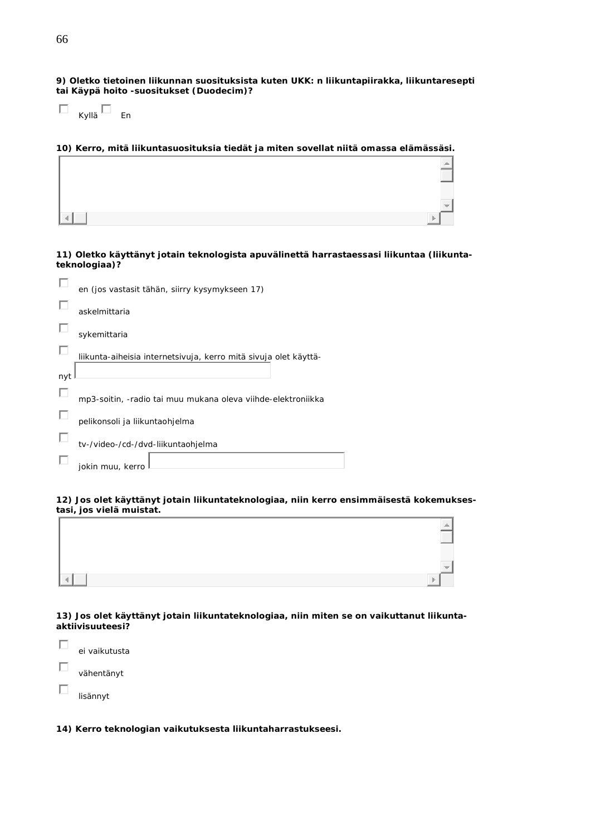**9) Oletko tietoinen liikunnan suosituksista kuten UKK: n liikuntapiirakka, liikuntaresepti tai Käypä hoito -suositukset (Duodecim)?**

| Kyllä | Fn |
|-------|----|

**10) Kerro, mitä liikuntasuosituksia tiedät ja miten sovellat niitä omassa elämässäsi.**

**11) Oletko käyttänyt jotain teknologista apuvälinettä harrastaessasi liikuntaa (liikuntateknologiaa)?**

|     | en (jos vastasit tähän, siirry kysymykseen 17)                   |
|-----|------------------------------------------------------------------|
|     | askelmittaria                                                    |
|     | sykemittaria                                                     |
|     | liikunta-aiheisia internetsivuja, kerro mitä sivuja olet käyttä- |
| nyt |                                                                  |
|     | mp3-soitin, -radio tai muu mukana oleva viihde-elektroniikka     |
|     | pelikonsoli ja liikuntaohjelma                                   |
|     | tv-/video-/cd-/dvd-liikuntaohjelma                               |
|     | jokin muu, kerro                                                 |

**12) Jos olet käyttänyt jotain liikuntateknologiaa, niin kerro ensimmäisestä kokemuksestasi, jos vielä muistat.**

| ı, |
|----|
|    |

**13) Jos olet käyttänyt jotain liikuntateknologiaa, niin miten se on vaikuttanut liikuntaaktiivisuuteesi?**

| ei vaikutusta |
|---------------|
| vähentänyt    |
| lisännyt      |
|               |

**14) Kerro teknologian vaikutuksesta liikuntaharrastukseesi.**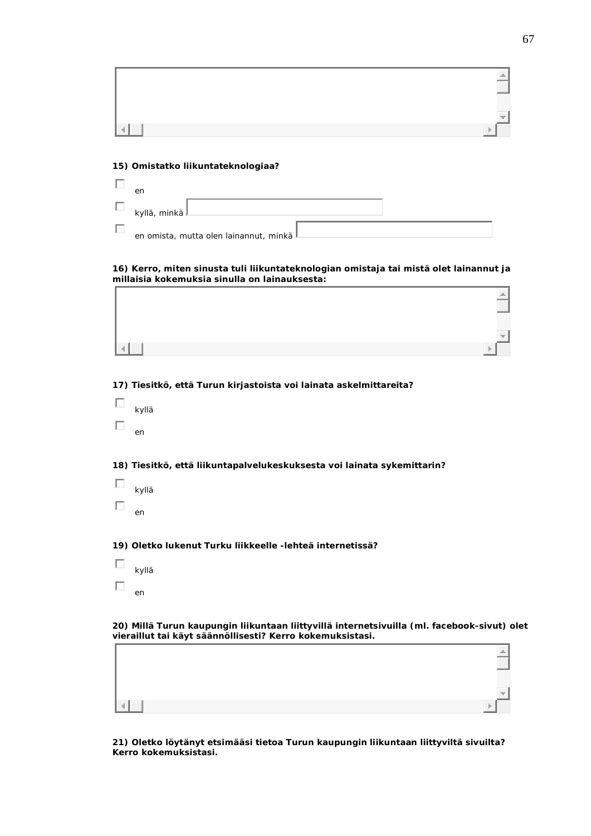#### **15) Omistatko liikuntateknologiaa?**

| en             |                                          |  |  |
|----------------|------------------------------------------|--|--|
| kyllä, minkä L |                                          |  |  |
|                | en omista, mutta olen lainannut, minkä l |  |  |

#### **16) Kerro, miten sinusta tuli liikuntateknologian omistaja tai mistä olet lainannut ja millaisia kokemuksia sinulla on lainauksesta:**  $\Gamma$  $\overline{\phantom{0}}$

**17) Tiesitkö, että Turun kirjastoista voi lainata askelmittareita?**

| kyllä |  |
|-------|--|
| en    |  |

**18) Tiesitkö, että liikuntapalvelukeskuksesta voi lainata sykemittarin?**

| kyllä |
|-------|
| en    |

**19) Oletko lukenut Turku liikkeelle -lehteä internetissä?**

| kyllä |  |
|-------|--|
| en    |  |

 $\left| \cdot \right|$ 

**20) Millä Turun kaupungin liikuntaan liittyvillä internetsivuilla (ml. facebook-sivut) olet vieraillut tai käyt säännöllisesti? Kerro kokemuksistasi.**

**21) Oletko löytänyt etsimääsi tietoa Turun kaupungin liikuntaan liittyviltä sivuilta? Kerro kokemuksistasi.**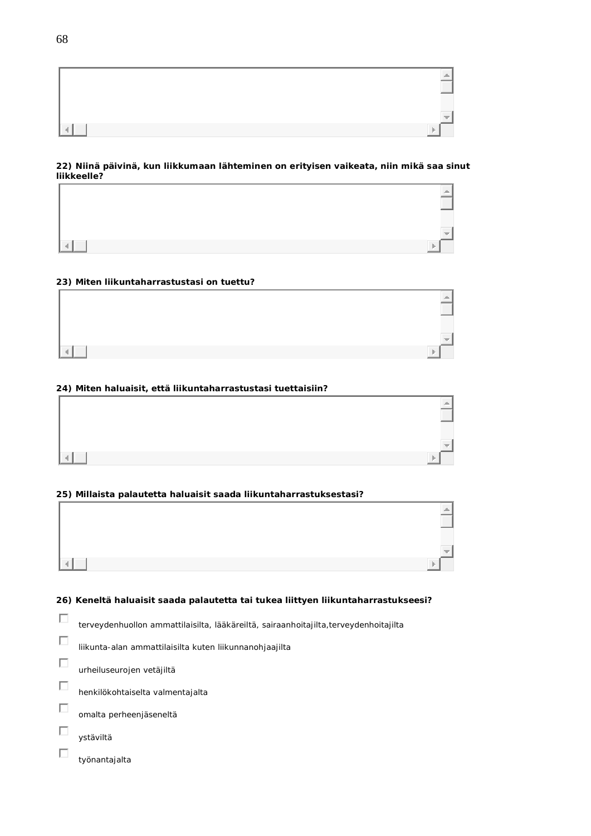

#### **22) Niinä päivinä, kun liikkumaan lähteminen on erityisen vaikeata, niin mikä saa sinut liikkeelle?**

|   |   | $\triangleq$      |
|---|---|-------------------|
|   |   |                   |
|   |   |                   |
|   |   | $\overline{\psi}$ |
| 4 | Þ |                   |

#### **23) Miten liikuntaharrastustasi on tuettu?**

| ab. |
|-----|
|     |
|     |
| w   |
|     |

#### **24) Miten haluaisit, että liikuntaharrastustasi tuettaisiin?**

#### **25) Millaista palautetta haluaisit saada liikuntaharrastuksestasi?**



#### **26) Keneltä haluaisit saada palautetta tai tukea liittyen liikuntaharrastukseesi?**

- $\Box$ terveydenhuollon ammattilaisilta, lääkäreiltä, sairaanhoitajilta,terveydenhoitajilta
- $\Box$ liikunta-alan ammattilaisilta kuten liikunnanohjaajilta
- $\Box$ urheiluseurojen vetäjiltä
- $\Box$ henkilökohtaiselta valmentajalta
- $\Box$ omalta perheenjäseneltä
- $\Box$ ystäviltä
- $\Box$ työnantajalta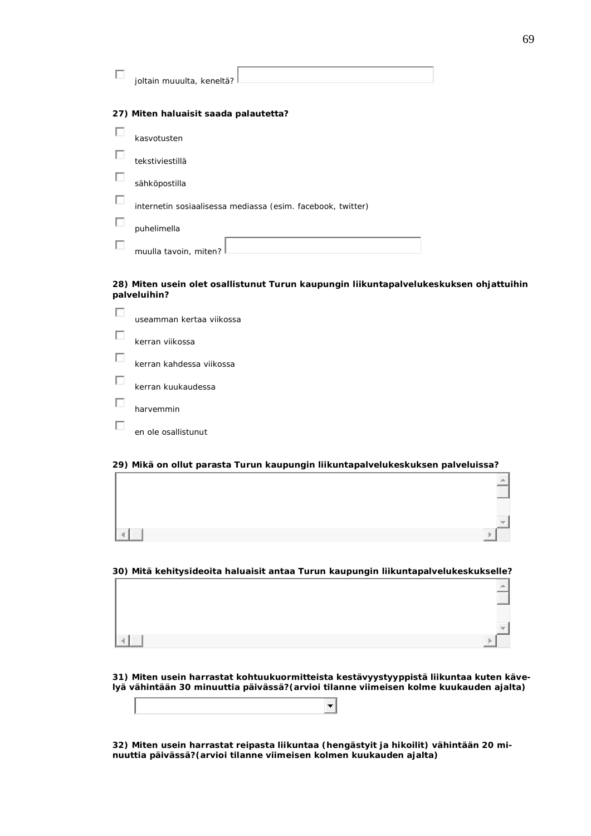| joltain muuulta, keneltä?                                   |
|-------------------------------------------------------------|
| 27) Miten haluaisit saada palautetta?                       |
| kasvotusten                                                 |
| tekstiviestillä                                             |
| sähköpostilla                                               |
| internetin sosiaalisessa mediassa (esim. facebook, twitter) |
| puhelimella                                                 |
| muulla tavoin, miten?                                       |

**28) Miten usein olet osallistunut Turun kaupungin liikuntapalvelukeskuksen ohjattuihin palveluihin?**

| useamman kertaa viikossa |
|--------------------------|
| kerran viikossa          |
| kerran kahdessa viikossa |
| kerran kuukaudessa       |
| harvemmin                |
| en ole osallistunut      |

**29) Mikä on ollut parasta Turun kaupungin liikuntapalvelukeskuksen palveluissa?**

**30) Mitä kehitysideoita haluaisit antaa Turun kaupungin liikuntapalvelukeskukselle?**

**31) Miten usein harrastat kohtuukuormitteista kestävyystyyppistä liikuntaa kuten kävelyä vähintään 30 minuuttia päivässä?(arvioi tilanne viimeisen kolme kuukauden ajalta)**

 $\overline{\phantom{a}}$ 

**32) Miten usein harrastat reipasta liikuntaa (hengästyit ja hikoilit) vähintään 20 minuuttia päivässä?(arvioi tilanne viimeisen kolmen kuukauden ajalta)**